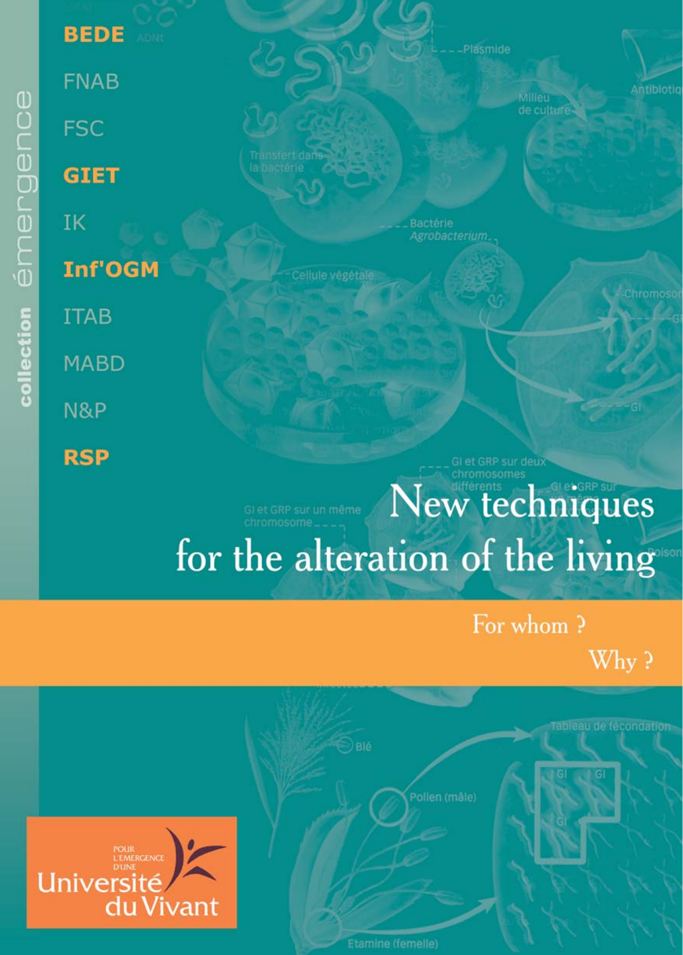**BEDE FNAB FSC GIET** IK **Inf'OGM ITAB MABD** N&P **RSP** 

#### Plasmide



For whom?

New techniques

for the alteration of the living

Why?

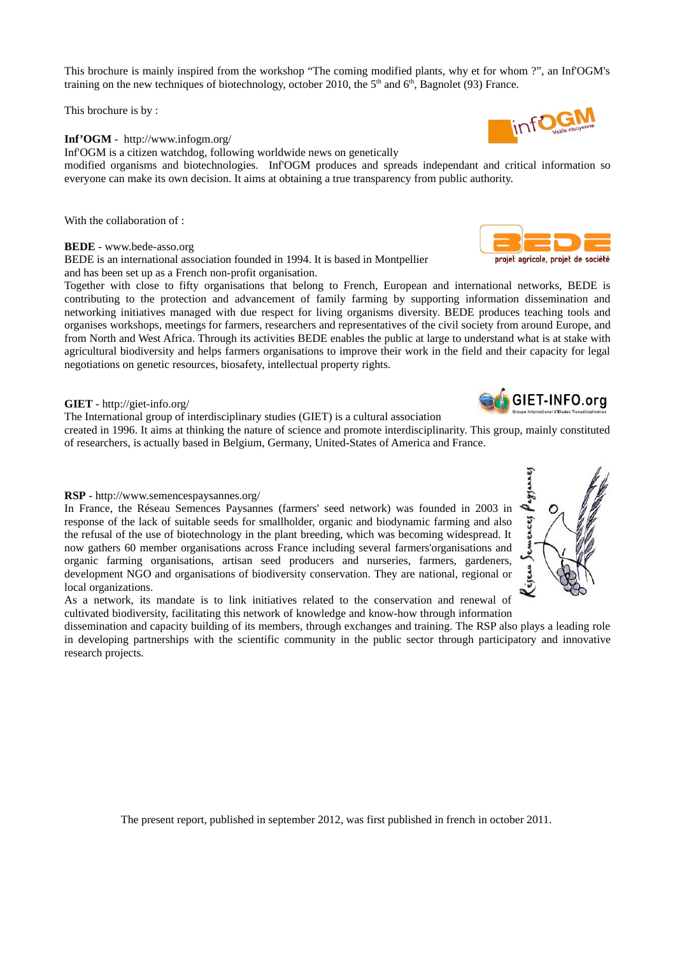This brochure is mainly inspired from the workshop "The coming modified plants, why et for whom ?", an Inf'OGM's training on the new techniques of biotechnology, october 2010, the  $5<sup>th</sup>$  and  $6<sup>th</sup>$ , Bagnolet (93) France.

This brochure is by:

#### Inf'OGM - http://www.infogm.org/

Inf'OGM is a citizen watchdog, following worldwide news on genetically

modified organisms and biotechnologies. Inf'OGM produces and spreads independant and critical information so everyone can make its own decision. It aims at obtaining a true transparency from public authority.

With the collaboration of:

BEDE - www.bede-asso.org

BEDE is an international association founded in 1994. It is based in Montpellier and has been set up as a French non-profit organisation.

Together with close to fifty organisations that belong to French, European and international networks, BEDE is contributing to the protection and advancement of family farming by supporting information dissemination and networking initiatives managed with due respect for living organisms diversity. BEDE produces teaching tools and organises workshops, meetings for farmers, researchers and representatives of the civil society from around Europe, and from North and West Africa. Through its activities BEDE enables the public at large to understand what is at stake with agricultural biodiversity and helps farmers organisations to improve their work in the field and their capacity for legal negotiations on genetic resources, biosafety, intellectual property rights.

### GIET - http://giet-info.org/

The International group of interdisciplinary studies (GIET) is a cultural association

created in 1996. It aims at thinking the nature of science and promote interdisciplinarity. This group, mainly constituted of researchers, is actually based in Belgium, Germany, United-States of America and France.

#### RSP - http://www.semencespaysannes.org/

In France, the Réseau Semences Paysannes (farmers' seed network) was founded in 2003 in response of the lack of suitable seeds for smallholder, organic and biodynamic farming and also the refusal of the use of biotechnology in the plant breeding, which was becoming widespread. It now gathers 60 member organisations across France including several farmers'organisations and organic farming organisations, artisan seed producers and nurseries, farmers, gardeners, development NGO and organisations of biodiversity conservation. They are national, regional or local organizations.

As a network, its mandate is to link initiatives related to the conservation and renewal of cultivated biodiversity, facilitating this network of knowledge and know-how through information

dissemination and capacity building of its members, through exchanges and training. The RSP also plays a leading role in developing partnerships with the scientific community in the public sector through participatory and innovative research projects.

The present report, published in september 2012, was first published in french in october 2011.







GIET-INFO.org

projet agricole, projet de société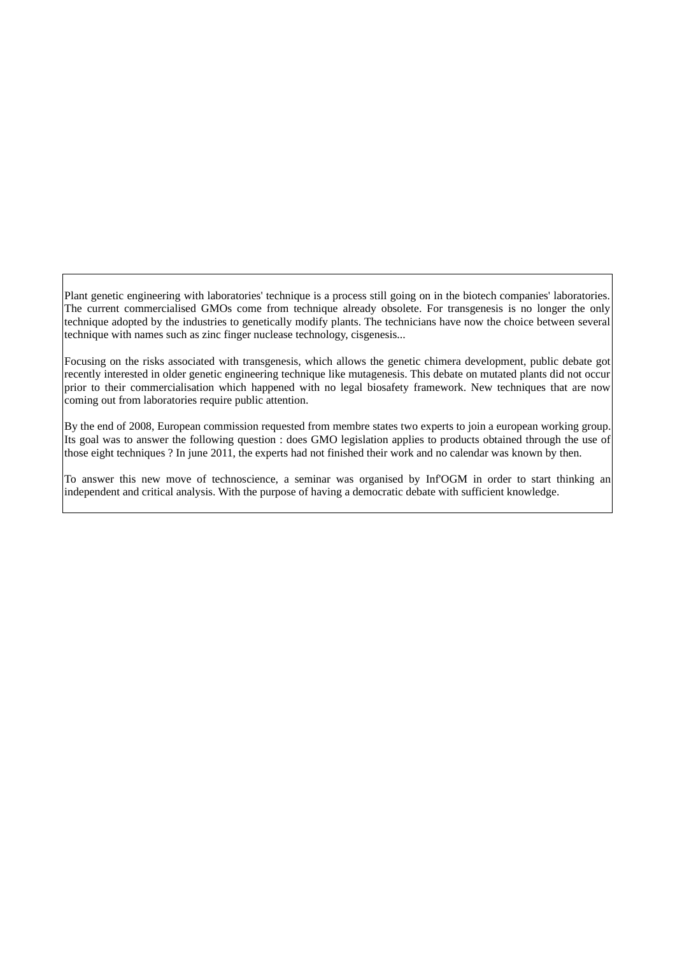Plant genetic engineering with laboratories' technique is a process still going on in the biotech companies' laboratories. The current commercialised GMOs come from technique already obsolete. For transgenesis is no longer the only technique adopted by the industries to genetically modify plants. The technicians have now the choice between several technique with names such as zinc finger nuclease technology, cisgenesis...

Focusing on the risks associated with transgenesis, which allows the genetic chimera development, public debate got recently interested in older genetic engineering technique like mutagenesis. This debate on mutated plants did not occur prior to their commercialisation which happened with no legal biosafety framework. New techniques that are now coming out from laboratories require public attention.

By the end of 2008, European commission requested from membre states two experts to join a european working group. Its goal was to answer the following question : does GMO legislation applies to products obtained through the use of those eight techniques ? In june 2011, the experts had not finished their work and no calendar was known by then.

To answer this new move of technoscience, a seminar was organised by Inf'OGM in order to start thinking an independent and critical analysis. With the purpose of having a democratic debate with sufficient knowledge.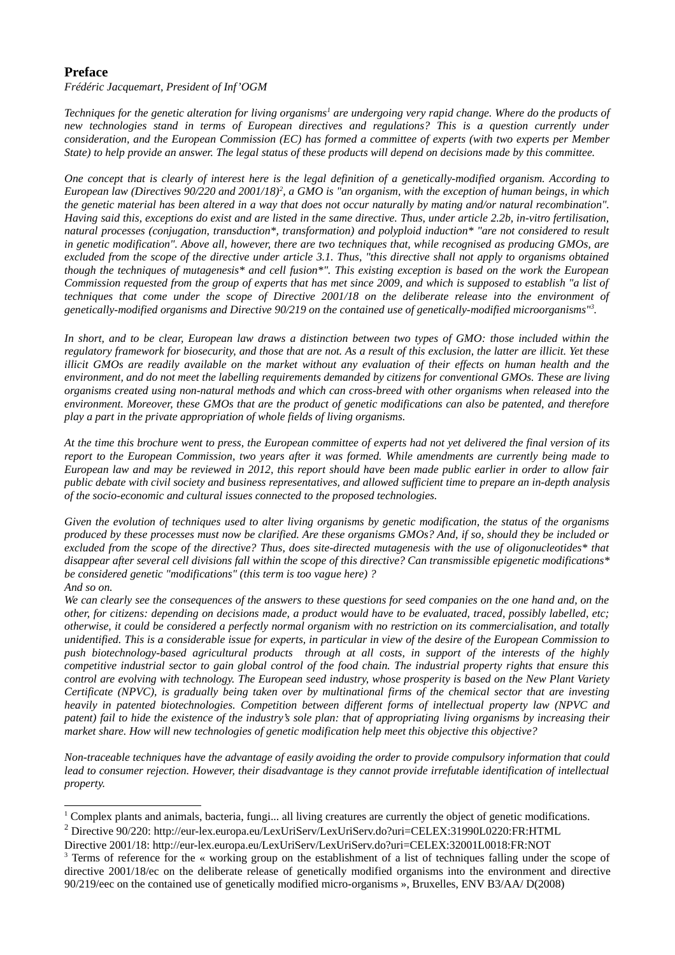## **Preface**

Frédéric Jacquemart, President of Inf'OGM

Techniques for the genetic alteration for living organisms<sup>1</sup> are undergoing very rapid change. Where do the products of new technologies stand in terms of European directives and regulations? This is a question currently under consideration, and the European Commission (EC) has formed a committee of experts (with two experts per Member State) to help provide an answer. The legal status of these products will depend on decisions made by this committee.

One concept that is clearly of interest here is the legal definition of a genetically-modified organism. According to European law (Directives 90/220 and 2001/18)<sup>2</sup>, a GMO is "an organism, with the exception of human beings, in which the genetic material has been altered in a way that does not occur naturally by mating and/or natural recombination". Having said this, exceptions do exist and are listed in the same directive. Thus, under article 2.2b, in-vitro fertilisation, natural processes (conjugation, transduction\*, transformation) and polyploid induction\* "are not considered to result in genetic modification". Above all, however, there are two techniques that, while recognised as producing GMOs, are excluded from the scope of the directive under article 3.1. Thus, "this directive shall not apply to organisms obtained though the techniques of mutagenesis\* and cell fusion\*". This existing exception is based on the work the European Commission requested from the group of experts that has met since 2009, and which is supposed to establish "a list of techniques that come under the scope of Directive 2001/18 on the deliberate release into the environment of genetically-modified organisms and Directive 90/219 on the contained use of genetically-modified microorganisms".

In short, and to be clear, European law draws a distinction between two types of GMO: those included within the regulatory framework for biosecurity, and those that are not. As a result of this exclusion, the latter are illicit. Yet these illicit GMOs are readily available on the market without any evaluation of their effects on human health and the environment, and do not meet the labelling requirements demanded by citizens for conventional GMOs. These are living organisms created using non-natural methods and which can cross-breed with other organisms when released into the environment. Moreover, these GMOs that are the product of genetic modifications can also be patented, and therefore play a part in the private appropriation of whole fields of living organisms.

At the time this brochure went to press, the European committee of experts had not vet delivered the final version of its report to the European Commission, two years after it was formed. While amendments are currently being made to European law and may be reviewed in 2012, this report should have been made public earlier in order to allow fair public debate with civil society and business representatives, and allowed sufficient time to prepare an in-depth analysis of the socio-economic and cultural issues connected to the proposed technologies.

Given the evolution of techniques used to alter living organisms by genetic modification, the status of the organisms produced by these processes must now be clarified. Are these organisms GMOs? And, if so, should they be included or excluded from the scope of the directive? Thus, does site-directed mutagenesis with the use of oligonucleotides\* that disappear after several cell divisions fall within the scope of this directive? Can transmissible epigenetic modifications\* be considered genetic "modifications" (this term is too vague here) ? And so on.

We can clearly see the consequences of the answers to these questions for seed companies on the one hand and, on the other, for citizens: depending on decisions made, a product would have to be evaluated, traced, possibly labelled, etc; otherwise, it could be considered a perfectly normal organism with no restriction on its commercialisation, and totally unidentified. This is a considerable issue for experts, in particular in view of the desire of the European Commission to push biotechnology-based garicultural products through at all costs, in support of the interests of the highly competitive industrial sector to gain global control of the food chain. The industrial property rights that ensure this control are evolving with technology. The European seed industry, whose prosperity is based on the New Plant Variety Certificate (NPVC), is gradually being taken over by multinational firms of the chemical sector that are investing heavily in patented biotechnologies. Competition between different forms of intellectual property law (NPVC and patent) fail to hide the existence of the industry's sole plan: that of appropriating living organisms by increasing their market share. How will new technologies of genetic modification help meet this objective this objective?

Non-traceable techniques have the advantage of easily avoiding the order to provide compulsory information that could lead to consumer rejection. However, their disadvantage is they cannot provide irrefutable identification of intellectual property.

<span id="page-3-1"></span><sup>&</sup>lt;sup>1</sup> Complex plants and animals, bacteria, fungi... all living creatures are currently the object of genetic modifications.

<span id="page-3-2"></span><sup>&</sup>lt;sup>2</sup> Directive 90/220: http://eur-lex.europa.eu/LexUriServ/LexUriServ.do?uri=CELEX:31990L0220:FR:HTML

Directive 2001/18: http://eur-lex.europa.eu/LexUriServ/LexUriServ.do?uri=CELEX:32001L0018:FR:NOT

<span id="page-3-0"></span><sup>&</sup>lt;sup>3</sup> Terms of reference for the « working group on the establishment of a list of techniques falling under the scope of directive 2001/18/ec on the deliberate release of genetically modified organisms into the environment and directive 90/219/eec on the contained use of genetically modified micro-organisms », Bruxelles, ENV B3/AA/ D(2008)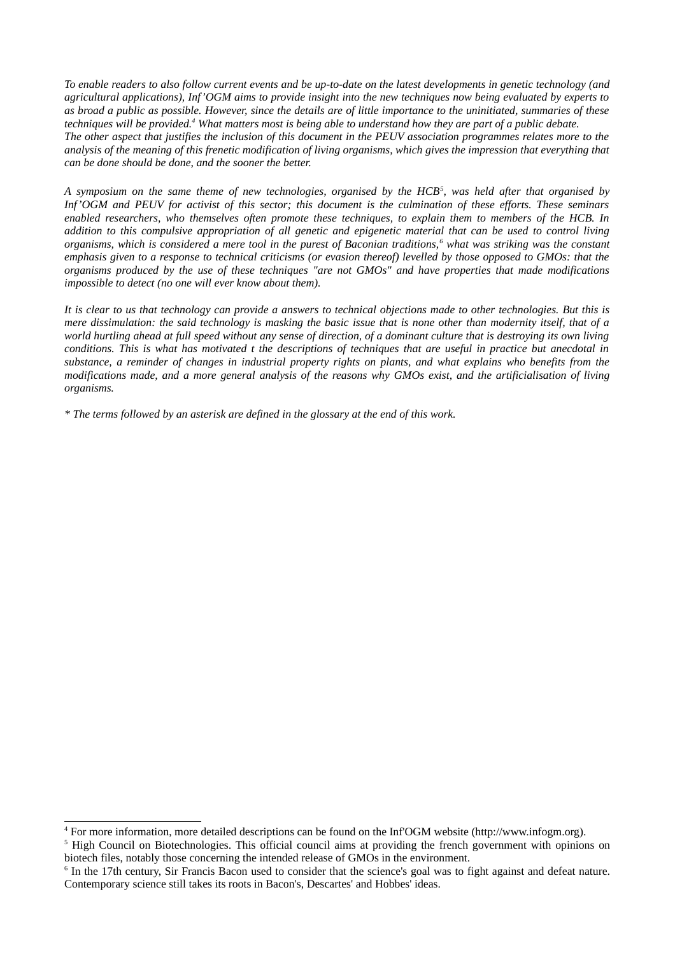To enable readers to also follow current events and be up-to-date on the latest developments in aenetic technology (and agricultural applications). Inf'OGM aims to provide insight into the new techniques now being evaluated by experts to as broad a public as possible. However, since the details are of little importance to the uninitiated, summaries of these techniques will be provided.<sup>4</sup> What matters most is being able to understand how they are part of a public debate. The other aspect that justifies the inclusion of this document in the PEUV association programmes relates more to the analysis of the meaning of this frenetic modification of living organisms, which gives the impression that everything that can be done should be done, and the sooner the better.

A symposium on the same theme of new technologies, organised by the HCB<sup>5</sup>, was held after that organised by Inf'OGM and PEUV for activist of this sector; this document is the culmination of these efforts. These seminars enabled researchers, who themselves often promote these techniques, to explain them to members of the HCB. In addition to this compulsive appropriation of all genetic and epigenetic material that can be used to control living organisms, which is considered a mere tool in the purest of Baconian traditions,<sup>6</sup> what was striking was the constant emphasis given to a response to technical criticisms (or evasion thereof) levelled by those opposed to GMOs: that the organisms produced by the use of these techniques "are not GMOs" and have properties that made modifications impossible to detect (no one will ever know about them).

It is clear to us that technology can provide a answers to technical objections made to other technologies. But this is mere dissimulation: the said technology is masking the basic issue that is none other than modernity itself, that of a world hurtling ahead at full speed without any sense of direction, of a dominant culture that is destroying its own living conditions. This is what has motivated t the descriptions of techniques that are useful in practice but anecdotal in substance, a reminder of changes in industrial property rights on plants, and what explains who benefits from the modifications made, and a more general analysis of the reasons why GMOs exist, and the artificialisation of living organisms.

\* The terms followed by an asterisk are defined in the glossary at the end of this work.

<span id="page-4-1"></span><sup>&</sup>lt;sup>4</sup> For more information, more detailed descriptions can be found on the Inf'OGM website (http://www.infogm.org).

<span id="page-4-2"></span><sup>&</sup>lt;sup>5</sup> High Council on Biotechnologies. This official council aims at providing the french government with opinions on biotech files, notably those concerning the intended release of GMOs in the environment.

<span id="page-4-0"></span><sup>&</sup>lt;sup>6</sup> In the 17th century, Sir Francis Bacon used to consider that the science's goal was to fight against and defeat nature. Contemporary science still takes its roots in Bacon's, Descartes' and Hobbes' ideas.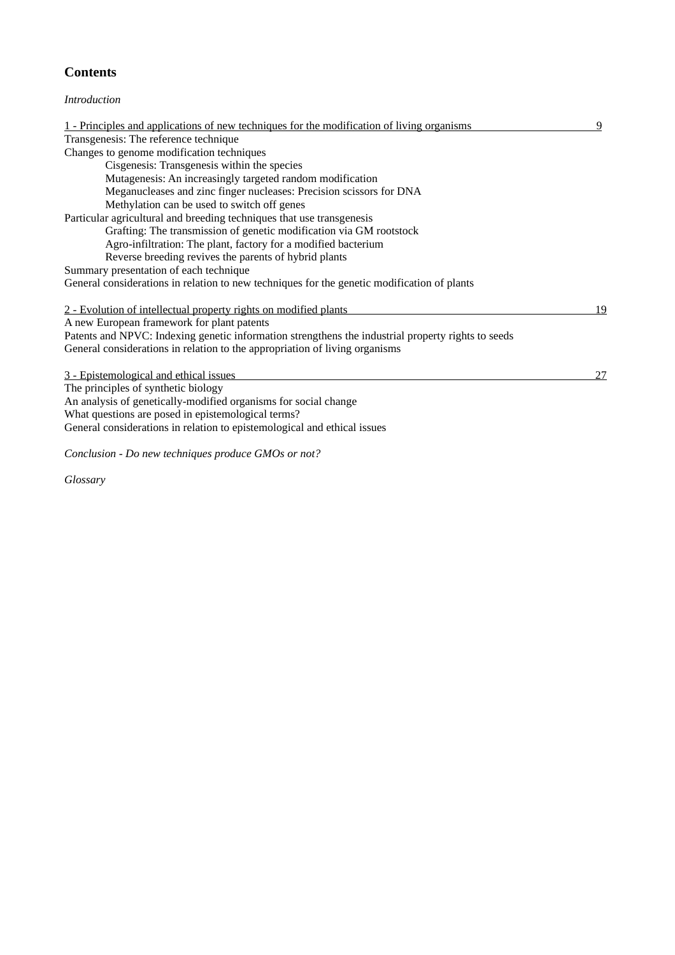# **Contents**

## Introduction

| 1 - Principles and applications of new techniques for the modification of living organisms         |    |  |  |  |
|----------------------------------------------------------------------------------------------------|----|--|--|--|
| Transgenesis: The reference technique                                                              |    |  |  |  |
| Changes to genome modification techniques                                                          |    |  |  |  |
| Cisgenesis: Transgenesis within the species                                                        |    |  |  |  |
| Mutagenesis: An increasingly targeted random modification                                          |    |  |  |  |
| Meganucleases and zinc finger nucleases: Precision scissors for DNA                                |    |  |  |  |
| Methylation can be used to switch off genes                                                        |    |  |  |  |
| Particular agricultural and breeding techniques that use transgenesis                              |    |  |  |  |
| Grafting: The transmission of genetic modification via GM rootstock                                |    |  |  |  |
| Agro-infiltration: The plant, factory for a modified bacterium                                     |    |  |  |  |
| Reverse breeding revives the parents of hybrid plants                                              |    |  |  |  |
| Summary presentation of each technique                                                             |    |  |  |  |
| General considerations in relation to new techniques for the genetic modification of plants        |    |  |  |  |
|                                                                                                    |    |  |  |  |
| 2 - Evolution of intellectual property rights on modified plants                                   | 19 |  |  |  |
| A new European framework for plant patents                                                         |    |  |  |  |
| Patents and NPVC: Indexing genetic information strengthens the industrial property rights to seeds |    |  |  |  |
| General considerations in relation to the appropriation of living organisms                        |    |  |  |  |
|                                                                                                    |    |  |  |  |
| 3 - Epistemological and ethical issues                                                             | 27 |  |  |  |
| The principles of synthetic biology                                                                |    |  |  |  |
| An analysis of genetically-modified organisms for social change                                    |    |  |  |  |
| What questions are posed in epistemological terms?                                                 |    |  |  |  |
| General considerations in relation to epistemological and ethical issues                           |    |  |  |  |
|                                                                                                    |    |  |  |  |
| Conclusion - Do new techniques produce GMOs or not?                                                |    |  |  |  |

Glossary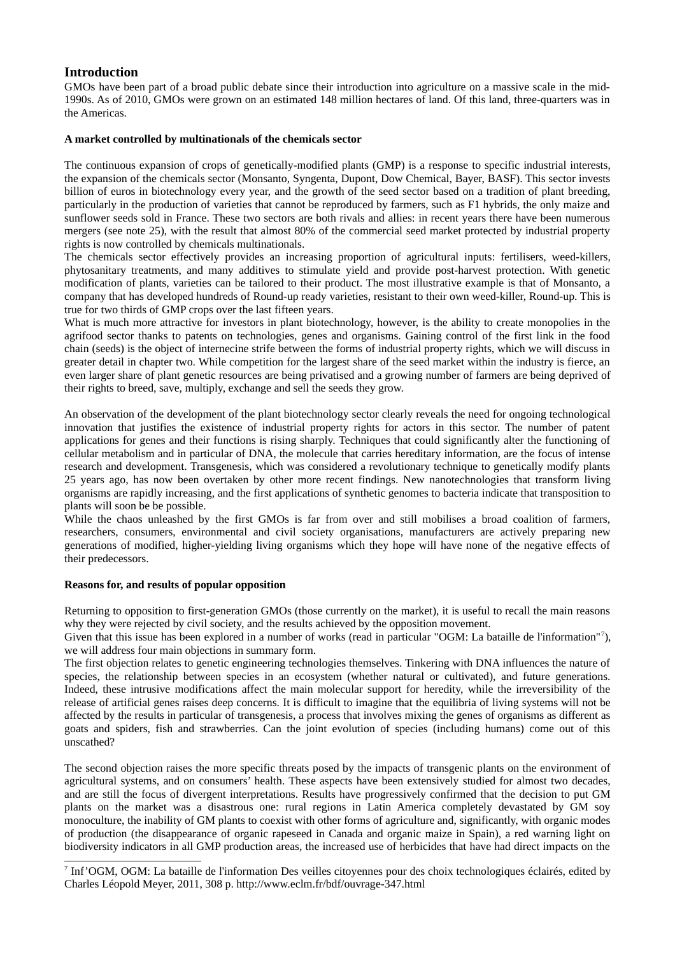## **Introduction**

GMOs have been part of a broad public debate since their introduction into agriculture on a massive scale in the mid-1990s. As of 2010, GMOs were grown on an estimated 148 million hectares of land. Of this land, three-quarters was in the Americas.

## A market controlled by multinationals of the chemicals sector

The continuous expansion of crops of genetically-modified plants (GMP) is a response to specific industrial interests, the expansion of the chemicals sector (Monsanto, Syngenta, Dupont, Dow Chemical, Bayer, BASF). This sector invests billion of euros in biotechnology every year, and the growth of the seed sector based on a tradition of plant breeding, particularly in the production of varieties that cannot be reproduced by farmers, such as F1 hybrids, the only maize and sunflower seeds sold in France. These two sectors are both rivals and allies: in recent years there have been numerous mergers (see note 25), with the result that almost 80% of the commercial seed market protected by industrial property rights is now controlled by chemicals multinationals.

The chemicals sector effectively provides an increasing proportion of agricultural inputs: fertilisers, weed-killers, phytosanitary treatments, and many additives to stimulate yield and provide post-harvest protection. With genetic modification of plants, varieties can be tailored to their product. The most illustrative example is that of Monsanto, a company that has developed hundreds of Round-up ready varieties, resistant to their own weed-killer, Round-up. This is true for two thirds of GMP crops over the last fifteen years.

What is much more attractive for investors in plant biotechnology, however, is the ability to create monopolies in the agrifood sector thanks to patents on technologies, genes and organisms. Gaining control of the first link in the food chain (seeds) is the object of internecine strife between the forms of industrial property rights, which we will discuss in greater detail in chapter two. While competition for the largest share of the seed market within the industry is fierce, an even larger share of plant genetic resources are being privatised and a growing number of farmers are being deprived of their rights to breed, save, multiply, exchange and sell the seeds they grow.

An observation of the development of the plant biotechnology sector clearly reveals the need for ongoing technological innovation that justifies the existence of industrial property rights for actors in this sector. The number of patent applications for genes and their functions is rising sharply. Techniques that could significantly alter the functioning of cellular metabolism and in particular of DNA, the molecule that carries hereditary information, are the focus of intense research and development. Transgenesis, which was considered a revolutionary technique to genetically modify plants 25 years ago, has now been overtaken by other more recent findings. New nanotechnologies that transform living organisms are rapidly increasing, and the first applications of synthetic genomes to bacteria indicate that transposition to plants will soon be be possible.

While the chaos unleashed by the first GMOs is far from over and still mobilises a broad coalition of farmers. researchers, consumers, environmental and civil society organisations, manufacturers are actively preparing new generations of modified, higher-yielding living organisms which they hope will have none of the negative effects of their predecessors.

### Reasons for, and results of popular opposition

Returning to opposition to first-generation GMOs (those currently on the market), it is useful to recall the main reasons why they were rejected by civil society, and the results achieved by the opposition movement.

Given that this issue has been explored in a number of works (read in particular "OGM: La bataille de l'information"7), we will address four main objections in summary form.

The first objection relates to genetic engineering technologies themselves. Tinkering with DNA influences the nature of species, the relationship between species in an ecosystem (whether natural or cultivated), and future generations. Indeed, these intrusive modifications affect the main molecular support for heredity, while the irreversibility of the release of artificial genes raises deep concerns. It is difficult to imagine that the equilibria of living systems will not be affected by the results in particular of transgenesis, a process that involves mixing the genes of organisms as different as goats and spiders, fish and strawberries. Can the joint evolution of species (including humans) come out of this unscathed?

The second objection raises the more specific threats posed by the impacts of transgenic plants on the environment of agricultural systems, and on consumers' health. These aspects have been extensively studied for almost two decades, and are still the focus of divergent interpretations. Results have progressively confirmed that the decision to put GM plants on the market was a disastrous one: rural regions in Latin America completely devastated by GM soy monoculture, the inability of GM plants to coexist with other forms of agriculture and, significantly, with organic modes of production (the disappearance of organic rapeseed in Canada and organic maize in Spain), a red warning light on biodiversity indicators in all GMP production areas, the increased use of herbicides that have had direct impacts on the

<span id="page-6-0"></span>7 Inf'OGM, OGM: La bataille de l'information Des veilles citoyennes pour des choix technologiques éclairés, edited by Charles Léopold Meyer, 2011, 308 p. http://www.eclm.fr/bdf/ouvrage-347.html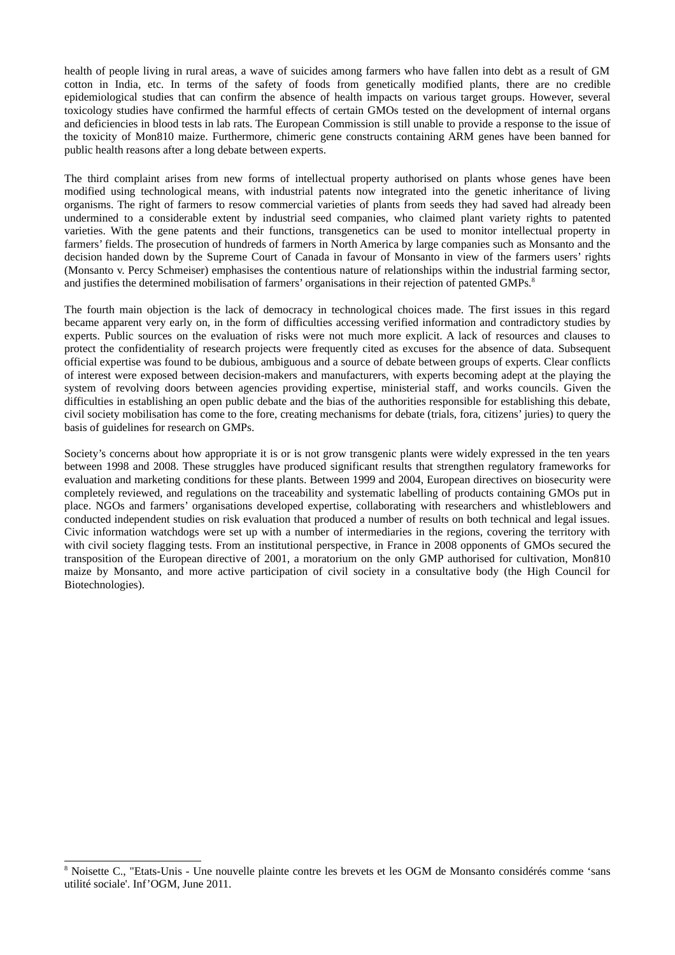health of people living in rural areas, a wave of suicides among farmers who have fallen into debt as a result of GM cotton in India, etc. In terms of the safety of foods from genetically modified plants, there are no credible epidemiological studies that can confirm the absence of health impacts on various target groups. However, several toxicology studies have confirmed the harmful effects of certain GMOs tested on the development of internal organs and deficiencies in blood tests in lab rats. The European Commission is still unable to provide a response to the issue of the toxicity of Mon810 maize. Furthermore, chimeric gene constructs containing ARM genes have been banned for public health reasons after a long debate between experts.

The third complaint arises from new forms of intellectual property authorised on plants whose genes have been modified using technological means, with industrial patents now integrated into the genetic inheritance of living organisms. The right of farmers to resow commercial varieties of plants from seeds they had saved had already been undermined to a considerable extent by industrial seed companies, who claimed plant variety rights to patented varieties. With the gene patents and their functions, transgenetics can be used to monitor intellectual property in farmers' fields. The prosecution of hundreds of farmers in North America by large companies such as Monsanto and the decision handed down by the Supreme Court of Canada in favour of Monsanto in view of the farmers users' rights (Monsanto y. Percy Schmeiser) emphasises the contentious nature of relationships within the industrial farming sector, and justifies the determined mobilisation of farmers' organisations in their rejection of patented GMPs.<sup>8</sup>

The fourth main objection is the lack of democracy in technological choices made. The first issues in this regard became apparent very early on, in the form of difficulties accessing verified information and contradictory studies by experts. Public sources on the evaluation of risks were not much more explicit. A lack of resources and clauses to protect the confidentiality of research projects were frequently cited as excuses for the absence of data. Subsequent official expertise was found to be dubious, ambiguous and a source of debate between groups of experts. Clear conflicts of interest were exposed between decision-makers and manufacturers, with experts becoming adept at the playing the system of revolving doors between agencies providing expertise, ministerial staff, and works councils. Given the difficulties in establishing an open public debate and the bias of the authorities responsible for establishing this debate, civil society mobilisation has come to the fore, creating mechanisms for debate (trials, fora, citizens' juries) to query the basis of guidelines for research on GMPs.

Society's concerns about how appropriate it is or is not grow transgenic plants were widely expressed in the ten years between 1998 and 2008. These struggles have produced significant results that strengthen regulatory frameworks for evaluation and marketing conditions for these plants. Between 1999 and 2004, European directives on biosecurity were completely reviewed, and regulations on the traceability and systematic labelling of products containing GMOs put in place. NGOs and farmers' organisations developed expertise, collaborating with researchers and whistleblowers and conducted independent studies on risk evaluation that produced a number of results on both technical and legal issues. Civic information watchdogs were set up with a number of intermediaries in the regions, covering the territory with with civil society flagging tests. From an institutional perspective, in France in 2008 opponents of GMOs secured the transposition of the European directive of 2001, a moratorium on the only GMP authorised for cultivation, Mon810 maize by Monsanto, and more active participation of civil society in a consultative body (the High Council for Biotechnologies).

<span id="page-7-0"></span><sup>&</sup>lt;sup>8</sup> Noisette C., "Etats-Unis - Une nouvelle plainte contre les brevets et les OGM de Monsanto considérés comme 'sans utilité sociale'. Inf'OGM. June 2011.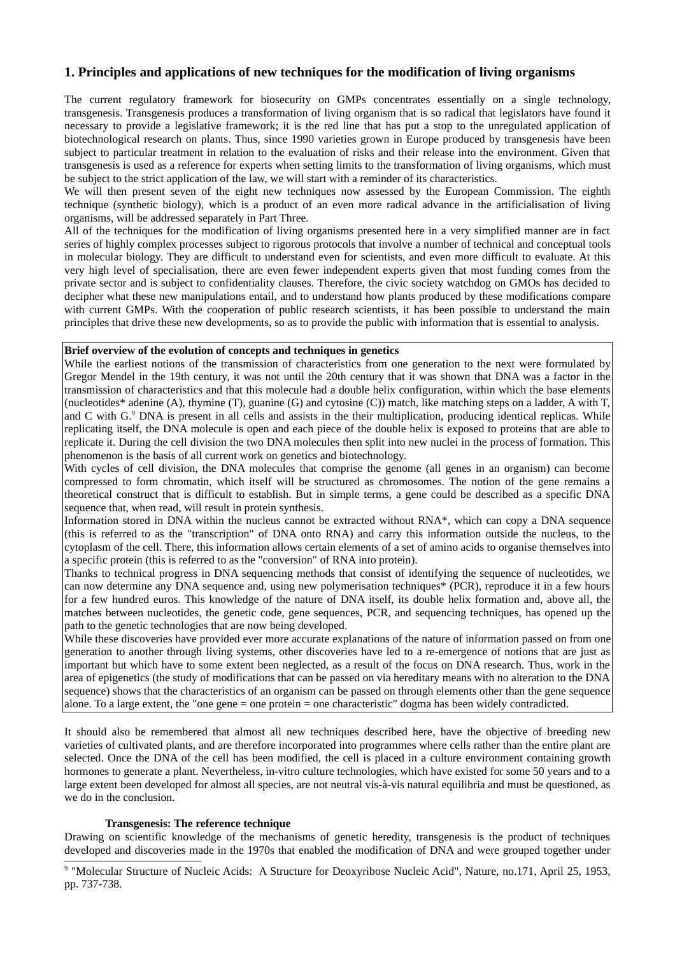## 1. Principles and applications of new techniques for the modification of living organisms

The current regulatory framework for biosecurity on GMPs concentrates essentially on a single technology, transgenesis. Transgenesis produces a transformation of living organism that is so radical that legislators have found it necessary to provide a legislative framework; it is the red line that has put a stop to the unregulated application of biotechnological research on plants. Thus, since 1990 varieties grown in Europe produced by transgenesis have been subject to particular treatment in relation to the evaluation of risks and their release into the environment. Given that transgenesis is used as a reference for experts when setting limits to the transformation of living organisms, which must be subject to the strict application of the law, we will start with a reminder of its characteristics.

We will then present seven of the eight new techniques now assessed by the European Commission. The eighth technique (synthetic biology), which is a product of an even more radical advance in the artificialisation of living organisms, will be addressed separately in Part Three.

All of the techniques for the modification of living organisms presented here in a very simplified manner are in fact series of highly complex processes subject to rigorous protocols that involve a number of technical and conceptual tools in molecular biology. They are difficult to understand even for scientists, and even more difficult to evaluate. At this very high level of specialisation, there are even fewer independent experts given that most funding comes from the private sector and is subject to confidentiality clauses. Therefore, the civic society watchdog on GMOs has decided to decipher what these new manipulations entail, and to understand how plants produced by these modifications compare with current GMPs. With the cooperation of public research scientists, it has been possible to understand the main principles that drive these new developments, so as to provide the public with information that is essential to analysis.

### Brief overview of the evolution of concepts and techniques in genetics

While the earliest notions of the transmission of characteristics from one generation to the next were formulated by Gregor Mendel in the 19th century, it was not until the 20th century that it was shown that DNA was a factor in the transmission of characteristics and that this molecule had a double helix configuration, within which the base elements (nucleotides\* adenine (A), thymine (T), guanine (G) and cytosine (C)) match, like matching steps on a ladder, A with T, and C with G.<sup>9</sup> DNA is present in all cells and assists in the their multiplication, producing identical replicas. While replicating itself, the DNA molecule is open and each piece of the double helix is exposed to proteins that are able to replicate it. During the cell division the two DNA molecules then split into new nuclei in the process of formation. This phenomenon is the basis of all current work on genetics and biotechnology.

With cycles of cell division, the DNA molecules that comprise the genome (all genes in an organism) can become compressed to form chromatin, which itself will be structured as chromosomes. The notion of the gene remains a theoretical construct that is difficult to establish. But in simple terms, a gene could be described as a specific DNA sequence that, when read, will result in protein synthesis.

Information stored in DNA within the nucleus cannot be extracted without RNA\*, which can copy a DNA sequence (this is referred to as the "transcription" of DNA onto RNA) and carry this information outside the nucleus, to the cytoplasm of the cell. There, this information allows certain elements of a set of amino acids to organise themselves into a specific protein (this is referred to as the "conversion" of RNA into protein).

Thanks to technical progress in DNA sequencing methods that consist of identifying the sequence of nucleotides, we can now determine any DNA sequence and, using new polymerisation techniques\* (PCR), reproduce it in a few hours for a few hundred euros. This knowledge of the nature of DNA itself, its double helix formation and, above all, the matches between nucleotides, the genetic code, gene sequences, PCR, and sequencing techniques, has opened up the path to the genetic technologies that are now being developed.

While these discoveries have provided ever more accurate explanations of the nature of information passed on from one generation to another through living systems, other discoveries have led to a re-emergence of notions that are just as important but which have to some extent been neglected, as a result of the focus on DNA research. Thus, work in the area of epigenetics (the study of modifications that can be passed on via hereditary means with no alteration to the DNA sequence) shows that the characteristics of an organism can be passed on through elements other than the gene sequence alone. To a large extent, the "one gene  $=$  one protein  $=$  one characteristic" dogma has been widely contradicted.

It should also be remembered that almost all new techniques described here, have the objective of breeding new varieties of cultivated plants, and are therefore incorporated into programmes where cells rather than the entire plant are selected. Once the DNA of the cell has been modified, the cell is placed in a culture environment containing growth hormones to generate a plant. Nevertheless, in-vitro culture technologies, which have existed for some 50 years and to a large extent been developed for almost all species, are not neutral vis-à-vis natural equilibria and must be questioned, as we do in the conclusion.

## Transgenesis: The reference technique

Drawing on scientific knowledge of the mechanisms of genetic heredity, transgenesis is the product of techniques developed and discoveries made in the 1970s that enabled the modification of DNA and were grouped together under

<span id="page-8-0"></span><sup>9</sup> "Molecular Structure of Nucleic Acids: A Structure for Deoxyribose Nucleic Acid", Nature, no.171, April 25, 1953, pp. 737-738.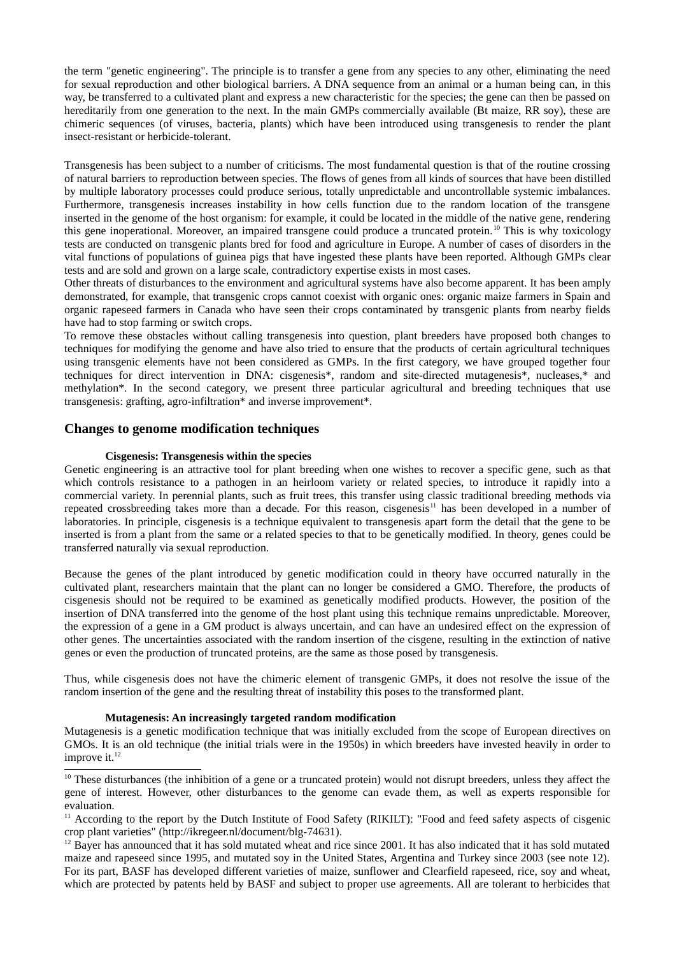the term "genetic engineering". The principle is to transfer a gene from any species to any other, eliminating the need for sexual reproduction and other biological barriers. A DNA sequence from an animal or a human being can, in this way, be transferred to a cultivated plant and express a new characteristic for the species; the gene can then be passed on hereditarily from one generation to the next. In the main GMPs commercially available (Bt maize, RR soy), these are chimeric sequences (of viruses, bacteria, plants) which have been introduced using transgenesis to render the plant insect-resistant or herbicide-tolerant.

Transgenesis has been subject to a number of criticisms. The most fundamental question is that of the routine crossing of natural barriers to reproduction between species. The flows of genes from all kinds of sources that have been distilled by multiple laboratory processes could produce serious, totally unpredictable and uncontrollable systemic imbalances. Furthermore, transgenesis increases instability in how cells function due to the random location of the transgene inserted in the genome of the host organism: for example, it could be located in the middle of the native gene, rendering this gene inoperational. Moreover, an impaired transgene could produce a truncated protein.<sup>10</sup> This is why toxicology tests are conducted on transgenic plants bred for food and agriculture in Europe. A number of cases of disorders in the vital functions of populations of guinea pigs that have ingested these plants have been reported. Although GMPs clear tests and are sold and grown on a large scale, contradictory expertise exists in most cases.

Other threats of disturbances to the environment and agricultural systems have also become apparent. It has been amply demonstrated, for example, that transgenic crops cannot coexist with organic ones: organic maize farmers in Spain and organic rapeseed farmers in Canada who have seen their crops contaminated by transgenic plants from nearby fields have had to stop farming or switch crops.

To remove these obstacles without calling transgenesis into question, plant breeders have proposed both changes to techniques for modifying the genome and have also tried to ensure that the products of certain agricultural techniques using transgenic elements have not been considered as GMPs. In the first category, we have grouped together four techniques for direct intervention in DNA: cisgenesis\*, random and site-directed mutagenesis\*, nucleases,\* and methylation\*. In the second category, we present three particular agricultural and breeding techniques that use transgenesis: grafting, agro-infiltration\* and inverse improvement\*.

## **Changes to genome modification techniques**

### **Cisgenesis: Transgenesis within the species**

Genetic engineering is an attractive tool for plant breeding when one wishes to recover a specific gene, such as that which controls resistance to a pathogen in an heirloom variety or related species, to introduce it rapidly into a commercial variety. In perennial plants, such as fruit trees, this transfer using classic traditional breeding methods via repeated crossbreeding takes more than a decade. For this reason, cisgenesis<sup>11</sup> has been developed in a number of laboratories. In principle, cisgenesis is a technique equivalent to transgenesis apart form the detail that the gene to be inserted is from a plant from the same or a related species to that to be genetically modified. In theory, genes could be transferred naturally via sexual reproduction.

Because the genes of the plant introduced by genetic modification could in theory have occurred naturally in the cultivated plant, researchers maintain that the plant can no longer be considered a GMO. Therefore, the products of cisgenesis should not be required to be examined as genetically modified products. However, the position of the insertion of DNA transferred into the genome of the host plant using this technique remains unpredictable. Moreover, the expression of a gene in a GM product is always uncertain, and can have an undesired effect on the expression of other genes. The uncertainties associated with the random insertion of the cisgene, resulting in the extinction of native genes or even the production of truncated proteins, are the same as those posed by transgenesis.

Thus, while cisgenesis does not have the chimeric element of transgenic GMPs, it does not resolve the issue of the random insertion of the gene and the resulting threat of instability this poses to the transformed plant.

#### Mutagenesis: An increasingly targeted random modification

Mutagenesis is a genetic modification technique that was initially excluded from the scope of European directives on GMOs. It is an old technique (the initial trials were in the 1950s) in which breeders have invested heavily in order to improve it.<sup>12</sup>

<span id="page-9-1"></span><sup>&</sup>lt;sup>10</sup> These disturbances (the inhibition of a gene or a truncated protein) would not disrupt breeders, unless they affect the gene of interest. However, other disturbances to the genome can evade them, as well as experts responsible for evaluation.

<span id="page-9-2"></span><sup>&</sup>lt;sup>11</sup> According to the report by the Dutch Institute of Food Safety (RIKILT): "Food and feed safety aspects of cisgenic crop plant varieties" (http://ikregeer.nl/document/blg-74631).

<span id="page-9-0"></span> $12$  Bayer has announced that it has sold mutated wheat and rice since 2001. It has also indicated that it has sold mutated maize and rapeseed since 1995, and mutated soy in the United States, Argentina and Turkey since 2003 (see note 12). For its part, BASF has developed different varieties of maize, sunflower and Clearfield rapeseed, rice, soy and wheat, which are protected by patents held by BASF and subject to proper use agreements. All are tolerant to herbicides that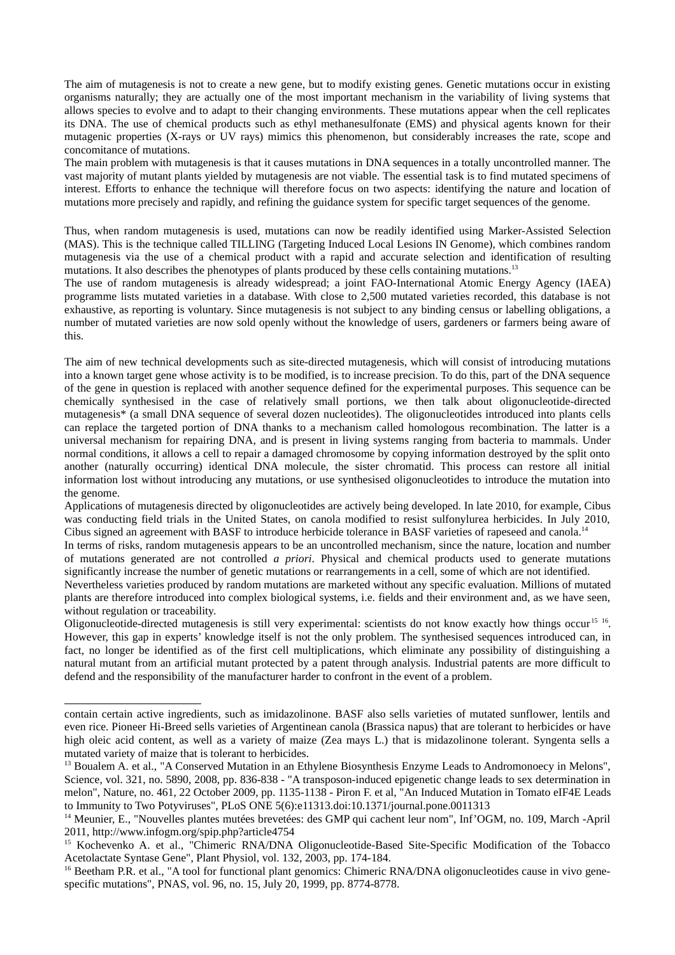The aim of mutagenesis is not to create a new gene, but to modify existing genes. Genetic mutations occur in existing organisms naturally; they are actually one of the most important mechanism in the variability of living systems that allows species to evolve and to adapt to their changing environments. These mutations appear when the cell replicates its DNA. The use of chemical products such as ethyl methanesulfonate (EMS) and physical agents known for their mutagenic properties (X-rays or UV rays) mimics this phenomenon, but considerably increases the rate, scope and concomitance of mutations.

The main problem with mutagenesis is that it causes mutations in DNA sequences in a totally uncontrolled manner. The vast majority of mutant plants yielded by mutagenesis are not viable. The essential task is to find mutated specimens of interest. Efforts to enhance the technique will therefore focus on two aspects: identifying the nature and location of mutations more precisely and rapidly, and refining the guidance system for specific target sequences of the genome.

Thus, when random mutagenesis is used, mutations can now be readily identified using Marker-Assisted Selection (MAS). This is the technique called TILLING (Targeting Induced Local Lesions IN Genome), which combines random mutagenesis via the use of a chemical product with a rapid and accurate selection and identification of resulting mutations. It also describes the phenotypes of plants produced by these cells containing mutations.<sup>13</sup>

The use of random mutagenesis is already widespread; a joint FAO-International Atomic Energy Agency (IAEA) programme lists mutated varieties in a database. With close to 2,500 mutated varieties recorded, this database is not exhaustive, as reporting is voluntary. Since mutagenesis is not subject to any binding census or labelling obligations, a number of mutated varieties are now sold openly without the knowledge of users, gardeners or farmers being aware of this.

The aim of new technical developments such as site-directed mutagenesis, which will consist of introducing mutations into a known target gene whose activity is to be modified, is to increase precision. To do this, part of the DNA sequence of the gene in question is replaced with another sequence defined for the experimental purposes. This sequence can be chemically synthesised in the case of relatively small portions, we then talk about oligonucleotide-directed mutagenesis\* (a small DNA sequence of several dozen nucleotides). The oligonucleotides introduced into plants cells can replace the targeted portion of DNA thanks to a mechanism called homologous recombination. The latter is a universal mechanism for repairing DNA, and is present in living systems ranging from bacteria to mammals. Under normal conditions, it allows a cell to repair a damaged chromosome by copying information destroved by the split onto another (naturally occurring) identical DNA molecule, the sister chromatid. This process can restore all initial information lost without introducing any mutations, or use synthesised oligonucleotides to introduce the mutation into the genome.

Applications of mutagenesis directed by oligonucleotides are actively being developed. In late 2010, for example, Cibus was conducting field trials in the United States, on canola modified to resist sulfonylurea herbicides. In July 2010, Cibus signed an agreement with BASF to introduce herbicide tolerance in BASF varieties of rapeseed and canola.<sup>14</sup>

In terms of risks, random mutagenesis appears to be an uncontrolled mechanism, since the nature, location and number of mutations generated are not controlled *a priori*. Physical and chemical products used to generate mutations significantly increase the number of genetic mutations or rearrangements in a cell, some of which are not identified.

Nevertheless varieties produced by random mutations are marketed without any specific evaluation. Millions of mutated plants are therefore introduced into complex biological systems, i.e. fields and their environment and, as we have seen, without regulation or traceability.

Oligonucleotide-directed mutagenesis is still very experimental: scientists do not know exactly how things occur<sup>15 16</sup>. However, this gap in experts' knowledge itself is not the only problem. The synthesised sequences introduced can, in fact, no longer be identified as of the first cell multiplications, which eliminate any possibility of distinguishing a natural mutant from an artificial mutant protected by a patent through analysis. Industrial patents are more difficult to defend and the responsibility of the manufacturer harder to confront in the event of a problem.

contain certain active ingredients, such as imidazolinone. BASF also sells varieties of mutated sunflower, lentils and even rice. Pioneer Hi-Breed sells varieties of Argentinean canola (Brassica napus) that are tolerant to herbicides or have high oleic acid content, as well as a variety of maize (Zea mays L.) that is midazolinone tolerant. Syngenta sells a mutated variety of maize that is tolerant to herbicides.

<span id="page-10-1"></span><sup>&</sup>lt;sup>13</sup> Boualem A. et al., "A Conserved Mutation in an Ethylene Biosynthesis Enzyme Leads to Andromonoecy in Melons", Science, vol. 321, no. 5890, 2008, pp. 836-838 - "A transposon-induced epigenetic change leads to sex determination in melon", Nature, no. 461, 22 October 2009, pp. 1135-1138 - Piron F. et al, "An Induced Mutation in Tomato eIF4E Leads to Immunity to Two Potyviruses", PLoS ONE 5(6):e11313.doi:10.1371/journal.pone.0011313

<span id="page-10-2"></span><sup>&</sup>lt;sup>14</sup> Meunier, E., "Nouvelles plantes mutées brevetées: des GMP qui cachent leur nom", Inf'OGM, no. 109, March -April 2011, http://www.infogm.org/spip.php?article4754

<span id="page-10-3"></span><sup>&</sup>lt;sup>15</sup> Kochevenko A. et al., "Chimeric RNA/DNA Oligonucleotide-Based Site-Specific Modification of the Tobacco Acetolactate Syntase Gene", Plant Physiol, vol. 132, 2003, pp. 174-184.

<span id="page-10-0"></span><sup>&</sup>lt;sup>16</sup> Beetham P.R. et al., "A tool for functional plant genomics: Chimeric RNA/DNA oligonucleotides cause in vivo genespecific mutations", PNAS, vol. 96, no. 15, July 20, 1999, pp. 8774-8778.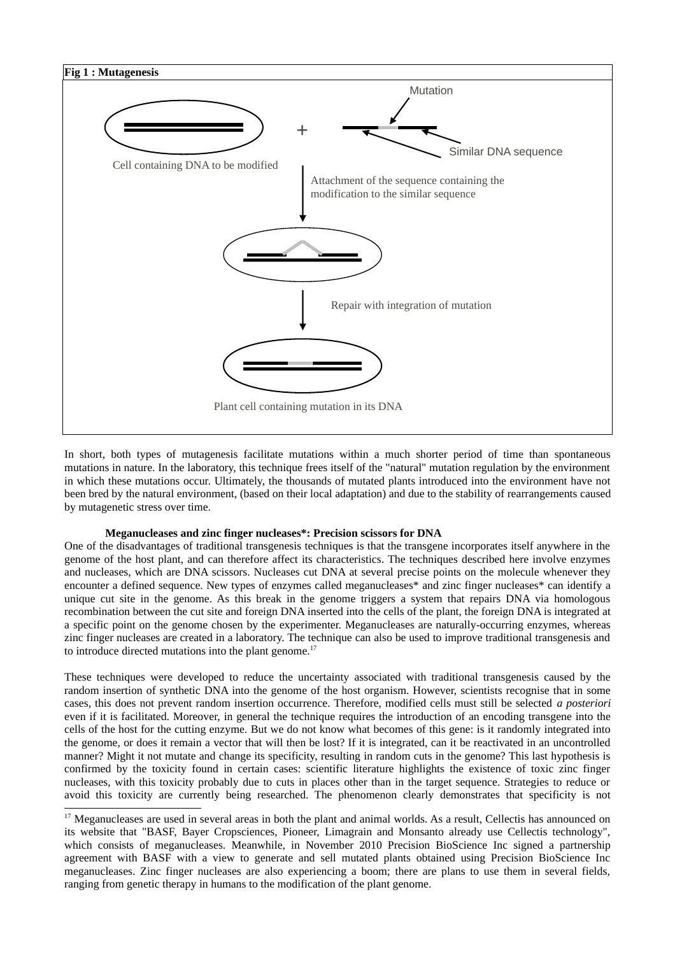

In short, both types of mutagenesis facilitate mutations within a much shorter period of time than spontaneous mutations in nature. In the laboratory, this technique frees itself of the "natural" mutation regulation by the environment in which these mutations occur. Ultimately, the thousands of mutated plants introduced into the environment have not been bred by the natural environment, (based on their local adaptation) and due to the stability of rearrangements caused by mutagenetic stress over time.

### Meganucleases and zinc finger nucleases\*: Precision scissors for DNA

One of the disadvantages of traditional transgenesis techniques is that the transgene incorporates itself anywhere in the genome of the host plant, and can therefore affect its characteristics. The techniques described here involve enzymes and nucleases, which are DNA scissors. Nucleases cut DNA at several precise points on the molecule whenever they encounter a defined sequence. New types of enzymes called meganucleases\* and zinc finger nucleases\* can identify a unique cut site in the genome. As this break in the genome triggers a system that repairs DNA via homologous recombination between the cut site and foreign DNA inserted into the cells of the plant, the foreign DNA is integrated at a specific point on the genome chosen by the experimenter. Meganucleases are naturally-occurring enzymes, whereas zinc finger nucleases are created in a laboratory. The technique can also be used to improve traditional transgenesis and to introduce directed mutations into the plant genome.<sup>17</sup>

These techniques were developed to reduce the uncertainty associated with traditional transgenesis caused by the random insertion of synthetic DNA into the genome of the host organism. However, scientists recognise that in some cases, this does not prevent random insertion occurrence. Therefore, modified cells must still be selected *a posteriori* even if it is facilitated. Moreover, in general the technique requires the introduction of an encoding transgene into the cells of the host for the cutting enzyme. But we do not know what becomes of this gene; is it randomly integrated into the genome, or does it remain a vector that will then be lost? If it is integrated, can it be reactivated in an uncontrolled manner? Might it not mutate and change its specificity, resulting in random cuts in the genome? This last hypothesis is confirmed by the toxicity found in certain cases: scientific literature highlights the existence of toxic zinc finger nucleases, with this toxicity probably due to cuts in places other than in the target sequence. Strategies to reduce or avoid this toxicity are currently being researched. The phenomenon clearly demonstrates that specificity is not

<span id="page-11-0"></span><sup>&</sup>lt;sup>17</sup> Meganucleases are used in several areas in both the plant and animal worlds. As a result, Cellectis has announced on its website that "BASF, Bayer Cropsciences, Pioneer, Limagrain and Monsanto already use Cellectis technology", which consists of meganucleases. Meanwhile, in November 2010 Precision BioScience Inc signed a partnership agreement with BASF with a view to generate and sell mutated plants obtained using Precision BioScience Inc meganucleases. Zinc finger nucleases are also experiencing a boom; there are plans to use them in several fields, ranging from genetic therapy in humans to the modification of the plant genome.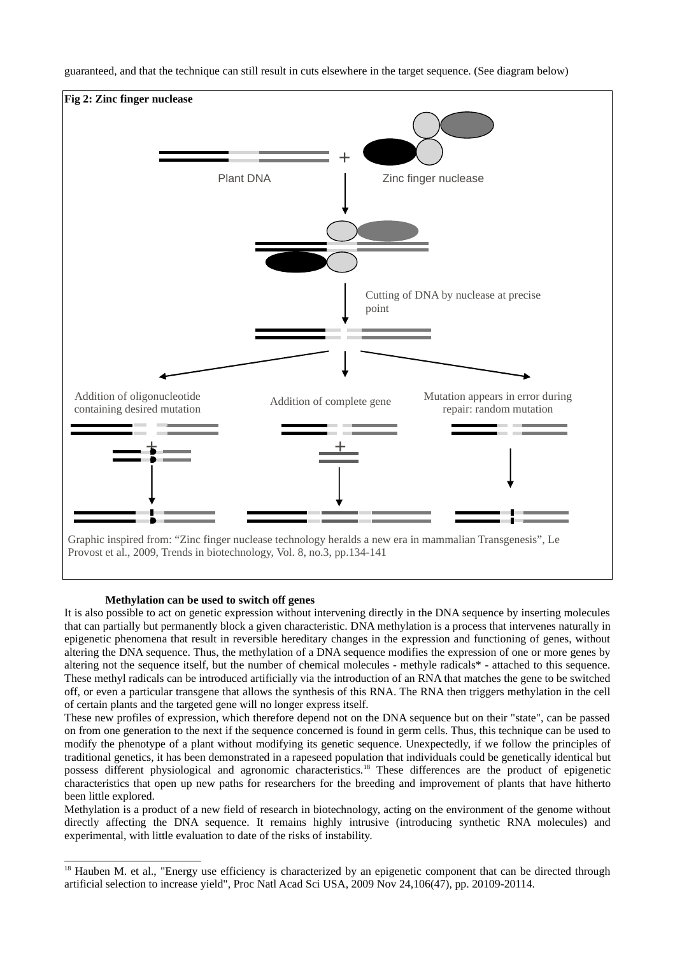

guaranteed, and that the technique can still result in cuts elsewhere in the target sequence. (See diagram below)

#### Methylation can be used to switch off genes

It is also possible to act on genetic expression without intervening directly in the DNA sequence by inserting molecules that can partially but permanently block a given characteristic. DNA methylation is a process that intervenes naturally in epigenetic phenomena that result in reversible hereditary changes in the expression and functioning of genes, without altering the DNA sequence. Thus, the methylation of a DNA sequence modifies the expression of one or more genes by altering not the sequence itself, but the number of chemical molecules - methyle radicals\* - attached to this sequence. These methyl radicals can be introduced artificially via the introduction of an RNA that matches the gene to be switched off, or even a particular transgene that allows the synthesis of this RNA. The RNA then triggers methylation in the cell of certain plants and the targeted gene will no longer express itself.

These new profiles of expression, which therefore depend not on the DNA sequence but on their "state", can be passed on from one generation to the next if the sequence concerned is found in germ cells. Thus, this technique can be used to modify the phenotype of a plant without modifying its genetic sequence. Unexpectedly, if we follow the principles of traditional genetics, it has been demonstrated in a rapeseed population that individuals could be genetically identical but possess different physiological and agronomic characteristics.<sup>18</sup> These differences are the product of epigenetic characteristics that open up new paths for researchers for the breeding and improvement of plants that have hitherto been little explored.

Methylation is a product of a new field of research in biotechnology, acting on the environment of the genome without directly affecting the DNA sequence. It remains highly intrusive (introducing synthetic RNA molecules) and experimental, with little evaluation to date of the risks of instability.

<span id="page-12-0"></span><sup>&</sup>lt;sup>18</sup> Hauben M. et al., "Energy use efficiency is characterized by an epigenetic component that can be directed through artificial selection to increase yield", Proc Natl Acad Sci USA, 2009 Nov 24,106(47), pp. 20109-20114.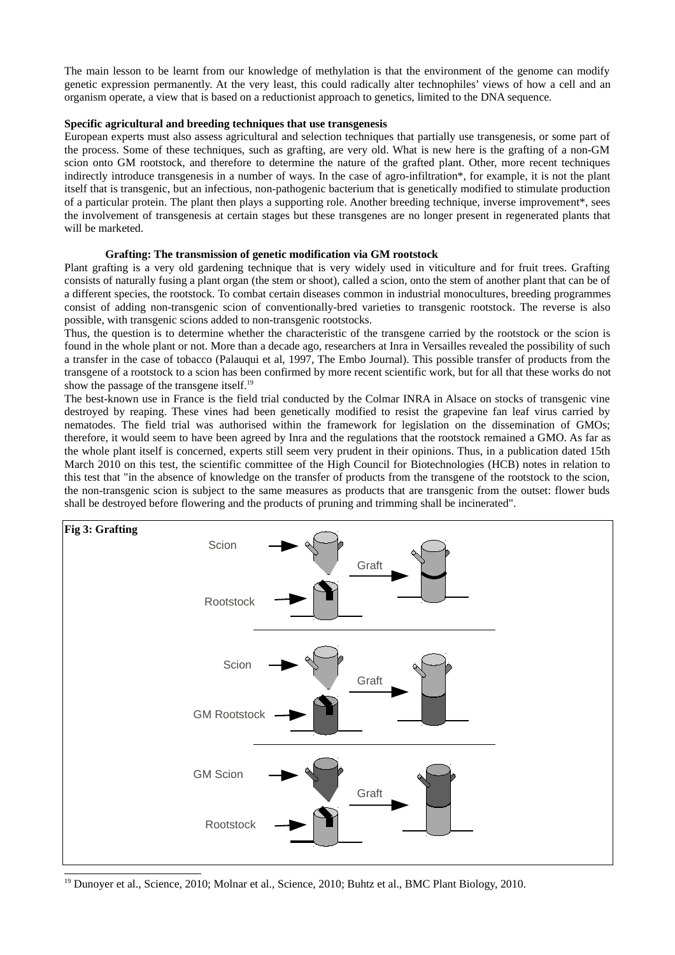The main lesson to be learnt from our knowledge of methylation is that the environment of the genome can modify genetic expression permanently. At the very least, this could radically alter technophiles' views of how a cell and an organism operate, a view that is based on a reductionist approach to genetics, limited to the DNA sequence.

### Specific agricultural and breeding techniques that use transgenesis

European experts must also assess agricultural and selection techniques that partially use transgenesis, or some part of the process. Some of these techniques, such as grafting, are very old. What is new here is the grafting of a non-GM scion onto GM rootstock, and therefore to determine the nature of the grafted plant. Other, more recent techniques indirectly introduce transgenesis in a number of ways. In the case of agro-infiltration\*, for example, it is not the plant itself that is transgenic, but an infectious, non-pathogenic bacterium that is genetically modified to stimulate production of a particular protein. The plant then plays a supporting role. Another breeding technique, inverse improvement\*, sees the involvement of transgenesis at certain stages but these transgenes are no longer present in regenerated plants that will be marketed.

### Grafting: The transmission of genetic modification via GM rootstock

Plant grafting is a very old gardening technique that is very widely used in viticulture and for fruit trees. Grafting consists of naturally fusing a plant organ (the stem or shoot), called a scion, onto the stem of another plant that can be of a different species, the rootstock. To combat certain diseases common in industrial monocultures, breeding programmes consist of adding non-transgenic scion of conventionally-bred varieties to transgenic rootstock. The reverse is also possible, with transgenic scions added to non-transgenic rootstocks.

Thus, the question is to determine whether the characteristic of the transgene carried by the rootstock or the scion is found in the whole plant or not. More than a decade ago, researchers at Inra in Versailles revealed the possibility of such a transfer in the case of tobacco (Palauqui et al, 1997, The Embo Journal). This possible transfer of products from the transgene of a rootstock to a scion has been confirmed by more recent scientific work, but for all that these works do not show the passage of the transgene itself.<sup>19</sup>

The best-known use in France is the field trial conducted by the Colmar INRA in Alsace on stocks of transgenic vine destroyed by reaping. These vines had been genetically modified to resist the grapevine fan leaf virus carried by nematodes. The field trial was authorised within the framework for legislation on the dissemination of GMOs; therefore, it would seem to have been agreed by Inra and the regulations that the rootstock remained a GMO. As far as the whole plant itself is concerned, experts still seem very prudent in their opinions. Thus, in a publication dated 15th March 2010 on this test, the scientific committee of the High Council for Biotechnologies (HCB) notes in relation to this test that "in the absence of knowledge on the transfer of products from the transgene of the rootstock to the scion, the non-transgenic scion is subject to the same measures as products that are transgenic from the outset: flower buds shall be destroved before flowering and the products of pruning and trimming shall be incinerated".



<span id="page-13-0"></span><sup>&</sup>lt;sup>19</sup> Dunover et al., Science, 2010; Molnar et al., Science, 2010; Buhtz et al., BMC Plant Biology, 2010.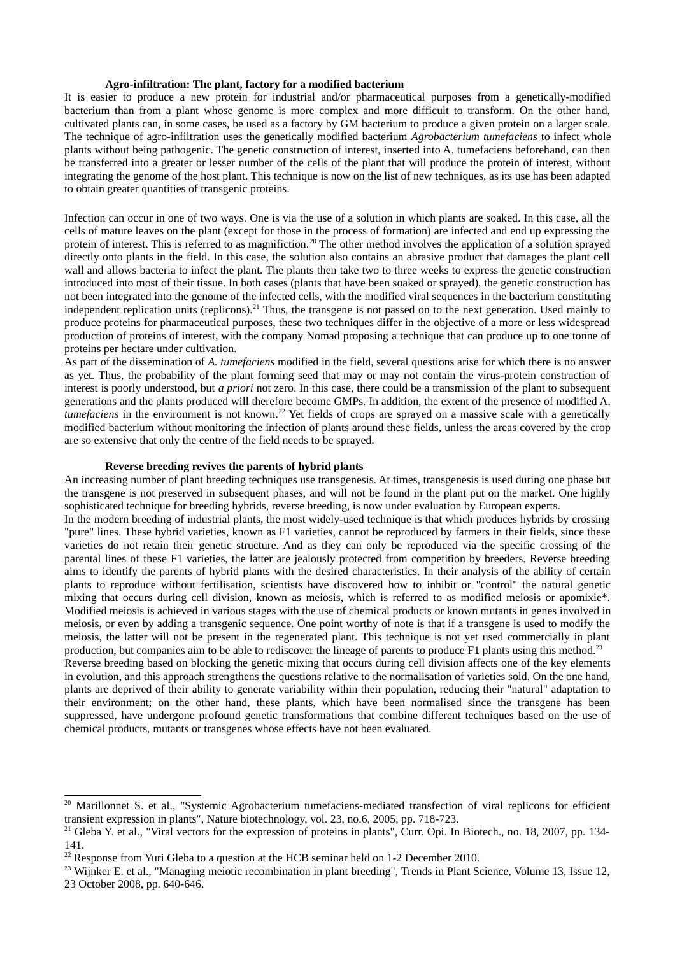## Agro-infiltration: The plant, factory for a modified bacterium

It is easier to produce a new protein for industrial and/or pharmaceutical purposes from a genetically-modified bacterium than from a plant whose genome is more complex and more difficult to transform. On the other hand, cultivated plants can, in some cases, be used as a factory by GM bacterium to produce a given protein on a larger scale. The technique of agro-infiltration uses the genetically modified bacterium Agrobacterium tumefaciens to infect whole plants without being pathogenic. The genetic construction of interest, inserted into A. tumefaciens beforehand, can then be transferred into a greater or lesser number of the cells of the plant that will produce the protein of interest, without integrating the genome of the host plant. This technique is now on the list of new techniques, as its use has been adapted to obtain greater quantities of transgenic proteins.

Infection can occur in one of two ways. One is via the use of a solution in which plants are soaked. In this case, all the cells of mature leaves on the plant (except for those in the process of formation) are infected and end up expressing the protein of interest. This is referred to as magnifiction.<sup>20</sup> The other method involves the application of a solution sprayed directly onto plants in the field. In this case, the solution also contains an abrasive product that damages the plant cell wall and allows bacteria to infect the plant. The plants then take two to three weeks to express the genetic construction introduced into most of their tissue. In both cases (plants that have been soaked or sprayed), the genetic construction has not been integrated into the genome of the infected cells, with the modified viral sequences in the bacterium constituting independent replication units (replicons).<sup>21</sup> Thus, the transgene is not passed on to the next generation. Used mainly to produce proteins for pharmaceutical purposes, these two techniques differ in the objective of a more or less widespread production of proteins of interest, with the company Nomad proposing a technique that can produce up to one tonne of proteins per hectare under cultivation.

As part of the dissemination of A. tumefaciens modified in the field, several questions arise for which there is no answer as yet. Thus, the probability of the plant forming seed that may or may not contain the virus-protein construction of interest is poorly understood, but *a priori* not zero. In this case, there could be a transmission of the plant to subsequent generations and the plants produced will therefore become GMPs. In addition, the extent of the presence of modified A. tumefaciens in the environment is not known.<sup>22</sup> Yet fields of crops are sprayed on a massive scale with a genetically modified bacterium without monitoring the infection of plants around these fields, unless the areas covered by the crop are so extensive that only the centre of the field needs to be sprayed.

#### Reverse breeding revives the parents of hybrid plants

An increasing number of plant breeding techniques use transgenesis. At times, transgenesis is used during one phase but the transgene is not preserved in subsequent phases, and will not be found in the plant put on the market. One highly sophisticated technique for breeding hybrids, reverse breeding, is now under evaluation by European experts,

In the modern breeding of industrial plants, the most widely-used technique is that which produces hybrids by crossing "pure" lines. These hybrid varieties, known as F1 varieties, cannot be reproduced by farmers in their fields, since these varieties do not retain their genetic structure. And as they can only be reproduced via the specific crossing of the parental lines of these F1 varieties, the latter are jealously protected from competition by breeders. Reverse breeding aims to identify the parents of hybrid plants with the desired characteristics. In their analysis of the ability of certain plants to reproduce without fertilisation, scientists have discovered how to inhibit or "control" the natural genetic mixing that occurs during cell division, known as meiosis, which is referred to as modified meiosis or apomixie\*. Modified meiosis is achieved in various stages with the use of chemical products or known mutants in genes involved in meiosis, or even by adding a transgenic sequence. One point worthy of note is that if a transgene is used to modify the meiosis, the latter will not be present in the regenerated plant. This technique is not yet used commercially in plant production, but companies aim to be able to rediscover the lineage of parents to produce F1 plants using this method.<sup>23</sup> Reverse breeding based on blocking the genetic mixing that occurs during cell division affects one of the key elements in evolution, and this approach strengthens the questions relative to the normalisation of varieties sold. On the one hand,

plants are deprived of their ability to generate variability within their population, reducing their "natural" adaptation to their environment; on the other hand, these plants, which have been normalised since the transgene has been suppressed, have undergone profound genetic transformations that combine different techniques based on the use of chemical products, mutants or transgenes whose effects have not been evaluated.

<span id="page-14-1"></span><sup>&</sup>lt;sup>20</sup> Marillonnet S. et al., "Systemic Agrobacterium tumefaciens-mediated transfection of viral replicons for efficient transient expression in plants", Nature biotechnology, vol. 23, no.6, 2005, pp. 718-723.

<span id="page-14-2"></span><sup>&</sup>lt;sup>21</sup> Gleba Y. et al., "Viral vectors for the expression of proteins in plants", Curr. Opi. In Biotech., no. 18, 2007, pp. 134-141.

<span id="page-14-3"></span><sup>&</sup>lt;sup>22</sup> Response from Yuri Gleba to a question at the HCB seminar held on 1-2 December 2010.

<span id="page-14-0"></span><sup>&</sup>lt;sup>23</sup> Wijnker E. et al., "Managing meiotic recombination in plant breeding", Trends in Plant Science, Volume 13, Issue 12, 23 October 2008, pp. 640-646.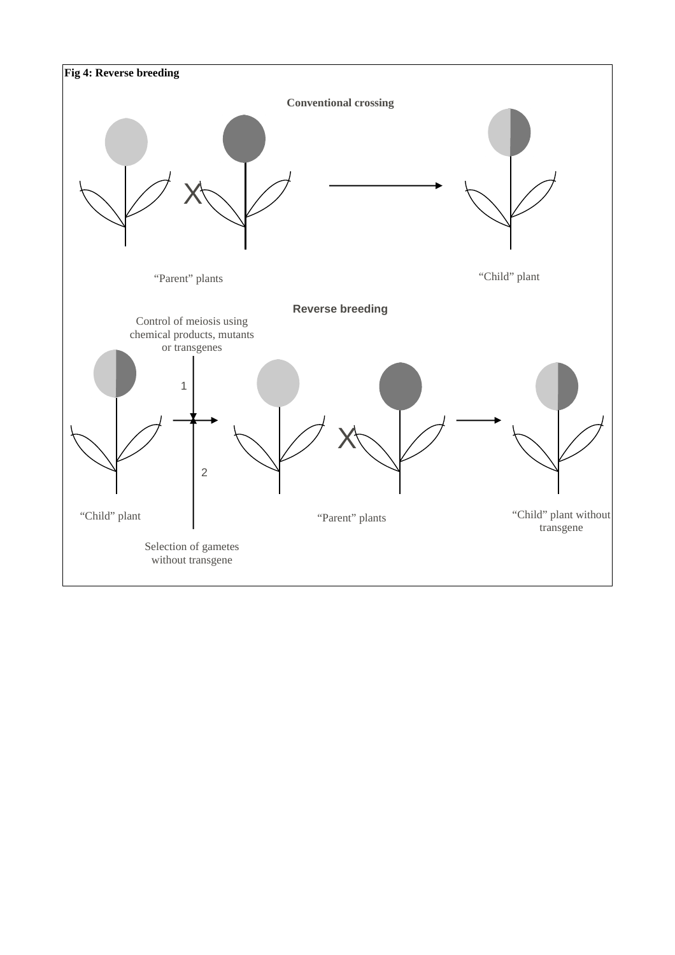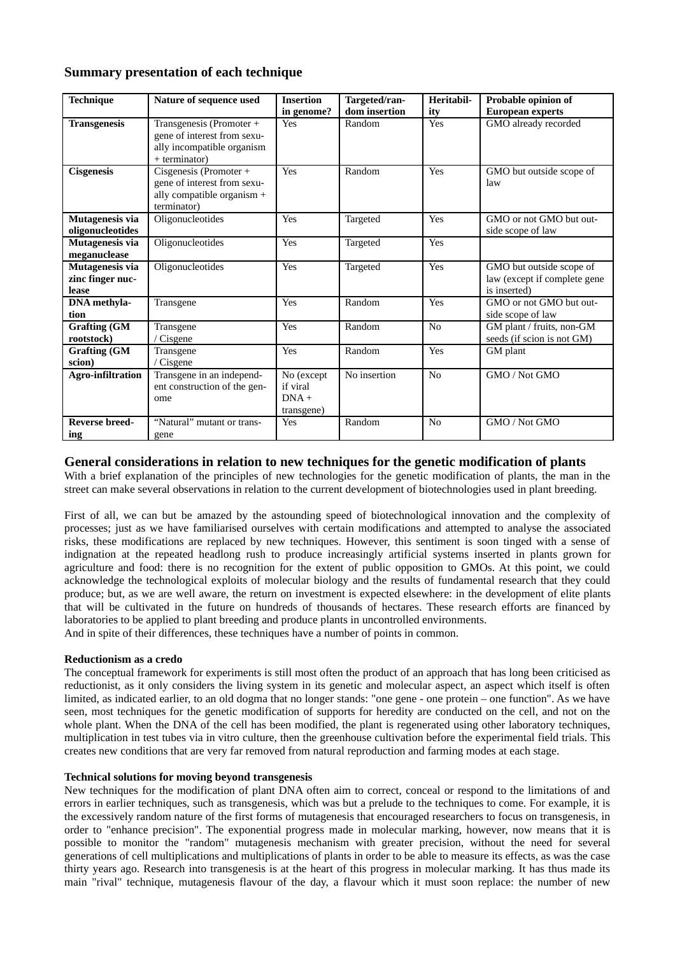## **Summary presentation of each technique**

| <b>Technique</b>                             | Nature of sequence used                                                                                | <b>Insertion</b>                                | Targeted/ran- | Heritabil-     | Probable opinion of                                                      |
|----------------------------------------------|--------------------------------------------------------------------------------------------------------|-------------------------------------------------|---------------|----------------|--------------------------------------------------------------------------|
|                                              |                                                                                                        | in genome?                                      | dom insertion | ity            | <b>European experts</b>                                                  |
| <b>Transgenesis</b>                          | Transgenesis (Promoter +<br>gene of interest from sexu-<br>ally incompatible organism<br>+ terminator) | Yes                                             | Random        | Yes            | GMO already recorded                                                     |
| <b>Cisgenesis</b>                            | Cisgenesis (Promoter +<br>gene of interest from sexu-<br>ally compatible organism +<br>terminator)     | Yes                                             | Random        | Yes            | GMO but outside scope of<br>law                                          |
| Mutagenesis via<br>oligonucleotides          | Oligonucleotides                                                                                       | Yes                                             | Targeted      | Yes            | GMO or not GMO but out-<br>side scope of law                             |
| Mutagenesis via<br>meganuclease              | Oligonucleotides                                                                                       | Yes                                             | Targeted      | Yes            |                                                                          |
| Mutagenesis via<br>zinc finger nuc-<br>lease | Oligonucleotides                                                                                       | Yes                                             | Targeted      | Yes            | GMO but outside scope of<br>law (except if complete gene<br>is inserted) |
| <b>DNA</b> methyla-<br>tion                  | Transgene                                                                                              | Yes                                             | Random        | Yes            | GMO or not GMO but out-<br>side scope of law                             |
| <b>Grafting (GM</b><br>rootstock)            | Transgene<br>Cisgene                                                                                   | Yes                                             | Random        | N <sub>0</sub> | GM plant / fruits, non-GM<br>seeds (if scion is not GM)                  |
| <b>Grafting (GM</b><br>scion)                | Transgene<br>Cisgene                                                                                   | Yes                                             | Random        | Yes            | GM plant                                                                 |
| <b>Agro-infiltration</b>                     | Transgene in an independ-<br>ent construction of the gen-<br>ome                                       | No (except<br>if viral<br>$DNA +$<br>transgene) | No insertion  | N <sub>0</sub> | GMO / Not GMO                                                            |
| <b>Reverse breed-</b><br>ing                 | "Natural" mutant or trans-<br>gene                                                                     | Yes                                             | Random        | No             | GMO / Not GMO                                                            |

## General considerations in relation to new techniques for the genetic modification of plants

With a brief explanation of the principles of new technologies for the genetic modification of plants, the man in the street can make several observations in relation to the current development of biotechnologies used in plant breeding.

First of all, we can but be amazed by the astounding speed of biotechnological innovation and the complexity of processes; just as we have familiarised ourselves with certain modifications and attempted to analyse the associated risks, these modifications are replaced by new techniques. However, this sentiment is soon tinged with a sense of indignation at the repeated headlong rush to produce increasingly artificial systems inserted in plants grown for agriculture and food: there is no recognition for the extent of public opposition to GMOs. At this point, we could acknowledge the technological exploits of molecular biology and the results of fundamental research that they could produce; but, as we are well aware, the return on investment is expected elsewhere: in the development of elite plants that will be cultivated in the future on hundreds of thousands of hectares. These research efforts are financed by laboratories to be applied to plant breeding and produce plants in uncontrolled environments. And in spite of their differences, these techniques have a number of points in common.

## Reductionism as a credo

The conceptual framework for experiments is still most often the product of an approach that has long been criticised as reductionist, as it only considers the living system in its genetic and molecular aspect, an aspect which itself is often limited, as indicated earlier, to an old dogma that no longer stands: "one gene - one protein - one function". As we have seen, most techniques for the genetic modification of supports for heredity are conducted on the cell, and not on the whole plant. When the DNA of the cell has been modified, the plant is regenerated using other laboratory techniques, multiplication in test tubes via in vitro culture, then the greenhouse cultivation before the experimental field trials. This creates new conditions that are very far removed from natural reproduction and farming modes at each stage.

## **Technical solutions for moving bevond transgenesis**

New techniques for the modification of plant DNA often aim to correct, conceal or respond to the limitations of and errors in earlier techniques, such as transgenesis, which was but a prelude to the techniques to come. For example, it is the excessively random nature of the first forms of mutagenesis that encouraged researchers to focus on transgenesis, in order to "enhance precision". The exponential progress made in molecular marking, however, now means that it is possible to monitor the "random" mutagenesis mechanism with greater precision, without the need for several generations of cell multiplications and multiplications of plants in order to be able to measure its effects, as was the case thirty years ago. Research into transgenesis is at the heart of this progress in molecular marking. It has thus made its main "rival" technique, mutagenesis flavour of the day, a flavour which it must soon replace: the number of new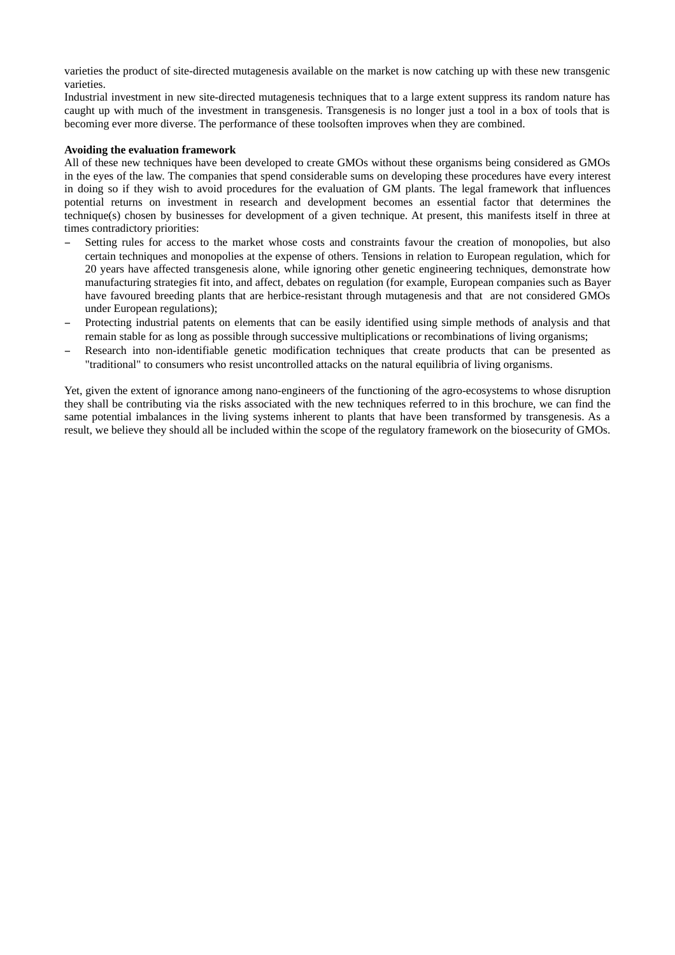varieties the product of site-directed mutagenesis available on the market is now catching up with these new transgenic varieties

Industrial investment in new site-directed mutagenesis techniques that to a large extent suppress its random nature has caught up with much of the investment in transgenesis. Transgenesis is no longer just a tool in a box of tools that is becoming ever more diverse. The performance of these toolsoften improves when they are combined.

## Avoiding the evaluation framework

All of these new techniques have been developed to create GMOs without these organisms being considered as GMOs in the eyes of the law. The companies that spend considerable sums on developing these procedures have every interest in doing so if they wish to avoid procedures for the evaluation of GM plants. The legal framework that influences potential returns on investment in research and development becomes an essential factor that determines the technique(s) chosen by businesses for development of a given technique. At present, this manifests itself in three at times contradictory priorities:

- Setting rules for access to the market whose costs and constraints favour the creation of monopolies, but also certain techniques and monopolies at the expense of others. Tensions in relation to European regulation, which for 20 years have affected transgenesis alone, while ignoring other genetic engineering techniques, demonstrate how manufacturing strategies fit into, and affect, debates on regulation (for example, European companies such as Bayer have favoured breeding plants that are herbice-resistant through mutagenesis and that are not considered GMOs under European regulations):
- Protecting industrial patents on elements that can be easily identified using simple methods of analysis and that remain stable for as long as possible through successive multiplications or recombinations of living organisms;
- Research into non-identifiable genetic modification techniques that create products that can be presented as "traditional" to consumers who resist uncontrolled attacks on the natural equilibria of living organisms.

Yet, given the extent of ignorance among nano-engineers of the functioning of the agro-ecosystems to whose disruption they shall be contributing via the risks associated with the new techniques referred to in this brochure, we can find the same potential imbalances in the living systems inherent to plants that have been transformed by transgenesis. As a result, we believe they should all be included within the scope of the regulatory framework on the biosecurity of GMOs.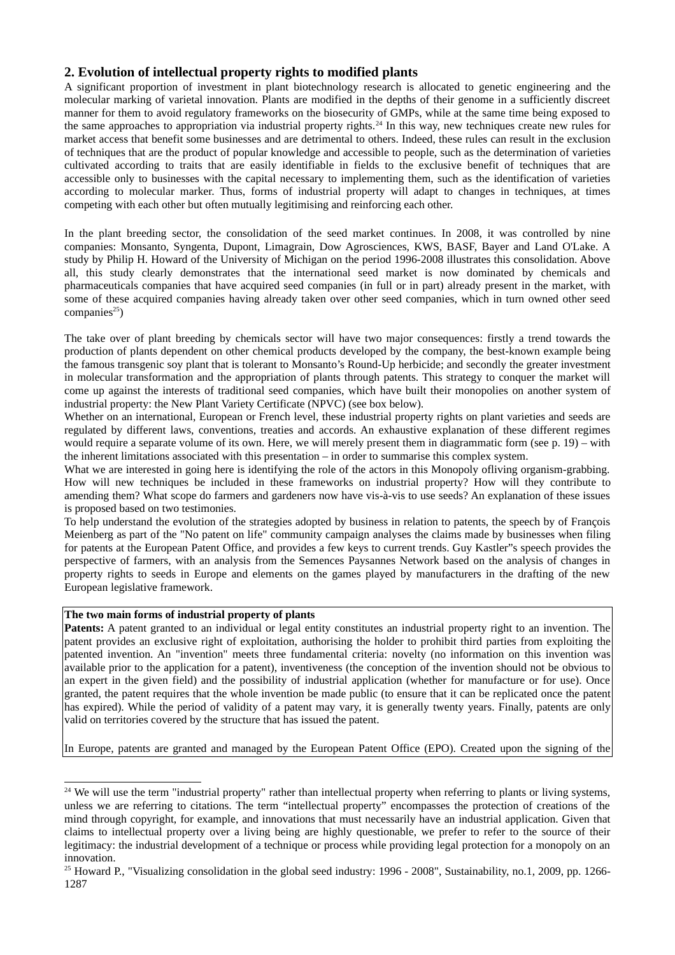## 2. Evolution of intellectual property rights to modified plants

A significant proportion of investment in plant biotechnology research is allocated to genetic engineering and the molecular marking of varietal innovation. Plants are modified in the depths of their genome in a sufficiently discreet manner for them to avoid regulatory frameworks on the biosecurity of GMPs, while at the same time being exposed to the same approaches to appropriation via industrial property rights.<sup>24</sup> In this way, new techniques create new rules for market access that benefit some businesses and are detrimental to others. Indeed, these rules can result in the exclusion of techniques that are the product of popular knowledge and accessible to people, such as the determination of varieties cultivated according to traits that are easily identifiable in fields to the exclusive benefit of techniques that are accessible only to businesses with the capital necessary to implementing them, such as the identification of varieties according to molecular marker. Thus, forms of industrial property will adapt to changes in techniques, at times competing with each other but often mutually legitimising and reinforcing each other.

In the plant breeding sector, the consolidation of the seed market continues. In 2008, it was controlled by nine companies: Monsanto, Syngenta, Dupont, Limagrain, Dow Agrosciences, KWS, BASF, Bayer and Land O'Lake. A study by Philip H. Howard of the University of Michigan on the period 1996-2008 illustrates this consolidation. Above all, this study clearly demonstrates that the international seed market is now dominated by chemicals and pharmaceuticals companies that have acquired seed companies (in full or in part) already present in the market, with some of these acquired companies having already taken over other seed companies, which in turn owned other seed companies $^{25}$ )

The take over of plant breeding by chemicals sector will have two major consequences: firstly a trend towards the production of plants dependent on other chemical products developed by the company, the best-known example being the famous transgenic soy plant that is tolerant to Monsanto's Round-Up herbicide; and secondly the greater investment in molecular transformation and the appropriation of plants through patents. This strategy to conquer the market will come up against the interests of traditional seed companies, which have built their monopolies on another system of industrial property: the New Plant Variety Certificate (NPVC) (see box below).

Whether on an international, European or French level, these industrial property rights on plant varieties and seeds are regulated by different laws, conventions, treaties and accords. An exhaustive explanation of these different regimes would require a separate volume of its own. Here, we will merely present them in diagrammatic form (see  $p. 19$ ) – with the inherent limitations associated with this presentation  $-$  in order to summarise this complex system.

What we are interested in going here is identifying the role of the actors in this Monopoly ofliving organism-grabbing. How will new techniques be included in these frameworks on industrial property? How will they contribute to amending them? What scope do farmers and gardeners now have vis-à-vis to use seeds? An explanation of these issues is proposed based on two testimonies.

To help understand the evolution of the strategies adopted by business in relation to patents, the speech by of Francois Meienberg as part of the "No patent on life" community campaign analyses the claims made by businesses when filing for patents at the European Patent Office, and provides a few keys to current trends. Guy Kastler"s speech provides the perspective of farmers, with an analysis from the Semences Paysannes Network based on the analysis of changes in property rights to seeds in Europe and elements on the games played by manufacturers in the drafting of the new European legislative framework.

## The two main forms of industrial property of plants

Patents: A patent granted to an individual or legal entity constitutes an industrial property right to an invention. The patent provides an exclusive right of exploitation, authorising the holder to prohibit third parties from exploiting the patented invention. An "invention" meets three fundamental criteria: novelty (no information on this invention was available prior to the application for a patent), inventiveness (the conception of the invention should not be obvious to an expert in the given field) and the possibility of industrial application (whether for manufacture or for use). Once granted, the patent requires that the whole invention be made public (to ensure that it can be replicated once the patent has expired). While the period of validity of a patent may vary, it is generally twenty years. Finally, patents are only valid on territories covered by the structure that has issued the patent.

In Europe, patents are granted and managed by the European Patent Office (EPO). Created upon the signing of the

<span id="page-18-1"></span><sup>&</sup>lt;sup>24</sup> We will use the term "industrial property" rather than intellectual property when referring to plants or living systems, unless we are referring to citations. The term "intellectual property" encompasses the protection of creations of the mind through convright, for example, and innovations that must necessarily have an industrial application. Given that claims to intellectual property over a living being are highly questionable, we prefer to refer to the source of their legitimacy: the industrial development of a technique or process while providing legal protection for a monopoly on an innovation.

<span id="page-18-0"></span> $25$  Howard P., "Visualizing consolidation in the global seed industry: 1996 - 2008", Sustainability, no.1, 2009, pp. 1266-1287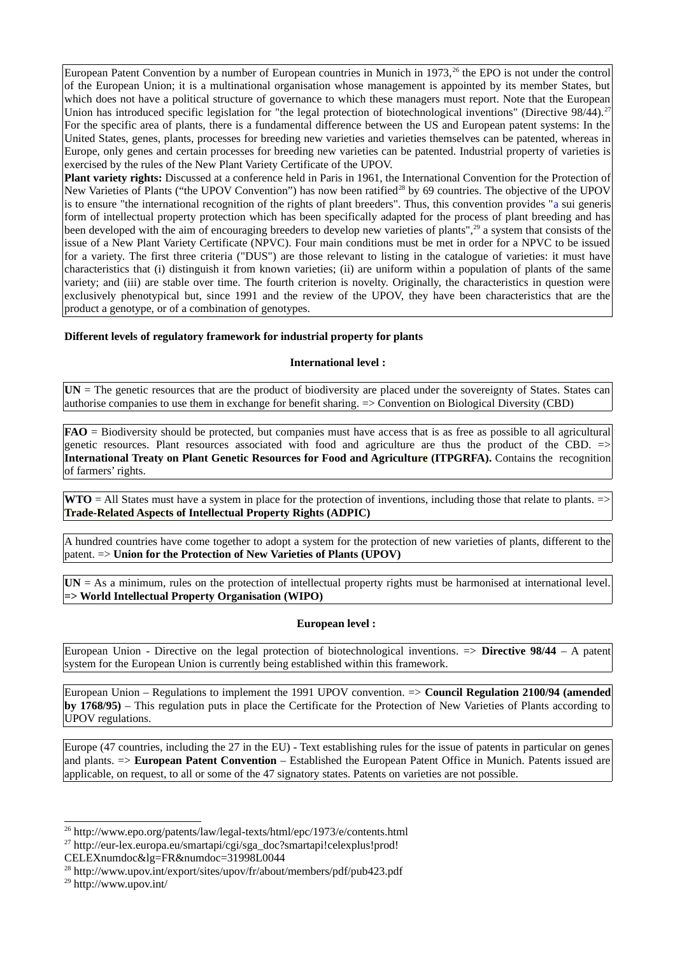European Patent Convention by a number of European countries in Munich in 1973,<sup>26</sup> the EPO is not under the control of the European Union: it is a multinational organisation whose management is appointed by its member States, but which does not have a political structure of governance to which these managers must report. Note that the European Union has introduced specific legislation for "the legal protection of biotechnological inventions" (Directive 98/44).<sup>27</sup> For the specific area of plants, there is a fundamental difference between the US and European patent systems: In the United States, genes, plants, processes for breeding new varieties and varieties themselves can be patented, whereas in Europe, only genes and certain processes for breeding new varieties can be patented. Industrial property of varieties is exercised by the rules of the New Plant Variety Certificate of the UPOV.

Plant variety rights: Discussed at a conference held in Paris in 1961, the International Convention for the Protection of New Varieties of Plants ("the UPOV Convention") has now been ratified<sup>28</sup> by 69 countries. The objective of the UPOV is to ensure "the international recognition of the rights of plant breeders". Thus, this convention provides "a sui generis form of intellectual property protection which has been specifically adapted for the process of plant breeding and has been developed with the aim of encouraging breeders to develop new varieties of plants",<sup>29</sup> a system that consists of the issue of a New Plant Variety Certificate (NPVC). Four main conditions must be met in order for a NPVC to be issued for a variety. The first three criteria ("DUS") are those relevant to listing in the catalogue of varieties: it must have characteristics that (i) distinguish it from known varieties; (ii) are uniform within a population of plants of the same variety; and (iii) are stable over time. The fourth criterion is novelty. Originally, the characteristics in question were exclusively phenotypical but, since 1991 and the review of the UPOV, they have been characteristics that are the product a genotype, or of a combination of genotypes.

## Different levels of regulatory framework for industrial property for plants

### **International level:**

 $UN = The$  genetic resources that are the product of biodiversity are placed under the sovereignty of States. States can authorise companies to use them in exchange for benefit sharing. => Convention on Biological Diversity (CBD)

 $FAO =$  Biodiversity should be protected, but companies must have access that is as free as possible to all agricultural genetic resources. Plant resources associated with food and agriculture are thus the product of the CBD.  $\Rightarrow$ International Treaty on Plant Genetic Resources for Food and Agriculture (ITPGRFA). Contains the recognition of farmers' rights.

**WTO** = All States must have a system in place for the protection of inventions, including those that relate to plants.  $\Rightarrow$ **Trade-Related Aspects of Intellectual Property Rights (ADPIC)** 

A hundred countries have come together to adopt a system for the protection of new varieties of plants, different to the  $\alpha$  patent.  $\Rightarrow$  Union for the Protection of New Varieties of Plants (UPOV)

 $UN = As$  a minimum, rules on the protection of intellectual property rights must be harmonised at international level. => World Intellectual Property Organisation (WIPO)

### **European level:**

European Union - Directive on the legal protection of biotechnological inventions. => Directive 98/44 - A patent system for the European Union is currently being established within this framework.

European Union – Regulations to implement the 1991 UPOV convention. => Council Regulation 2100/94 (amended  $\mathbf{b}$  v 1768/95) – This regulation puts in place the Certificate for the Protection of New Varieties of Plants according to **UPOV** regulations.

Europe (47 countries, including the 27 in the EU) - Text establishing rules for the issue of patents in particular on genes and plants. => European Patent Convention – Established the European Patent Office in Munich. Patents issued are applicable, on request, to all or some of the 47 signatory states. Patents on varieties are not possible.

<span id="page-19-2"></span><sup>27</sup> http://eur-lex.europa.eu/smartapi/cgi/sga\_doc?smartapi!celexplus!prod!

<span id="page-19-1"></span> $^{26}$  http://www.epo.org/patents/law/legal-texts/html/epc/1973/e/contents.html

CELEXnumdoc&lg=FR&numdoc=31998L0044

<span id="page-19-3"></span><sup>&</sup>lt;sup>28</sup> http://www.upov.int/export/sites/upov/fr/about/members/pdf/pub423.pdf

<span id="page-19-0"></span><sup>&</sup>lt;sup>29</sup> http://www.upov.int/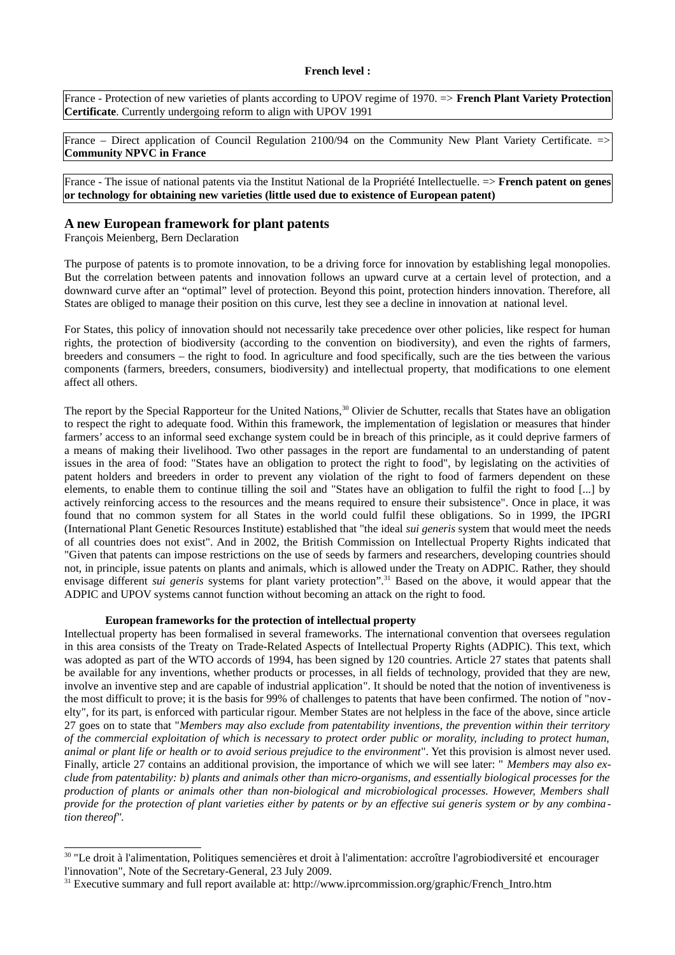France - Protection of new varieties of plants according to UPOV regime of 1970. => French Plant Variety Protection Certificate. Currently undergoing reform to align with UPOV 1991

France – Direct application of Council Regulation 2100/94 on the Community New Plant Variety Certificate.  $\Rightarrow$ **Community NPVC in France** 

France - The issue of national patents via the Institut National de la Propriété Intellectuelle. => French patent on genes or technology for obtaining new varieties (little used due to existence of European patent)

### A new European framework for plant patents

François Meienberg, Bern Declaration

The purpose of patents is to promote innovation, to be a driving force for innovation by establishing legal monopolies. But the correlation between patents and innovation follows an upward curve at a certain level of protection, and a downward curve after an "optimal" level of protection. Beyond this point, protection hinders innovation. Therefore, all States are obliged to manage their position on this curve, lest they see a decline in innovation at national level.

For States, this policy of innovation should not necessarily take precedence over other policies, like respect for human rights, the protection of biodiversity (according to the convention on biodiversity), and even the rights of farmers, breeders and consumers – the right to food. In agriculture and food specifically, such are the ties between the various components (farmers, breeders, consumers, biodiversity) and intellectual property, that modifications to one element affect all others.

The report by the Special Rapporteur for the United Nations,<sup>30</sup> Olivier de Schutter, recalls that States have an obligation to respect the right to adequate food. Within this framework, the implementation of legislation or measures that hinder farmers' access to an informal seed exchange system could be in breach of this principle, as it could deprive farmers of a means of making their livelihood. Two other passages in the report are fundamental to an understanding of patent issues in the area of food: "States have an obligation to protect the right to food", by legislating on the activities of patent holders and breeders in order to prevent any violation of the right to food of farmers dependent on these elements, to enable them to continue tilling the soil and "States have an obligation to fulfil the right to food [...] by actively reinforcing access to the resources and the means required to ensure their subsistence". Once in place, it was found that no common system for all States in the world could fulfil these obligations. So in 1999, the IPGRI (International Plant Genetic Resources Institute) established that "the ideal *sui generis* system that would meet the needs of all countries does not exist". And in 2002, the British Commission on Intellectual Property Rights indicated that "Given that patents can impose restrictions on the use of seeds by farmers and researchers, developing countries should not, in principle, issue patents on plants and animals, which is allowed under the Treaty on ADPIC. Rather, they should envisage different sui generis systems for plant variety protection".<sup>31</sup> Based on the above, it would appear that the ADPIC and UPOV systems cannot function without becoming an attack on the right to food.

#### European frameworks for the protection of intellectual property

Intellectual property has been formalised in several frameworks. The international convention that oversees regulation in this area consists of the Treaty on Trade-Related Aspects of Intellectual Property Rights (ADPIC). This text, which was adopted as part of the WTO accords of 1994, has been signed by 120 countries. Article 27 states that patents shall be available for any inventions, whether products or processes, in all fields of technology, provided that they are new, involve an inventive step and are capable of industrial application". It should be noted that the notion of inventiveness is the most difficult to prove; it is the basis for 99% of challenges to patents that have been confirmed. The notion of "novelty", for its part, is enforced with particular rigour. Member States are not helpless in the face of the above, since article 27 goes on to state that "Members may also exclude from patentability inventions, the prevention within their territory of the commercial exploitation of which is necessary to protect order public or morality, including to protect human, animal or plant life or health or to avoid serious prejudice to the environment". Yet this provision is almost never used. Finally, article 27 contains an additional provision, the importance of which we will see later: " Members may also exclude from patentability: b) plants and animals other than micro-organisms, and essentially biological processes for the production of plants or animals other than non-biological and microbiological processes. However, Members shall provide for the protection of plant varieties either by patents or by an effective sui generis system or by any combination thereof".

<span id="page-20-1"></span><sup>&</sup>lt;sup>30</sup> "Le droit à l'alimentation, Politiques semencières et droit à l'alimentation: accroître l'agrobiodiversité et encourager l'innovation", Note of the Secretary-General, 23 July 2009.

<span id="page-20-0"></span> $31$  Executive summary and full report available at: http://www.iprcommission.org/graphic/French Intro.htm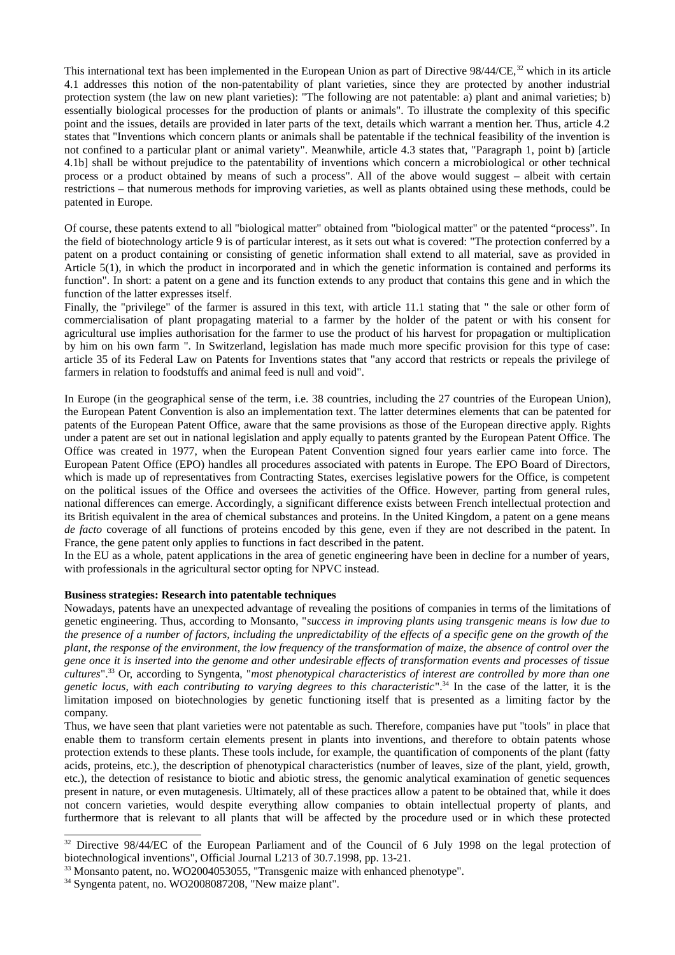This international text has been implemented in the European Union as part of Directive  $98/44$ /CE,<sup>32</sup> which in its article 4.1 addresses this notion of the non-patentability of plant varieties, since they are protected by another industrial protection system (the law on new plant varieties): "The following are not patentable: a) plant and animal varieties; b) essentially biological processes for the production of plants or animals". To illustrate the complexity of this specific point and the issues, details are provided in later parts of the text, details which warrant a mention her. Thus, article 4.2 states that "Inventions which concern plants or animals shall be patentable if the technical feasibility of the invention is not confined to a particular plant or animal variety". Meanwhile, article 4.3 states that, "Paragraph 1, point b) [article 4.1b] shall be without prejudice to the patentability of inventions which concern a microbiological or other technical process or a product obtained by means of such a process". All of the above would suggest – albeit with certain restrictions - that numerous methods for improving varieties, as well as plants obtained using these methods, could be patented in Europe.

Of course, these patents extend to all "biological matter" obtained from "biological matter" or the patented "process". In the field of biotechnology article 9 is of particular interest, as it sets out what is covered: "The protection conferred by a patent on a product containing or consisting of genetic information shall extend to all material, save as provided in Article 5(1), in which the product in incorporated and in which the genetic information is contained and performs its function". In short: a patent on a gene and its function extends to any product that contains this gene and in which the function of the latter expresses itself.

Finally, the "privilege" of the farmer is assured in this text, with article 11.1 stating that " the sale or other form of commercialisation of plant propagating material to a farmer by the holder of the patent or with his consent for agricultural use implies authorisation for the farmer to use the product of his harvest for propagation or multiplication by him on his own farm ". In Switzerland, legislation has made much more specific provision for this type of case: article 35 of its Federal Law on Patents for Inventions states that "any accord that restricts or repeals the privilege of farmers in relation to foodstuffs and animal feed is null and void".

In Europe (in the geographical sense of the term, i.e. 38 countries, including the 27 countries of the European Union), the European Patent Convention is also an implementation text. The latter determines elements that can be patented for patents of the European Patent Office, aware that the same provisions as those of the European directive apply. Rights under a patent are set out in national legislation and apply equally to patents granted by the European Patent Office. The Office was created in 1977, when the European Patent Convention signed four years earlier came into force. The European Patent Office (EPO) handles all procedures associated with patents in Europe. The EPO Board of Directors, which is made up of representatives from Contracting States, exercises legislative powers for the Office, is competent on the political issues of the Office and oversees the activities of the Office. However, parting from general rules, national differences can emerge. Accordingly, a significant difference exists between French intellectual protection and its British equivalent in the area of chemical substances and proteins. In the United Kingdom, a patent on a gene means de facto coverage of all functions of proteins encoded by this gene, even if they are not described in the patent. In France, the gene patent only applies to functions in fact described in the patent.

In the EU as a whole, patent applications in the area of genetic engineering have been in decline for a number of vears, with professionals in the agricultural sector opting for NPVC instead.

### Business strategies: Research into patentable techniques

Nowadays, patents have an unexpected advantage of revealing the positions of companies in terms of the limitations of genetic engineering. Thus, according to Monsanto, "success in improving plants using transgenic means is low due to the presence of a number of factors, including the unpredictability of the effects of a specific gene on the growth of the plant, the response of the environment, the low frequency of the transformation of maize, the absence of control over the gene once it is inserted into the genome and other undesirable effects of transformation events and processes of tissue cultures".<sup>33</sup> Or, according to Syngenta, "most phenotypical characteristics of interest are controlled by more than one genetic locus, with each contributing to varying degrees to this characteristic".<sup>34</sup> In the case of the latter, it is the limitation imposed on biotechnologies by genetic functioning itself that is presented as a limiting factor by the company.

Thus, we have seen that plant varieties were not patentable as such. Therefore, companies have put "tools" in place that enable them to transform certain elements present in plants into inventions, and therefore to obtain patents whose protection extends to these plants. These tools include, for example, the quantification of components of the plant (fatty acids, proteins, etc.), the description of phenotypical characteristics (number of leaves, size of the plant, yield, growth, etc.), the detection of resistance to biotic and abiotic stress, the genomic analytical examination of genetic sequences present in nature, or even mutagenesis. Ultimately, all of these practices allow a patent to be obtained that, while it does not concern varieties, would despite everything allow companies to obtain intellectual property of plants, and furthermore that is relevant to all plants that will be affected by the procedure used or in which these protected

<span id="page-21-1"></span><sup>&</sup>lt;sup>32</sup> Directive 98/44/EC of the European Parliament and of the Council of 6 July 1998 on the legal protection of biotechnological inventions", Official Journal L213 of 30.7.1998, pp. 13-21.

<span id="page-21-2"></span><sup>&</sup>lt;sup>33</sup> Monsanto patent, no. WO2004053055, "Transgenic maize with enhanced phenotype".

<span id="page-21-0"></span><sup>&</sup>lt;sup>34</sup> Syngenta patent, no. WO2008087208, "New maize plant".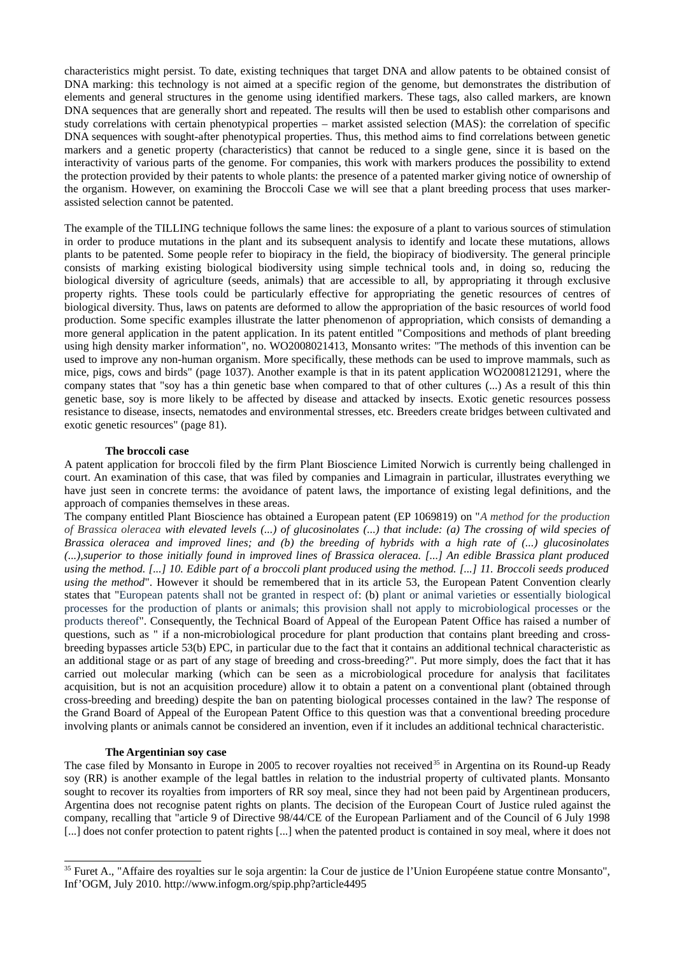characteristics might persist. To date, existing techniques that target DNA and allow patents to be obtained consist of DNA marking: this technology is not aimed at a specific region of the genome, but demonstrates the distribution of elements and general structures in the genome using identified markers. These tags, also called markers, are known DNA sequences that are generally short and repeated. The results will then be used to establish other comparisons and study correlations with certain phenotypical properties – market assisted selection (MAS): the correlation of specific DNA sequences with sought-after phenotypical properties. Thus, this method aims to find correlations between genetic markers and a genetic property (characteristics) that cannot be reduced to a single gene, since it is based on the interactivity of various parts of the genome. For companies, this work with markers produces the possibility to extend the protection provided by their patents to whole plants: the presence of a patented marker giving notice of ownership of the organism. However, on examining the Broccoli Case we will see that a plant breeding process that uses markerassisted selection cannot be patented.

The example of the TILLING technique follows the same lines: the exposure of a plant to various sources of stimulation in order to produce mutations in the plant and its subsequent analysis to identify and locate these mutations, allows plants to be patented. Some people refer to biopiracy in the field, the biopiracy of biodiversity. The general principle consists of marking existing biological biodiversity using simple technical tools and, in doing so, reducing the biological diversity of agriculture (seeds, animals) that are accessible to all, by appropriating it through exclusive property rights. These tools could be particularly effective for appropriating the genetic resources of centres of biological diversity. Thus, laws on patents are deformed to allow the appropriation of the basic resources of world food production. Some specific examples illustrate the latter phenomenon of appropriation, which consists of demanding a more general application in the patent application. In its patent entitled "Compositions and methods of plant breeding using high density marker information", no. WO2008021413, Monsanto writes: "The methods of this invention can be used to improve any non-human organism. More specifically, these methods can be used to improve mammals, such as mice, pigs, cows and birds" (page 1037). Another example is that in its patent application WO2008121291, where the company states that "soy has a thin genetic base when compared to that of other cultures (...) As a result of this thin genetic base, soy is more likely to be affected by disease and attacked by insects. Exotic genetic resources possess resistance to disease, insects, nematodes and environmental stresses, etc. Breeders create bridges between cultivated and exotic genetic resources" (page 81).

#### The broccoli case

A patent application for broccoli filed by the firm Plant Bioscience Limited Norwich is currently being challenged in court. An examination of this case, that was filed by companies and Limagrain in particular, illustrates everything we have just seen in concrete terms: the avoidance of patent laws, the importance of existing legal definitions, and the approach of companies themselves in these areas.

The company entitled Plant Bioscience has obtained a European patent (EP 1069819) on "A method for the production of Brassica oleracea with elevated levels (...) of glucosinolates (...) that include: (a) The crossing of wild species of Brassica oleracea and improved lines; and (b) the breeding of hybrids with a high rate of  $(...)$  glucosinolates (...), superior to those initially found in improved lines of Brassica oleracea. [...] An edible Brassica plant produced using the method. [...] 10. Edible part of a broccoli plant produced using the method. [...] 11. Broccoli seeds produced using the method". However it should be remembered that in its article 53, the European Patent Convention clearly states that "European patents shall not be granted in respect of: (b) plant or animal varieties or essentially biological processes for the production of plants or animals; this provision shall not apply to microbiological processes or the products thereof". Consequently, the Technical Board of Appeal of the European Patent Office has raised a number of questions, such as " if a non-microbiological procedure for plant production that contains plant breeding and crossbreeding bypasses article 53(b) EPC, in particular due to the fact that it contains an additional technical characteristic as an additional stage or as part of any stage of breeding and cross-breeding?". Put more simply, does the fact that it has carried out molecular marking (which can be seen as a microbiological procedure for analysis that facilitates acquisition, but is not an acquisition procedure) allow it to obtain a patent on a conventional plant (obtained through cross-breeding and breeding) despite the ban on patenting biological processes contained in the law? The response of the Grand Board of Appeal of the European Patent Office to this question was that a conventional breeding procedure involving plants or animals cannot be considered an invention, even if it includes an additional technical characteristic.

### The Argentinian soy case

The case filed by Monsanto in Europe in 2005 to recover royalties not received<sup>35</sup> in Argentina on its Round-up Ready soy (RR) is another example of the legal battles in relation to the industrial property of cultivated plants. Monsanto sought to recover its royalties from importers of RR soy meal, since they had not been paid by Argentinean producers, Argentina does not recognise patent rights on plants. The decision of the European Court of Justice ruled against the company, recalling that "article 9 of Directive 98/44/CE of the European Parliament and of the Council of 6 July 1998 [...] does not confer protection to patent rights [...] when the patented product is contained in soy meal, where it does not

<span id="page-22-0"></span><sup>&</sup>lt;sup>35</sup> Furet A., "Affaire des royalties sur le soja argentin: la Cour de justice de l'Union Européene statue contre Monsanto", Inf'OGM, July 2010. http://www.infogm.org/spip.php?article4495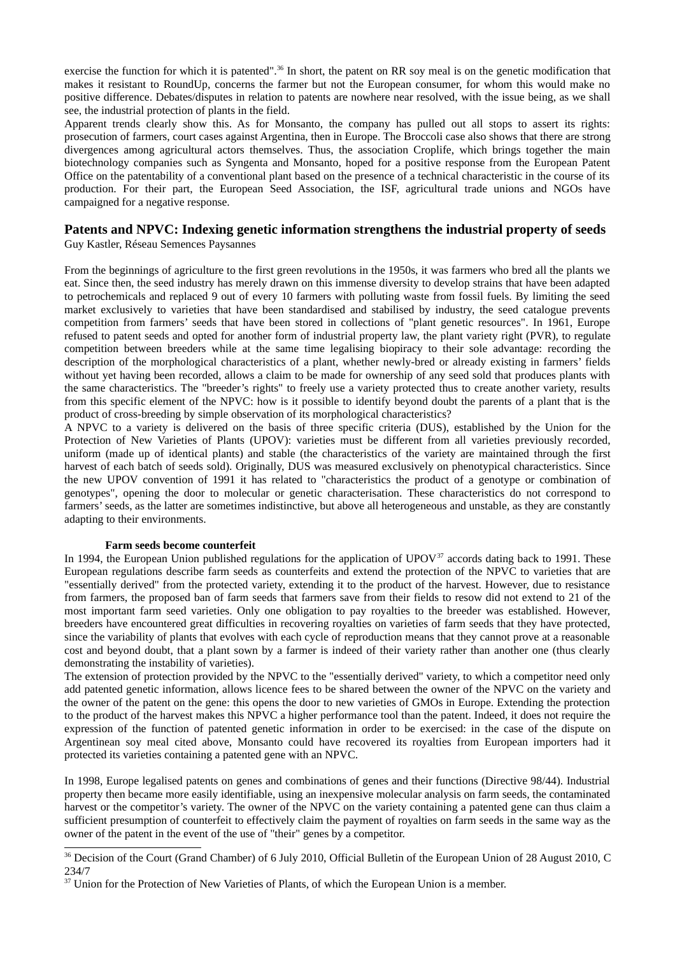exercise the function for which it is patented".<sup>36</sup> In short, the patent on RR soy meal is on the genetic modification that makes it resistant to RoundUp, concerns the farmer but not the European consumer, for whom this would make no positive difference. Debates/disputes in relation to patents are nowhere near resolved, with the issue being, as we shall see, the industrial protection of plants in the field.

Apparent trends clearly show this. As for Monsanto, the company has pulled out all stops to assert its rights: prosecution of farmers, court cases against Argentina, then in Europe. The Broccoli case also shows that there are strong divergences among agricultural actors themselves. Thus, the association Croplife, which brings together the main biotechnology companies such as Syngenta and Monsanto, hoped for a positive response from the European Patent Office on the patentability of a conventional plant based on the presence of a technical characteristic in the course of its production. For their part, the European Seed Association, the ISF, agricultural trade unions and NGOs have campaigned for a negative response.

### Patents and NPVC: Indexing genetic information strengthens the industrial property of seeds Guy Kastler, Réseau Semences Paysannes

From the beginnings of agriculture to the first green revolutions in the 1950s, it was farmers who bred all the plants we eat. Since then, the seed industry has merely drawn on this immense diversity to develop strains that have been adapted to petrochemicals and replaced 9 out of every 10 farmers with polluting waste from fossil fuels. By limiting the seed market exclusively to varieties that have been standardised and stabilised by industry, the seed catalogue prevents competition from farmers' seeds that have been stored in collections of "plant genetic resources". In 1961, Europe refused to patent seeds and opted for another form of industrial property law, the plant variety right (PVR), to regulate competition between breeders while at the same time legalising biopiracy to their sole advantage: recording the description of the morphological characteristics of a plant, whether newly-bred or already existing in farmers' fields without yet having been recorded, allows a claim to be made for ownership of any seed sold that produces plants with the same characteristics. The "breeder's rights" to freely use a variety protected thus to create another variety, results from this specific element of the NPVC: how is it possible to identify beyond doubt the parents of a plant that is the product of cross-breeding by simple observation of its morphological characteristics?

A NPVC to a variety is delivered on the basis of three specific criteria (DUS), established by the Union for the Protection of New Varieties of Plants (UPOV): varieties must be different from all varieties previously recorded, uniform (made up of identical plants) and stable (the characteristics of the variety are maintained through the first harvest of each batch of seeds sold). Originally, DUS was measured exclusively on phenotypical characteristics. Since the new UPOV convention of 1991 it has related to "characteristics the product of a genotype or combination of genotypes", opening the door to molecular or genetic characterisation. These characteristics do not correspond to farmers' seeds, as the latter are sometimes indistinctive, but above all heterogeneous and unstable, as they are constantly adapting to their environments.

#### Farm seeds become counterfeit

In 1994, the European Union published regulations for the application of  $UPOV<sup>37</sup>$  accords dating back to 1991. These European regulations describe farm seeds as counterfeits and extend the protection of the NPVC to varieties that are "essentially derived" from the protected variety, extending it to the product of the harvest. However, due to resistance from farmers, the proposed ban of farm seeds that farmers save from their fields to resow did not extend to 21 of the most important farm seed varieties. Only one obligation to pay royalties to the breeder was established. However, breeders have encountered great difficulties in recovering royalties on varieties of farm seeds that they have protected, since the variability of plants that evolves with each cycle of reproduction means that they cannot prove at a reasonable cost and beyond doubt, that a plant sown by a farmer is indeed of their variety rather than another one (thus clearly demonstrating the instability of varieties).

The extension of protection provided by the NPVC to the "essentially derived" variety, to which a competitor need only add patented genetic information, allows licence fees to be shared between the owner of the NPVC on the variety and the owner of the patent on the gene: this opens the door to new varieties of GMOs in Europe. Extending the protection to the product of the harvest makes this NPVC a higher performance tool than the patent. Indeed, it does not require the expression of the function of patented genetic information in order to be exercised: in the case of the dispute on Argentinean soy meal cited above, Monsanto could have recovered its royalties from European importers had it protected its varieties containing a patented gene with an NPVC.

In 1998, Europe legalised patents on genes and combinations of genes and their functions (Directive 98/44). Industrial property then became more easily identifiable, using an inexpensive molecular analysis on farm seeds, the contaminated harvest or the competitor's variety. The owner of the NPVC on the variety containing a patented gene can thus claim a sufficient presumption of counterfeit to effectively claim the payment of royalties on farm seeds in the same way as the owner of the patent in the event of the use of "their" genes by a competitor.

<span id="page-23-1"></span><sup>&</sup>lt;sup>36</sup> Decision of the Court (Grand Chamber) of 6 July 2010, Official Bulletin of the European Union of 28 August 2010, C 234/7

<span id="page-23-0"></span><sup>&</sup>lt;sup>37</sup> Union for the Protection of New Varieties of Plants, of which the European Union is a member.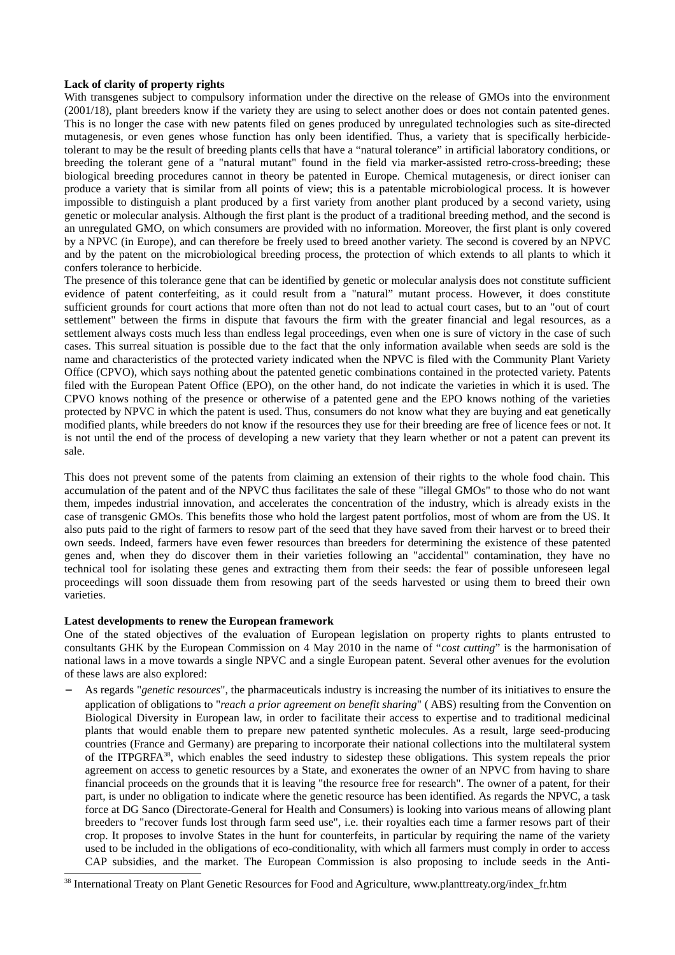### Lack of clarity of property rights

With transgenes subject to compulsory information under the directive on the release of GMOs into the environment (2001/18), plant breeders know if the variety they are using to select another does or does not contain patented genes. This is no longer the case with new patents filed on genes produced by unregulated technologies such as site-directed mutagenesis, or even genes whose function has only been identified. Thus, a variety that is specifically herbicidetolerant to may be the result of breeding plants cells that have a "natural tolerance" in artificial laboratory conditions, or breeding the tolerant gene of a "natural mutant" found in the field via marker-assisted retro-cross-breeding; these biological breeding procedures cannot in theory be patented in Europe. Chemical mutagenesis, or direct ioniser can produce a variety that is similar from all points of view; this is a patentable microbiological process. It is however impossible to distinguish a plant produced by a first variety from another plant produced by a second variety, using genetic or molecular analysis. Although the first plant is the product of a traditional breeding method, and the second is an unregulated GMO, on which consumers are provided with no information. Moreover, the first plant is only covered by a NPVC (in Europe), and can therefore be freely used to breed another variety. The second is covered by an NPVC and by the patent on the microbiological breeding process, the protection of which extends to all plants to which it confers tolerance to herbicide.

The presence of this tolerance gene that can be identified by genetic or molecular analysis does not constitute sufficient evidence of patent conterfeiting, as it could result from a "natural" mutant process. However, it does constitute sufficient grounds for court actions that more often than not do not lead to actual court cases, but to an "out of court settlement" between the firms in dispute that favours the firm with the greater financial and legal resources, as a settlement always costs much less than endless legal proceedings, even when one is sure of victory in the case of such cases. This surreal situation is possible due to the fact that the only information available when seeds are sold is the name and characteristics of the protected variety indicated when the NPVC is filed with the Community Plant Variety Office (CPVO), which says nothing about the patented genetic combinations contained in the protected variety. Patents filed with the European Patent Office (EPO), on the other hand, do not indicate the varieties in which it is used. The CPVO knows nothing of the presence or otherwise of a patented gene and the EPO knows nothing of the varieties protected by NPVC in which the patent is used. Thus, consumers do not know what they are buying and eat genetically modified plants, while breeders do not know if the resources they use for their breeding are free of licence fees or not. It is not until the end of the process of developing a new variety that they learn whether or not a patent can prevent its sale.

This does not prevent some of the patents from claiming an extension of their rights to the whole food chain. This accumulation of the patent and of the NPVC thus facilitates the sale of these "illegal GMOs" to those who do not want them, impedes industrial innovation, and accelerates the concentration of the industry, which is already exists in the case of transgenic GMOs. This benefits those who hold the largest patent portfolios, most of whom are from the US. It also puts paid to the right of farmers to resow part of the seed that they have saved from their harvest or to breed their own seeds. Indeed, farmers have even fewer resources than breeders for determining the existence of these patented genes and, when they do discover them in their varieties following an "accidental" contamination, they have no technical tool for isolating these genes and extracting them from their seeds: the fear of possible unforeseen legal proceedings will soon dissuade them from resowing part of the seeds harvested or using them to breed their own varieties.

#### Latest developments to renew the European framework

One of the stated objectives of the evaluation of European legislation on property rights to plants entrusted to consultants GHK by the European Commission on 4 May 2010 in the name of "cost cutting" is the harmonisation of national laws in a move towards a single NPVC and a single European patent. Several other avenues for the evolution of these laws are also explored:

As regards "*genetic resources*", the pharmaceuticals industry is increasing the number of its initiatives to ensure the application of obligations to "reach a prior agreement on benefit sharing" (ABS) resulting from the Convention on Biological Diversity in European law, in order to facilitate their access to expertise and to traditional medicinal plants that would enable them to prepare new patented synthetic molecules. As a result, large seed-producing countries (France and Germany) are preparing to incorporate their national collections into the multilateral system of the ITPGRFA<sup>38</sup>, which enables the seed industry to sidestep these obligations. This system repeals the prior agreement on access to genetic resources by a State, and exonerates the owner of an NPVC from having to share financial proceeds on the grounds that it is leaving "the resource free for research". The owner of a patent, for their part, is under no obligation to indicate where the genetic resource has been identified. As regards the NPVC, a task force at DG Sanco (Directorate-General for Health and Consumers) is looking into various means of allowing plant breeders to "recover funds lost through farm seed use", i.e. their royalties each time a farmer resows part of their crop. It proposes to involve States in the hunt for counterfeits, in particular by requiring the name of the variety used to be included in the obligations of eco-conditionality, with which all farmers must comply in order to access CAP subsidies, and the market. The European Commission is also proposing to include seeds in the Anti-

<span id="page-24-0"></span><sup>&</sup>lt;sup>38</sup> International Treaty on Plant Genetic Resources for Food and Agriculture, www.planttreaty.org/index\_fr.htm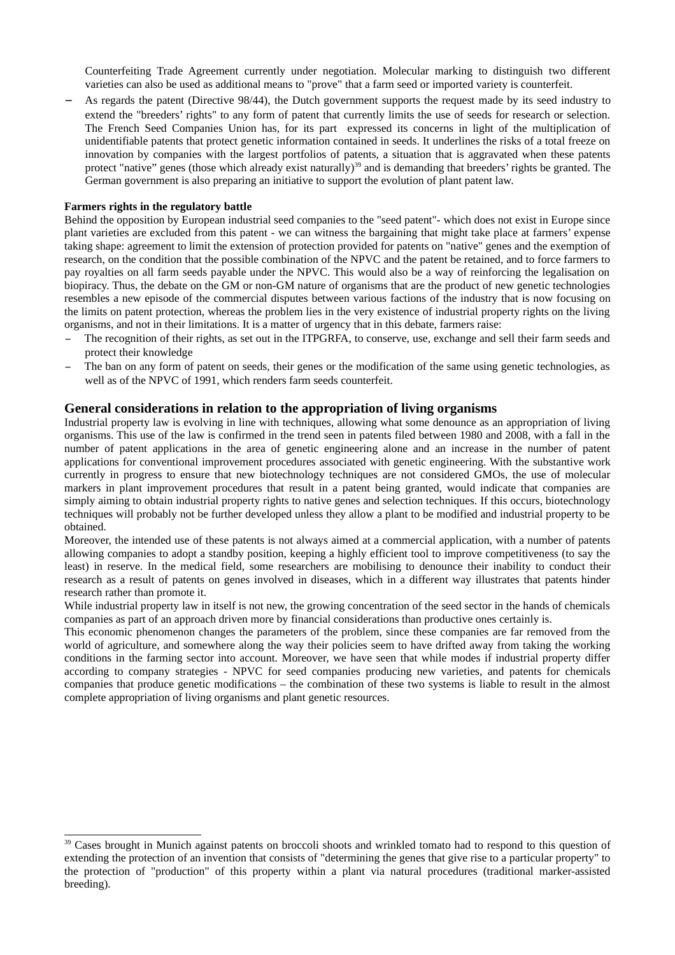Counterfeiting Trade Agreement currently under negotiation. Molecular marking to distinguish two different varieties can also be used as additional means to "prove" that a farm seed or imported variety is counterfeit.

As regards the patent (Directive 98/44), the Dutch government supports the request made by its seed industry to extend the "breeders' rights" to any form of patent that currently limits the use of seeds for research or selection. The French Seed Companies Union has, for its part expressed its concerns in light of the multiplication of unidentifiable patents that protect genetic information contained in seeds. It underlines the risks of a total freeze on innovation by companies with the largest portfolios of patents, a situation that is aggravated when these patents protect "native" genes (those which already exist naturally)<sup>39</sup> and is demanding that breeders' rights be granted. The German government is also preparing an initiative to support the evolution of plant patent law.

### Farmers rights in the regulatory battle

Behind the opposition by European industrial seed companies to the "seed patent"- which does not exist in Europe since plant varieties are excluded from this patent - we can witness the bargaining that might take place at farmers' expense taking shape: agreement to limit the extension of protection provided for patents on "native" genes and the exemption of research, on the condition that the possible combination of the NPVC and the patent be retained, and to force farmers to pay royalties on all farm seeds payable under the NPVC. This would also be a way of reinforcing the legalisation on biopiracy. Thus, the debate on the GM or non-GM nature of organisms that are the product of new genetic technologies resembles a new episode of the commercial disputes between various factions of the industry that is now focusing on the limits on patent protection, whereas the problem lies in the very existence of industrial property rights on the living organisms, and not in their limitations. It is a matter of urgency that in this debate, farmers raise:

- The recognition of their rights, as set out in the ITPGRFA, to conserve, use, exchange and sell their farm seeds and protect their knowledge
- The ban on any form of patent on seeds, their genes or the modification of the same using genetic technologies, as well as of the NPVC of 1991, which renders farm seeds counterfeit.

## General considerations in relation to the appropriation of living organisms

Industrial property law is evolving in line with techniques, allowing what some denounce as an appropriation of living organisms. This use of the law is confirmed in the trend seen in patents filed between 1980 and 2008, with a fall in the number of patent applications in the area of genetic engineering alone and an increase in the number of patent applications for conventional improvement procedures associated with genetic engineering. With the substantive work currently in progress to ensure that new biotechnology techniques are not considered GMOs, the use of molecular markers in plant improvement procedures that result in a patent being granted, would indicate that companies are simply aiming to obtain industrial property rights to native genes and selection techniques. If this occurs, biotechnology techniques will probably not be further developed unless they allow a plant to be modified and industrial property to be obtained.

Moreover, the intended use of these patents is not always aimed at a commercial application, with a number of patents allowing companies to adopt a standby position, keeping a highly efficient tool to improve competitiveness (to say the least) in reserve. In the medical field, some researchers are mobilising to denounce their inability to conduct their research as a result of patents on genes involved in diseases, which in a different way illustrates that patents hinder research rather than promote it.

While industrial property law in itself is not new, the growing concentration of the seed sector in the hands of chemicals companies as part of an approach driven more by financial considerations than productive ones certainly is.

This economic phenomenon changes the parameters of the problem, since these companies are far removed from the world of agriculture, and somewhere along the way their policies seem to have drifted away from taking the working conditions in the farming sector into account. Moreover, we have seen that while modes if industrial property differ according to company strategies - NPVC for seed companies producing new varieties, and patents for chemicals companies that produce genetic modifications – the combination of these two systems is liable to result in the almost complete appropriation of living organisms and plant genetic resources.

<span id="page-25-0"></span><sup>&</sup>lt;sup>39</sup> Cases brought in Munich against patents on broccoli shoots and wrinkled tomato had to respond to this question of extending the protection of an invention that consists of "determining the genes that give rise to a particular property" to the protection of "production" of this property within a plant via natural procedures (traditional marker-assisted breeding).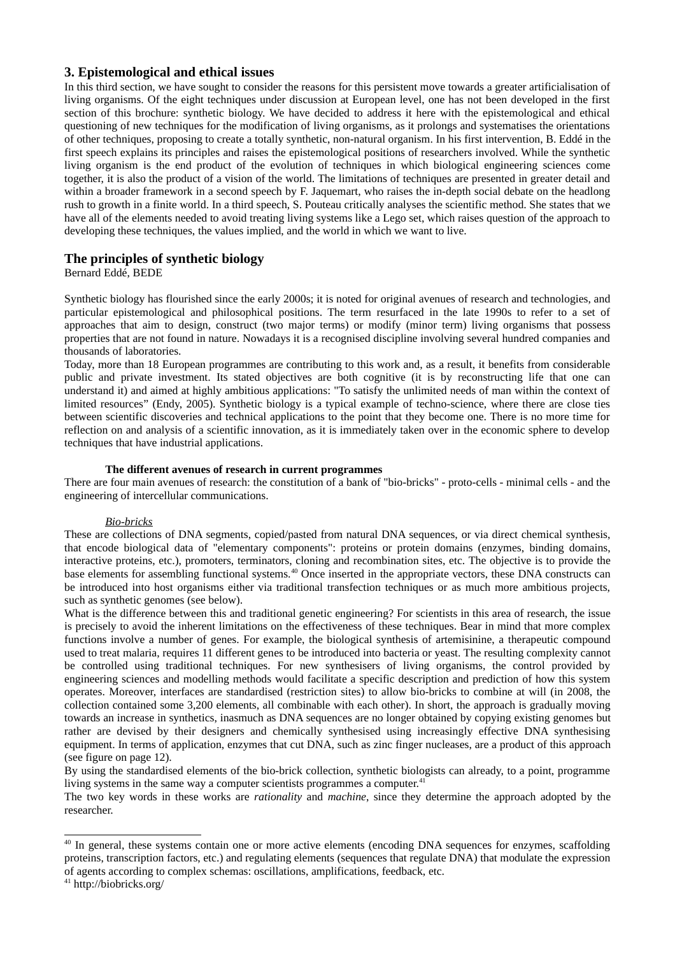## 3. Epistemological and ethical issues

In this third section, we have sought to consider the reasons for this persistent move towards a greater artificialisation of living organisms. Of the eight techniques under discussion at European level, one has not been developed in the first section of this brochure: synthetic biology. We have decided to address it here with the epistemological and ethical questioning of new techniques for the modification of living organisms, as it prolongs and systematises the orientations of other techniques, proposing to create a totally synthetic, non-natural organism. In his first intervention, B. Eddé in the first speech explains its principles and raises the epistemological positions of researchers involved. While the synthetic living organism is the end product of the evolution of techniques in which biological engineering sciences come together, it is also the product of a vision of the world. The limitations of techniques are presented in greater detail and within a broader framework in a second speech by F. Jaquemart, who raises the in-depth social debate on the headlong rush to growth in a finite world. In a third speech, S. Pouteau critically analyses the scientific method. She states that we have all of the elements needed to avoid treating living systems like a Lego set, which raises question of the approach to developing these techniques, the values implied, and the world in which we want to live.

## The principles of synthetic biology

## Bernard Edde, BEDE

Synthetic biology has flourished since the early 2000s; it is noted for original avenues of research and technologies, and particular epistemological and philosophical positions. The term resurfaced in the late 1990s to refer to a set of approaches that aim to design, construct (two major terms) or modify (minor term) living organisms that possess properties that are not found in nature. Nowadays it is a recognised discipline involving several hundred companies and thousands of laboratories.

Today, more than 18 European programmes are contributing to this work and, as a result, it benefits from considerable public and private investment. Its stated objectives are both cognitive (it is by reconstructing life that one can understand it) and aimed at highly ambitious applications: "To satisfy the unlimited needs of man within the context of limited resources" (Endy, 2005). Synthetic biology is a typical example of techno-science, where there are close ties between scientific discoveries and technical applications to the point that they become one. There is no more time for reflection on and analysis of a scientific innovation, as it is immediately taken over in the economic sphere to develop techniques that have industrial applications.

### The different avenues of research in current programmes

There are four main avenues of research: the constitution of a bank of "bio-bricks" - proto-cells - minimal cells - and the engineering of intercellular communications.

### **Bio-bricks**

These are collections of DNA segments, copied/pasted from natural DNA sequences, or via direct chemical synthesis, that encode biological data of "elementary components": proteins or protein domains (enzymes, binding domains, interactive proteins, etc.), promoters, terminators, cloning and recombination sites, etc. The objective is to provide the base elements for assembling functional systems.<sup>40</sup> Once inserted in the appropriate vectors, these DNA constructs can be introduced into host organisms either via traditional transfection techniques or as much more ambitious projects, such as synthetic genomes (see below).

What is the difference between this and traditional genetic engineering? For scientists in this area of research, the issue is precisely to avoid the inherent limitations on the effectiveness of these techniques. Bear in mind that more complex functions involve a number of genes. For example, the biological synthesis of artemisinine, a therapeutic compound used to treat malaria, requires 11 different genes to be introduced into bacteria or yeast. The resulting complexity cannot be controlled using traditional techniques. For new synthesisers of living organisms, the control provided by engineering sciences and modelling methods would facilitate a specific description and prediction of how this system operates. Moreover, interfaces are standardised (restriction sites) to allow bio-bricks to combine at will (in 2008, the collection contained some 3,200 elements, all combinable with each other). In short, the approach is gradually moving towards an increase in synthetics, inasmuch as DNA sequences are no longer obtained by copying existing genomes but rather are devised by their designers and chemically synthesised using increasingly effective DNA synthesising equipment. In terms of application, enzymes that cut DNA, such as zinc finger nucleases, are a product of this approach (see figure on page 12).

By using the standardised elements of the bio-brick collection, synthetic biologists can already, to a point, programme living systems in the same way a computer scientists programmes a computer.<sup>41</sup>

The two key words in these works are rationality and machine, since they determine the approach adopted by the researcher.

<span id="page-26-1"></span><sup>&</sup>lt;sup>40</sup> In general, these systems contain one or more active elements (encoding DNA sequences for enzymes, scaffolding proteins, transcription factors, etc.) and regulating elements (sequences that regulate DNA) that modulate the expression of agents according to complex schemas: oscillations, amplifications, feedback, etc.

<span id="page-26-0"></span> $41$  http://biobricks.org/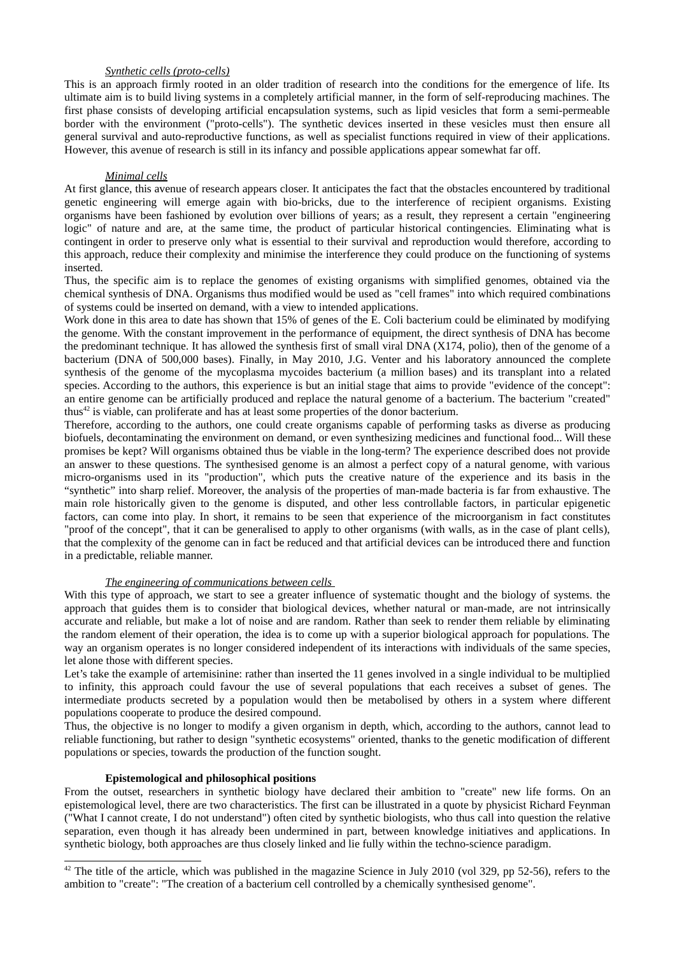### Synthetic cells (proto-cells)

This is an approach firmly rooted in an older tradition of research into the conditions for the emergence of life. Its ultimate aim is to build living systems in a completely artificial manner, in the form of self-reproducing machines. The first phase consists of developing artificial encapsulation systems, such as lipid vesicles that form a semi-permeable border with the environment ("proto-cells"). The synthetic devices inserted in these vesicles must then ensure all general survival and auto-reproductive functions, as well as specialist functions required in view of their applications. However, this avenue of research is still in its infancy and possible applications appear somewhat far off.

#### Minimal cells

At first glance, this avenue of research appears closer. It anticipates the fact that the obstacles encountered by traditional genetic engineering will emerge again with bio-bricks, due to the interference of recipient organisms. Existing organisms have been fashioned by evolution over billions of years; as a result, they represent a certain "engineering logic" of nature and are, at the same time, the product of particular historical contingencies. Eliminating what is contingent in order to preserve only what is essential to their survival and reproduction would therefore, according to this approach, reduce their complexity and minimise the interference they could produce on the functioning of systems inserted.

Thus, the specific aim is to replace the genomes of existing organisms with simplified genomes, obtained via the chemical synthesis of DNA. Organisms thus modified would be used as "cell frames" into which required combinations of systems could be inserted on demand, with a view to intended applications.

Work done in this area to date has shown that 15% of genes of the E. Coli bacterium could be eliminated by modifying the genome. With the constant improvement in the performance of equipment, the direct synthesis of DNA has become the predominant technique. It has allowed the synthesis first of small viral DNA (X174, polio), then of the genome of a bacterium (DNA of 500,000 bases). Finally, in May 2010, J.G. Venter and his laboratory announced the complete synthesis of the genome of the mycoplasma mycoides bacterium (a million bases) and its transplant into a related species. According to the authors, this experience is but an initial stage that aims to provide "evidence of the concept": an entire genome can be artificially produced and replace the natural genome of a bacterium. The bacterium "created" thus<sup>42</sup> is viable, can proliferate and has at least some properties of the donor bacterium.

Therefore, according to the authors, one could create organisms capable of performing tasks as diverse as producing biofuels, decontaminating the environment on demand, or even synthesizing medicines and functional food... Will these promises be kept? Will organisms obtained thus be viable in the long-term? The experience described does not provide an answer to these questions. The synthesised genome is an almost a perfect copy of a natural genome, with various micro-organisms used in its "production", which puts the creative nature of the experience and its basis in the "synthetic" into sharp relief. Moreover, the analysis of the properties of man-made bacteria is far from exhaustive. The main role historically given to the genome is disputed, and other less controllable factors, in particular epigenetic factors, can come into play. In short, it remains to be seen that experience of the microorganism in fact constitutes "proof of the concept", that it can be generalised to apply to other organisms (with walls, as in the case of plant cells), that the complexity of the genome can in fact be reduced and that artificial devices can be introduced there and function in a predictable, reliable manner.

### The engineering of communications between cells

With this type of approach, we start to see a greater influence of systematic thought and the biology of systems, the approach that guides them is to consider that biological devices, whether natural or man-made, are not intrinsically accurate and reliable, but make a lot of noise and are random. Rather than seek to render them reliable by eliminating the random element of their operation, the idea is to come up with a superior biological approach for populations. The way an organism operates is no longer considered independent of its interactions with individuals of the same species, let alone those with different species.

Let's take the example of artemisinine: rather than inserted the 11 genes involved in a single individual to be multiplied to infinity, this approach could favour the use of several populations that each receives a subset of genes. The intermediate products secreted by a population would then be metabolised by others in a system where different populations cooperate to produce the desired compound.

Thus, the objective is no longer to modify a given organism in depth, which, according to the authors, cannot lead to reliable functioning, but rather to design "synthetic ecosystems" oriented, thanks to the genetic modification of different populations or species, towards the production of the function sought.

#### **Epistemological and philosophical positions**

From the outset, researchers in synthetic biology have declared their ambition to "create" new life forms. On an epistemological level, there are two characteristics. The first can be illustrated in a quote by physicist Richard Feynman ("What I cannot create, I do not understand") often cited by synthetic biologists, who thus call into question the relative separation, even though it has already been undermined in part, between knowledge initiatives and applications. In synthetic biology, both approaches are thus closely linked and lie fully within the techno-science paradigm.

<span id="page-27-0"></span> $42$  The title of the article, which was published in the magazine Science in July 2010 (vol 329, pp 52-56), refers to the ambition to "create": "The creation of a bacterium cell controlled by a chemically synthesised genome".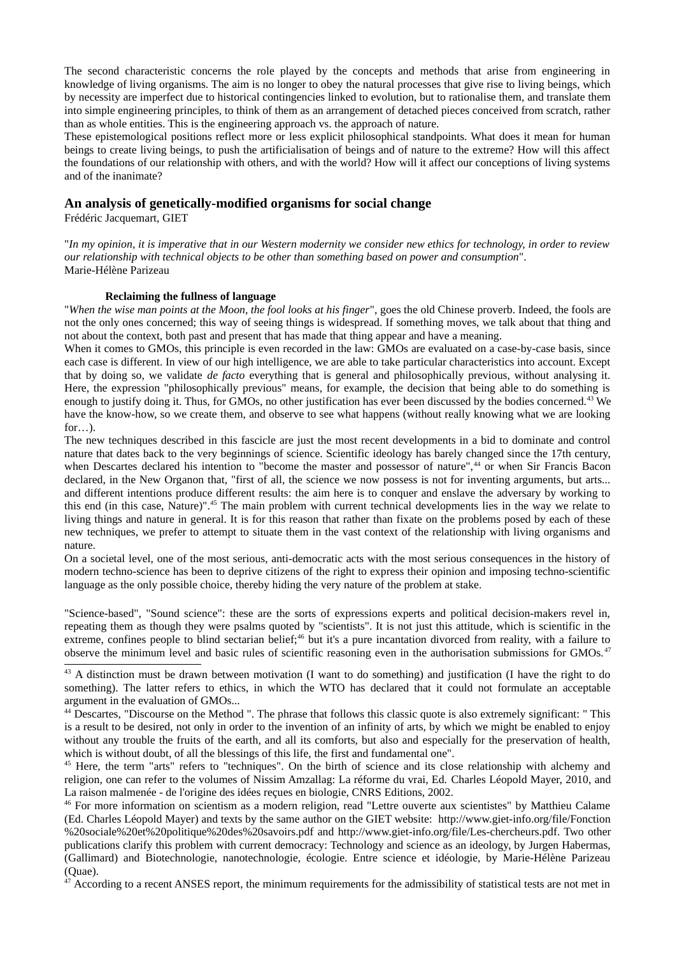The second characteristic concerns the role played by the concepts and methods that arise from engineering in knowledge of living organisms. The aim is no longer to obey the natural processes that give rise to living beings, which by necessity are imperfect due to historical contingencies linked to evolution, but to rationalise them, and translate them into simple engineering principles, to think of them as an arrangement of detached pieces conceived from scratch, rather than as whole entities. This is the engineering approach vs. the approach of nature.

These epistemological positions reflect more or less explicit philosophical standpoints. What does it mean for human beings to create living beings, to push the artificialisation of beings and of nature to the extreme? How will this affect the foundations of our relationship with others, and with the world? How will it affect our conceptions of living systems and of the inanimate?

## An analysis of genetically-modified organisms for social change

Frédéric Jacquemart, GIET

"In my opinion, it is imperative that in our Western modernity we consider new ethics for technology, in order to review our relationship with technical objects to be other than something based on power and consumption". Marie-Hélène Parizeau

### Reclaiming the fullness of language

"When the wise man points at the Moon, the fool looks at his finger", goes the old Chinese proverb. Indeed, the fools are not the only ones concerned; this way of seeing things is widespread. If something moves, we talk about that thing and not about the context, both past and present that has made that thing appear and have a meaning.

When it comes to GMOs, this principle is even recorded in the law: GMOs are evaluated on a case-by-case basis, since each case is different. In view of our high intelligence, we are able to take particular characteristics into account. Except that by doing so, we validate *de facto* everything that is general and philosophically previous, without analysing it. Here, the expression "philosophically previous" means, for example, the decision that being able to do something is enough to justify doing it. Thus, for GMOs, no other justification has ever been discussed by the bodies concerned.<sup>43</sup> We have the know-how, so we create them, and observe to see what happens (without really knowing what we are looking for...).

The new techniques described in this fascicle are just the most recent developments in a bid to dominate and control nature that dates back to the very beginnings of science. Scientific ideology has barely changed since the 17th century, when Descartes declared his intention to "become the master and possessor of nature",<sup>44</sup> or when Sir Francis Bacon declared, in the New Organon that, "first of all, the science we now possess is not for inventing arguments, but arts... and different intentions produce different results: the aim here is to conquer and enslave the adversary by working to this end (in this case, Nature)".<sup>45</sup> The main problem with current technical developments lies in the way we relate to living things and nature in general. It is for this reason that rather than fixate on the problems posed by each of these new techniques, we prefer to attempt to situate them in the vast context of the relationship with living organisms and nature.

On a societal level, one of the most serious, anti-democratic acts with the most serious consequences in the history of modern techno-science has been to deprive citizens of the right to express their opinion and imposing techno-scientific language as the only possible choice, thereby hiding the very nature of the problem at stake.

"Science-based", "Sound science": these are the sorts of expressions experts and political decision-makers revel in, repeating them as though they were psalms quoted by "scientists". It is not just this attitude, which is scientific in the extreme, confines people to blind sectarian belief;<sup>46</sup> but it's a pure incantation divorced from reality, with a failure to observe the minimum level and basic rules of scientific reasoning even in the authorisation submissions for GMOs.<sup>47</sup>

<span id="page-28-0"></span> $47$  According to a recent ANSES report, the minimum requirements for the admissibility of statistical tests are not met in

<span id="page-28-1"></span><sup>&</sup>lt;sup>43</sup> A distinction must be drawn between motivation (I want to do something) and justification (I have the right to do something). The latter refers to ethics, in which the WTO has declared that it could not formulate an acceptable argument in the evaluation of GMOs...

<span id="page-28-2"></span><sup>&</sup>lt;sup>44</sup> Descartes, "Discourse on the Method ". The phrase that follows this classic quote is also extremely significant: " This is a result to be desired, not only in order to the invention of an infinity of arts, by which we might be enabled to enjoy without any trouble the fruits of the earth, and all its comforts, but also and especially for the preservation of health, which is without doubt, of all the blessings of this life, the first and fundamental one".

<span id="page-28-3"></span><sup>&</sup>lt;sup>45</sup> Here, the term "arts" refers to "techniques". On the birth of science and its close relationship with alchemy and religion, one can refer to the volumes of Nissim Amzallag: La réforme du vrai, Ed. Charles Léopold Mayer, 2010, and La raison malmenée - de l'origine des idées reçues en biologie, CNRS Editions, 2002.

<span id="page-28-4"></span><sup>&</sup>lt;sup>46</sup> For more information on scientism as a modern religion, read "Lettre ouverte aux scientistes" by Matthieu Calame (Ed. Charles Léopold Mayer) and texts by the same author on the GIET website: http://www.giet-info.org/file/Fonction %20sociale%20et%20politique%20des%20savoirs.pdf and http://www.giet-info.org/file/Les-chercheurs.pdf. Two other publications clarify this problem with current democracy: Technology and science as an ideology, by Jurgen Habermas, (Gallimard) and Biotechnologie, nanotechnologie, écologie. Entre science et idéologie, by Marie-Hélène Parizeau (Quae).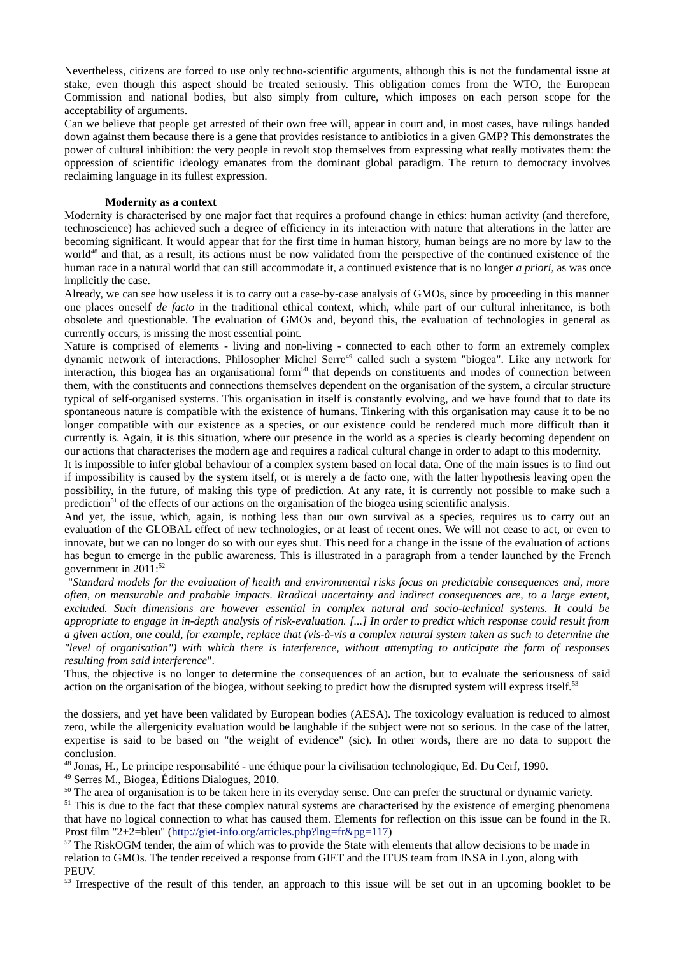Nevertheless, citizens are forced to use only techno-scientific arguments, although this is not the fundamental issue at stake, even though this aspect should be treated seriously. This obligation comes from the WTO, the European Commission and national bodies, but also simply from culture, which imposes on each person scope for the acceptability of arguments.

Can we believe that people get arrested of their own free will, appear in court and, in most cases, have rulings handed down against them because there is a gene that provides resistance to antibiotics in a given GMP? This demonstrates the power of cultural inhibition: the very people in revolt stop themselves from expressing what really motivates them: the oppression of scientific ideology emanates from the dominant global paradigm. The return to democracy involves reclaiming language in its fullest expression.

#### **Modernity as a context**

Modernity is characterised by one major fact that requires a profound change in ethics: human activity (and therefore, technoscience) has achieved such a degree of efficiency in its interaction with nature that alterations in the latter are becoming significant. It would appear that for the first time in human history, human beings are no more by law to the world<sup>48</sup> and that, as a result, its actions must be now validated from the perspective of the continued existence of the human race in a natural world that can still accommodate it, a continued existence that is no longer *a priori*, as was once implicitly the case.

Already, we can see how useless it is to carry out a case-by-case analysis of GMOs, since by proceeding in this manner one places oneself de facto in the traditional ethical context, which, while part of our cultural inheritance, is both obsolete and questionable. The evaluation of GMOs and, bevond this, the evaluation of technologies in general as currently occurs, is missing the most essential point.

Nature is comprised of elements - living and non-living - connected to each other to form an extremely complex dynamic network of interactions. Philosopher Michel Serre<sup>49</sup> called such a system "biogea". Like any network for interaction, this biogea has an organisational form<sup>50</sup> that depends on constituents and modes of connection between them, with the constituents and connections themselves dependent on the organisation of the system, a circular structure typical of self-organised systems. This organisation in itself is constantly evolving, and we have found that to date its spontaneous nature is compatible with the existence of humans. Tinkering with this organisation may cause it to be no longer compatible with our existence as a species, or our existence could be rendered much more difficult than it currently is. Again, it is this situation, where our presence in the world as a species is clearly becoming dependent on our actions that characterises the modern age and requires a radical cultural change in order to adapt to this modernity.

It is impossible to infer global behaviour of a complex system based on local data. One of the main issues is to find out if impossibility is caused by the system itself, or is merely a de facto one, with the latter hypothesis leaving open the possibility, in the future, of making this type of prediction. At any rate, it is currently not possible to make such a prediction<sup>51</sup> of the effects of our actions on the organisation of the biogea using scientific analysis.

And yet, the issue, which, again, is nothing less than our own survival as a species, requires us to carry out an evaluation of the GLOBAL effect of new technologies, or at least of recent ones. We will not cease to act, or even to innovate, but we can no longer do so with our eyes shut. This need for a change in the issue of the evaluation of actions has begun to emerge in the public awareness. This is illustrated in a paragraph from a tender launched by the French government in 2011:<sup>52</sup>

"Standard models for the evaluation of health and environmental risks focus on predictable consequences and, more often, on measurable and probable impacts. Rradical uncertainty and indirect consequences are, to a large extent, excluded. Such dimensions are however essential in complex natural and socio-technical systems. It could be appropriate to engage in in-depth analysis of risk-evaluation. [...] In order to predict which response could result from a given action, one could, for example, replace that (vis-à-vis a complex natural system taken as such to determine the "level of organisation") with which there is interference, without attempting to anticipate the form of responses resulting from said interference".

Thus, the objective is no longer to determine the consequences of an action, but to evaluate the seriousness of said action on the organisation of the biogea, without seeking to predict how the disrupted system will express itself.<sup>53</sup>

<span id="page-29-2"></span><sup>49</sup> Serres M., Biogea, Éditions Dialogues, 2010.

<span id="page-29-0"></span><sup>53</sup> Irrespective of the result of this tender, an approach to this issue will be set out in an upcoming booklet to be

the dossiers, and yet have been validated by European bodies (AESA). The toxicology evaluation is reduced to almost zero, while the allergenicity evaluation would be laughable if the subject were not so serious. In the case of the latter, expertise is said to be based on "the weight of evidence" (sic). In other words, there are no data to support the conclusion.

<span id="page-29-1"></span><sup>&</sup>lt;sup>48</sup> Jonas, H., Le principe responsabilité - une éthique pour la civilisation technologique, Ed. Du Cerf, 1990.

<span id="page-29-4"></span><span id="page-29-3"></span><sup>&</sup>lt;sup>50</sup> The area of organisation is to be taken here in its everyday sense. One can prefer the structural or dynamic variety. <sup>51</sup> This is due to the fact that these complex natural systems are characterised by the existence of emerging phenomena that have no logical connection to what has caused them. Elements for reflection on this issue can be found in the R. Prost film "2+2=bleu" (http://giet-info.org/articles.php?lng=fr&pg=117)

<span id="page-29-5"></span><sup>&</sup>lt;sup>52</sup> The RiskOGM tender, the aim of which was to provide the State with elements that allow decisions to be made in relation to GMOs. The tender received a response from GIET and the ITUS team from INSA in Lyon, along with PEUV.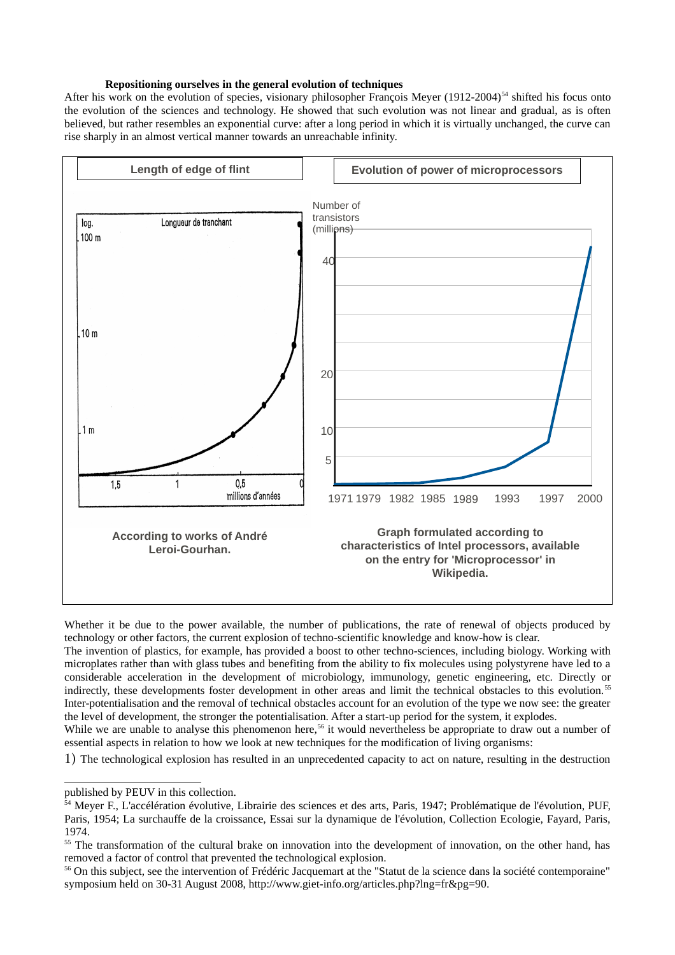## Repositioning ourselves in the general evolution of techniques

After his work on the evolution of species, visionary philosopher Francois Meyer (1912-2004)<sup>54</sup> shifted his focus onto the evolution of the sciences and technology. He showed that such evolution was not linear and gradual, as is often believed, but rather resembles an exponential curve: after a long period in which it is virtually unchanged, the curve can rise sharply in an almost vertical manner towards an unreachable infinity.



Whether it be due to the power available, the number of publications, the rate of renewal of objects produced by technology or other factors, the current explosion of techno-scientific knowledge and know-how is clear.

The invention of plastics, for example, has provided a boost to other techno-sciences, including biology. Working with microplates rather than with glass tubes and benefiting from the ability to fix molecules using polystyrene have led to a considerable acceleration in the development of microbiology, immunology, genetic engineering, etc. Directly or indirectly, these developments foster development in other areas and limit the technical obstacles to this evolution.<sup>55</sup> Inter-potentialisation and the removal of technical obstacles account for an evolution of the type we now see: the greater the level of development, the stronger the potentialisation. After a start-up period for the system, it explodes.

While we are unable to analyse this phenomenon here.<sup>56</sup> it would nevertheless be appropriate to draw out a number of essential aspects in relation to how we look at new techniques for the modification of living organisms:

1) The technological explosion has resulted in an unprecedented capacity to act on nature, resulting in the destruction

published by PEUV in this collection.

<span id="page-30-1"></span><sup>&</sup>lt;sup>54</sup> Mever F., L'accélération évolutive, Librairie des sciences et des arts, Paris, 1947; Problématique de l'évolution, PUF, Paris, 1954; La surchauffe de la croissance. Essai sur la dynamique de l'évolution. Collection Ecologie. Favard. Paris.  $1974$ 

<span id="page-30-2"></span><sup>&</sup>lt;sup>55</sup> The transformation of the cultural brake on innovation into the development of innovation, on the other hand, has removed a factor of control that prevented the technological explosion.

<span id="page-30-0"></span><sup>&</sup>lt;sup>56</sup> On this subject, see the intervention of Frédéric Jacquemart at the "Statut de la science dans la société contemporaine" symposium held on 30-31 August 2008, http://www.giet-info.org/articles.php?lng=fr&pg=90.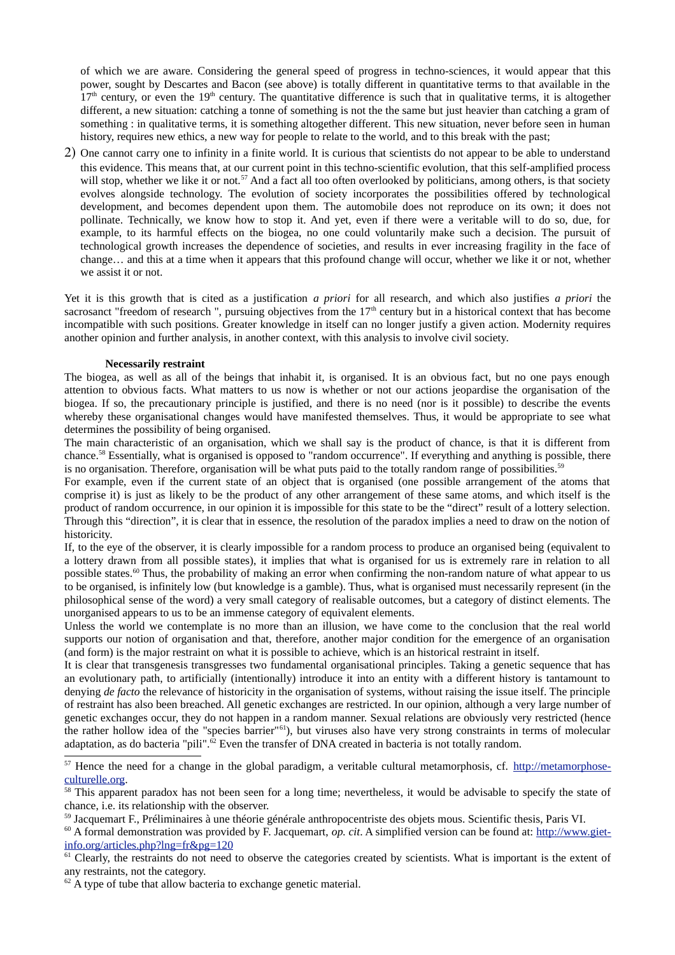of which we are aware. Considering the general speed of progress in techno-sciences, it would appear that this power, sought by Descartes and Bacon (see above) is totally different in quantitative terms to that available in the  $17<sup>th</sup>$  century, or even the 19<sup>th</sup> century. The quantitative difference is such that in qualitative terms, it is altogether different, a new situation: catching a tonne of something is not the the same but just heavier than catching a gram of something : in qualitative terms, it is something altogether different. This new situation, never before seen in human history, requires new ethics, a new way for people to relate to the world, and to this break with the past;

2) One cannot carry one to infinity in a finite world. It is curious that scientists do not appear to be able to understand this evidence. This means that, at our current point in this techno-scientific evolution, that this self-amplified process will stop, whether we like it or not.<sup>57</sup> And a fact all too often overlooked by politicians, among others, is that society evolves alongside technology. The evolution of society incorporates the possibilities offered by technological development, and becomes dependent upon them. The automobile does not reproduce on its own; it does not pollinate. Technically, we know how to stop it. And yet, even if there were a veritable will to do so, due, for example, to its harmful effects on the biogea, no one could voluntarily make such a decision. The pursuit of technological growth increases the dependence of societies, and results in ever increasing fragility in the face of change... and this at a time when it appears that this profound change will occur, whether we like it or not, whether we assist it or not.

Yet it is this growth that is cited as a justification a priori for all research, and which also justifies a priori the sacrosanct "freedom of research", pursuing objectives from the  $17<sup>th</sup>$  century but in a historical context that has become incompatible with such positions. Greater knowledge in itself can no longer justify a given action. Modernity requires another opinion and further analysis, in another context, with this analysis to involve civil society.

### **Necessarily restraint**

The biogea, as well as all of the beings that inhabit it, is organised. It is an obvious fact, but no one pays enough attention to obvious facts. What matters to us now is whether or not our actions jeopardise the organisation of the biogea. If so, the precautionary principle is justified, and there is no need (nor is it possible) to describe the events whereby these organisational changes would have manifested themselves. Thus, it would be appropriate to see what determines the possibility of being organised.

The main characteristic of an organisation, which we shall say is the product of chance, is that it is different from chance.<sup>58</sup> Essentially, what is organised is opposed to "random occurrence". If everything and anything is possible, there is no organisation. Therefore, organisation will be what puts paid to the totally random range of possibilities.<sup>59</sup>

For example, even if the current state of an object that is organised (one possible arrangement of the atoms that comprise it) is just as likely to be the product of any other arrangement of these same atoms, and which itself is the product of random occurrence, in our opinion it is impossible for this state to be the "direct" result of a lottery selection. Through this "direction", it is clear that in essence, the resolution of the paradox implies a need to draw on the notion of historicity.

If, to the eye of the observer, it is clearly impossible for a random process to produce an organised being (equivalent to a lottery drawn from all possible states), it implies that what is organised for us is extremely rare in relation to all possible states.<sup>60</sup> Thus, the probability of making an error when confirming the non-random nature of what appear to us to be organised, is infinitely low (but knowledge is a gamble). Thus, what is organised must necessarily represent (in the philosophical sense of the word) a very small category of realisable outcomes, but a category of distinct elements. The unorganised appears to us to be an immense category of equivalent elements.

Unless the world we contemplate is no more than an illusion, we have come to the conclusion that the real world supports our notion of organisation and that, therefore, another major condition for the emergence of an organisation (and form) is the major restraint on what it is possible to achieve, which is an historical restraint in itself.

It is clear that transgenesis transgresses two fundamental organisational principles. Taking a genetic sequence that has an evolutionary path, to artificially (intentionally) introduce it into an entity with a different history is tantamount to denying *de facto* the relevance of historicity in the organisation of systems, without raising the issue itself. The principle of restraint has also been breached. All genetic exchanges are restricted. In our opinion, although a very large number of genetic exchanges occur, they do not happen in a random manner. Sexual relations are obviously very restricted (hence the rather hollow idea of the "species barrier"<sup>61</sup>), but viruses also have very strong constraints in terms of molecular adaptation, as do bacteria "pili".<sup>62</sup> Even the transfer of DNA created in bacteria is not totally random.

<span id="page-31-1"></span><sup>&</sup>lt;sup>57</sup> Hence the need for a change in the global paradigm, a veritable cultural metamorphosis, cf. http://metamorphoseculturelle.org.

<span id="page-31-2"></span><sup>&</sup>lt;sup>58</sup> This apparent paradox has not been seen for a long time; nevertheless, it would be advisable to specify the state of chance, *i.e.* its relationship with the observer.

<span id="page-31-3"></span><sup>&</sup>lt;sup>59</sup> Jacquemart F., Préliminaires à une théorie générale anthropocentriste des objets mous. Scientific thesis, Paris VI,

<span id="page-31-4"></span> $60$  A formal demonstration was provided by F. Jacquemart, op. cit. A simplified version can be found at: http://www.gietinfo.org/articles.php?lng=fr&pg=120

<span id="page-31-5"></span><sup>&</sup>lt;sup>61</sup> Clearly, the restraints do not need to observe the categories created by scientists. What is important is the extent of any restraints, not the category.

<span id="page-31-0"></span> $62$  A type of tube that allow bacteria to exchange genetic material.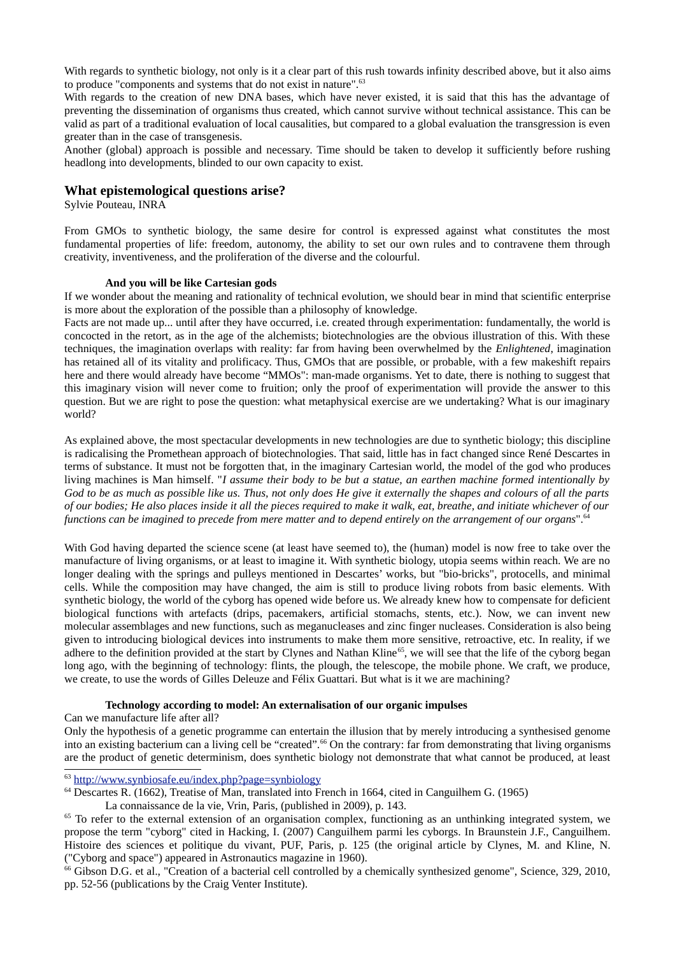With regards to synthetic biology, not only is it a clear part of this rush towards infinity described above, but it also aims to produce "components and systems that do not exist in nature".<sup>63</sup>

With regards to the creation of new DNA bases, which have never existed, it is said that this has the advantage of preventing the dissemination of organisms thus created, which cannot survive without technical assistance. This can be valid as part of a traditional evaluation of local causalities, but compared to a global evaluation the transgression is even greater than in the case of transgenesis.

Another (global) approach is possible and necessary. Time should be taken to develop it sufficiently before rushing headlong into developments, blinded to our own capacity to exist.

## What epistemological questions arise?

Sylvie Pouteau, INRA

From GMOs to synthetic biology, the same desire for control is expressed against what constitutes the most fundamental properties of life: freedom, autonomy, the ability to set our own rules and to contravene them through creativity, inventiveness, and the proliferation of the diverse and the colourful.

#### And vou will be like Cartesian gods

If we wonder about the meaning and rationality of technical evolution, we should bear in mind that scientific enterprise is more about the exploration of the possible than a philosophy of knowledge.

Facts are not made up... until after they have occurred, i.e. created through experimentation: fundamentally, the world is concocted in the retort, as in the age of the alchemists; biotechnologies are the obvious illustration of this. With these techniques, the imagination overlaps with reality: far from having been overwhelmed by the Enlightened, imagination has retained all of its vitality and prolificacy. Thus, GMOs that are possible, or probable, with a few makeshift repairs here and there would already have become "MMOs": man-made organisms. Yet to date, there is nothing to suggest that this imaginary vision will never come to fruition; only the proof of experimentation will provide the answer to this question. But we are right to pose the question: what metaphysical exercise are we undertaking? What is our imaginary world?

As explained above, the most spectacular developments in new technologies are due to synthetic biology; this discipline is radicalising the Promethean approach of biotechnologies. That said, little has in fact changed since René Descartes in terms of substance. It must not be forgotten that, in the imaginary Cartesian world, the model of the god who produces living machines is Man himself. "I assume their body to be but a statue, an earthen machine formed intentionally by God to be as much as possible like us. Thus, not only does He give it externally the shapes and colours of all the parts of our bodies; He also places inside it all the pieces required to make it walk, eat, breathe, and initiate whichever of our functions can be imagined to precede from mere matter and to depend entirely on the arrangement of our organs".<sup>64</sup>

With God having departed the science scene (at least have seemed to), the (human) model is now free to take over the manufacture of living organisms, or at least to imagine it. With synthetic biology, utopia seems within reach. We are no longer dealing with the springs and pulleys mentioned in Descartes' works, but "bio-bricks", protocells, and minimal cells. While the composition may have changed, the aim is still to produce living robots from basic elements. With synthetic biology, the world of the cyborg has opened wide before us. We already knew how to compensate for deficient biological functions with artefacts (drips, pacemakers, artificial stomachs, stents, etc.). Now, we can invent new molecular assemblages and new functions, such as meganucleases and zinc finger nucleases. Consideration is also being given to introducing biological devices into instruments to make them more sensitive, retroactive, etc. In reality, if we adhere to the definition provided at the start by Clynes and Nathan Kline<sup>65</sup>, we will see that the life of the cyborg began long ago, with the beginning of technology: flints, the plough, the telescope, the mobile phone. We craft, we produce, we create, to use the words of Gilles Deleuze and Félix Guattari. But what is it we are machining?

#### Technology according to model: An externalisation of our organic impulses

Can we manufacture life after all?

Only the hypothesis of a genetic programme can entertain the illusion that by merely introducing a synthesised genome into an existing bacterium can a living cell be "created".<sup>66</sup> On the contrary: far from demonstrating that living organisms are the product of genetic determinism, does synthetic biology not demonstrate that what cannot be produced, at least

<span id="page-32-1"></span> $63$  http://www.synbiosafe.eu/index.php?page=synbiology

<span id="page-32-2"></span> $64$  Descartes R. (1662), Treatise of Man, translated into French in 1664, cited in Canguilhem G. (1965)

La connaissance de la vie, Vrin, Paris, (published in 2009), p. 143.

<span id="page-32-3"></span> $65$  To refer to the external extension of an organisation complex, functioning as an unthinking integrated system, we propose the term "cyborg" cited in Hacking, I. (2007) Canguilhem parmi les cyborgs. In Braunstein J.F., Canguilhem. Histoire des sciences et politique du vivant, PUF, Paris, p. 125 (the original article by Clynes, M. and Kline, N. ("Cyborg and space") appeared in Astronautics magazine in 1960).

<span id="page-32-0"></span><sup>&</sup>lt;sup>66</sup> Gibson D.G. et al., "Creation of a bacterial cell controlled by a chemically synthesized genome", Science, 329, 2010, pp. 52-56 (publications by the Craig Venter Institute).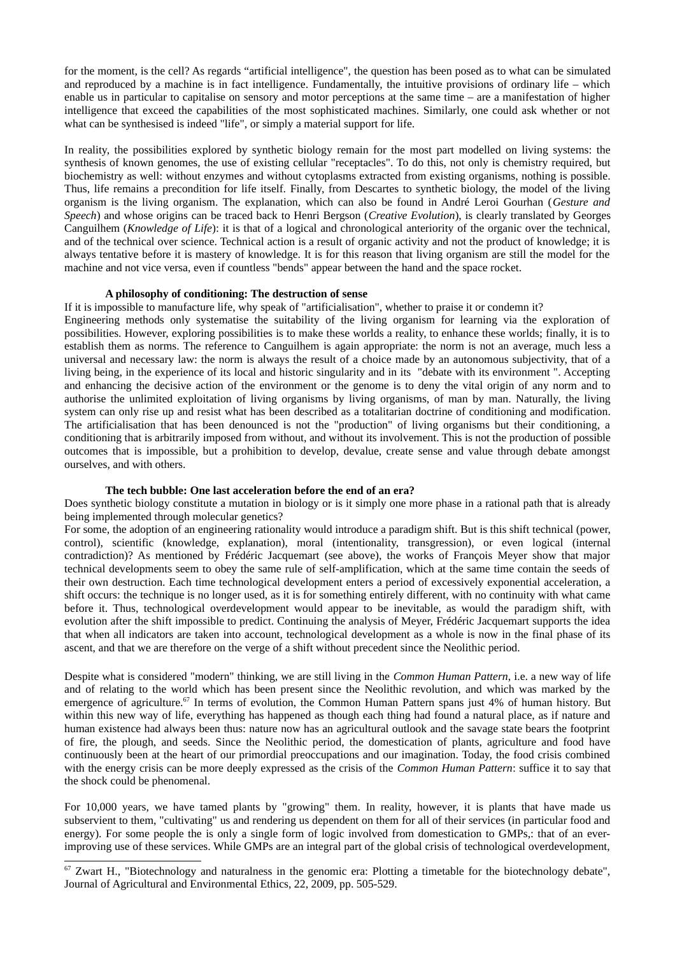for the moment, is the cell? As regards "artificial intelligence", the question has been posed as to what can be simulated and reproduced by a machine is in fact intelligence. Fundamentally, the intuitive provisions of ordinary life  $-$  which enable us in particular to capitalise on sensory and motor perceptions at the same time  $-$  are a manifestation of higher intelligence that exceed the capabilities of the most sophisticated machines. Similarly, one could ask whether or not what can be synthesised is indeed "life", or simply a material support for life.

In reality, the possibilities explored by synthetic biology remain for the most part modelled on living systems: the synthesis of known genomes, the use of existing cellular "receptacles". To do this, not only is chemistry required, but biochemistry as well: without enzymes and without cytoplasms extracted from existing organisms, nothing is possible. Thus, life remains a precondition for life itself. Finally, from Descartes to synthetic biology, the model of the living organism is the living organism. The explanation, which can also be found in André Leroi Gourhan (Gesture and Speech) and whose origins can be traced back to Henri Bergson (Creative Evolution), is clearly translated by Georges Canguilhem (Knowledge of Life): it is that of a logical and chronological anteriority of the organic over the technical, and of the technical over science. Technical action is a result of organic activity and not the product of knowledge; it is always tentative before it is mastery of knowledge. It is for this reason that living organism are still the model for the machine and not vice versa, even if countless "bends" appear between the hand and the space rocket.

### A philosophy of conditioning: The destruction of sense

If it is impossible to manufacture life, why speak of "artificialisation", whether to praise it or condemn it?

Engineering methods only systematise the suitability of the living organism for learning via the exploration of possibilities. However, exploring possibilities is to make these worlds a reality, to enhance these worlds; finally, it is to establish them as norms. The reference to Canguilhem is again appropriate: the norm is not an average, much less a universal and necessary law: the norm is always the result of a choice made by an autonomous subjectivity, that of a living being, in the experience of its local and historic singularity and in its "debate with its environment". Accepting and enhancing the decisive action of the environment or the genome is to deny the vital origin of any norm and to authorise the unlimited exploitation of living organisms by living organisms, of man by man. Naturally, the living system can only rise up and resist what has been described as a totalitarian doctrine of conditioning and modification. The artificialisation that has been denounced is not the "production" of living organisms but their conditioning, a conditioning that is arbitrarily imposed from without, and without its involvement. This is not the production of possible outcomes that is impossible, but a prohibition to develop, devalue, create sense and value through debate amongst ourselves, and with others.

#### The tech bubble: One last acceleration before the end of an era?

Does synthetic biology constitute a mutation in biology or is it simply one more phase in a rational path that is already being implemented through molecular genetics?

For some, the adoption of an engineering rationality would introduce a paradigm shift. But is this shift technical (power, control), scientific (knowledge, explanation), moral (intentionality, transgression), or even logical (internal contradiction)? As mentioned by Frédéric Jacquemart (see above), the works of Francois Meyer show that major technical developments seem to obey the same rule of self-amplification, which at the same time contain the seeds of their own destruction. Each time technological development enters a period of excessively exponential acceleration, a shift occurs: the technique is no longer used, as it is for something entirely different, with no continuity with what came before it. Thus, technological overdevelopment would appear to be inevitable, as would the paradigm shift, with evolution after the shift impossible to predict. Continuing the analysis of Meyer, Frédéric Jacquemart supports the idea that when all indicators are taken into account, technological development as a whole is now in the final phase of its ascent, and that we are therefore on the verge of a shift without precedent since the Neolithic period.

Despite what is considered "modern" thinking, we are still living in the Common Human Pattern, i.e. a new way of life and of relating to the world which has been present since the Neolithic revolution, and which was marked by the emergence of agriculture.<sup>67</sup> In terms of evolution, the Common Human Pattern spans just 4% of human history. But within this new way of life, everything has happened as though each thing had found a natural place, as if nature and human existence had always been thus: nature now has an agricultural outlook and the sayage state bears the footprint of fire, the plough, and seeds. Since the Neolithic period, the domestication of plants, agriculture and food have continuously been at the heart of our primordial preoccupations and our imagination. Today, the food crisis combined with the energy crisis can be more deeply expressed as the crisis of the Common Human Pattern: suffice it to say that the shock could be phenomenal.

For 10,000 years, we have tamed plants by "growing" them. In reality, however, it is plants that have made us subservient to them, "cultivating" us and rendering us dependent on them for all of their services (in particular food and energy). For some people the is only a single form of logic involved from domestication to GMPs,: that of an everimproving use of these services. While GMPs are an integral part of the global crisis of technological overdevelopment,

<span id="page-33-0"></span><sup>&</sup>lt;sup>67</sup> Zwart H., "Biotechnology and naturalness in the genomic era: Plotting a timetable for the biotechnology debate", Journal of Agricultural and Environmental Ethics, 22, 2009, pp. 505-529.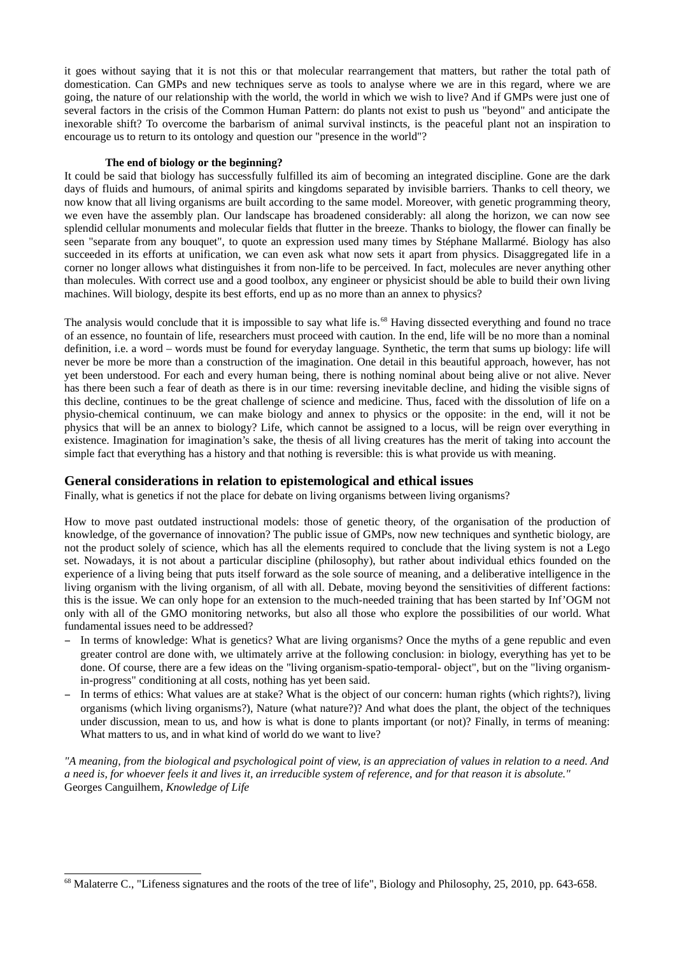it goes without saying that it is not this or that molecular rearrangement that matters, but rather the total path of domestication. Can GMPs and new techniques serve as tools to analyse where we are in this regard, where we are going, the nature of our relationship with the world, the world in which we wish to live? And if GMPs were just one of several factors in the crisis of the Common Human Pattern: do plants not exist to push us "beyond" and anticipate the inexorable shift? To overcome the barbarism of animal survival instincts, is the peaceful plant not an inspiration to encourage us to return to its ontology and question our "presence in the world"?

#### The end of biology or the beginning?

It could be said that biology has successfully fulfilled its aim of becoming an integrated discipline. Gone are the dark days of fluids and humours, of animal spirits and kingdoms separated by invisible barriers. Thanks to cell theory, we now know that all living organisms are built according to the same model. Moreover, with genetic programming theory, we even have the assembly plan. Our landscape has broadened considerably: all along the horizon, we can now see splendid cellular monuments and molecular fields that flutter in the breeze. Thanks to biology, the flower can finally be seen "separate from any bouquet", to quote an expression used many times by Stéphane Mallarmé. Biology has also succeeded in its efforts at unification, we can even ask what now sets it apart from physics. Disaggregated life in a corner no longer allows what distinguishes it from non-life to be perceived. In fact, molecules are never anything other than molecules. With correct use and a good toolbox, any engineer or physicist should be able to build their own living machines. Will biology, despite its best efforts, end up as no more than an annex to physics?

The analysis would conclude that it is impossible to say what life is.<sup>68</sup> Having dissected everything and found no trace of an essence, no fountain of life, researchers must proceed with caution. In the end, life will be no more than a nominal definition, i.e. a word - words must be found for everyday language. Synthetic, the term that sums up biology: life will never be more be more than a construction of the imagination. One detail in this beautiful approach, however, has not yet been understood. For each and every human being, there is nothing nominal about being alive or not alive. Never has there been such a fear of death as there is in our time: reversing inevitable decline, and hiding the visible signs of this decline, continues to be the great challenge of science and medicine. Thus, faced with the dissolution of life on a physio-chemical continuum, we can make biology and annex to physics or the opposite: in the end, will it not be physics that will be an annex to biology? Life, which cannot be assigned to a locus, will be reign over everything in existence. Imagination for imagination's sake, the thesis of all living creatures has the merit of taking into account the simple fact that everything has a history and that nothing is reversible; this is what provide us with meaning.

## General considerations in relation to epistemological and ethical issues

Finally, what is genetics if not the place for debate on living organisms between living organisms?

How to move past outdated instructional models: those of genetic theory, of the organisation of the production of knowledge, of the governance of innovation? The public issue of GMPs, now new techniques and synthetic biology, are not the product solely of science, which has all the elements required to conclude that the living system is not a Lego set. Nowadays, it is not about a particular discipline (philosophy), but rather about individual ethics founded on the experience of a living being that puts itself forward as the sole source of meaning, and a deliberative intelligence in the living organism with the living organism, of all with all. Debate, moving beyond the sensitivities of different factions: this is the issue. We can only hope for an extension to the much-needed training that has been started by Inf'OGM not only with all of the GMO monitoring networks, but also all those who explore the possibilities of our world. What fundamental issues need to be addressed?

- In terms of knowledge: What is genetics? What are living organisms? Once the myths of a gene republic and even greater control are done with, we ultimately arrive at the following conclusion: in biology, everything has yet to be done. Of course, there are a few ideas on the "living organism-spatio-temporal- object", but on the "living organismin-progress" conditioning at all costs, nothing has yet been said.
- In terms of ethics: What values are at stake? What is the object of our concern: human rights (which rights?), living organisms (which living organisms?), Nature (what nature?)? And what does the plant, the object of the techniques under discussion, mean to us, and how is what is done to plants important (or not)? Finally, in terms of meaning: What matters to us, and in what kind of world do we want to live?

"A meaning, from the biological and psychological point of view, is an appreciation of values in relation to a need. And a need is, for whoever feels it and lives it, an irreducible system of reference, and for that reason it is absolute." Georges Canguilhem, Knowledge of Life

<span id="page-34-0"></span><sup>&</sup>lt;sup>68</sup> Malaterre C., "Lifeness signatures and the roots of the tree of life", Biology and Philosophy, 25, 2010, pp. 643-658.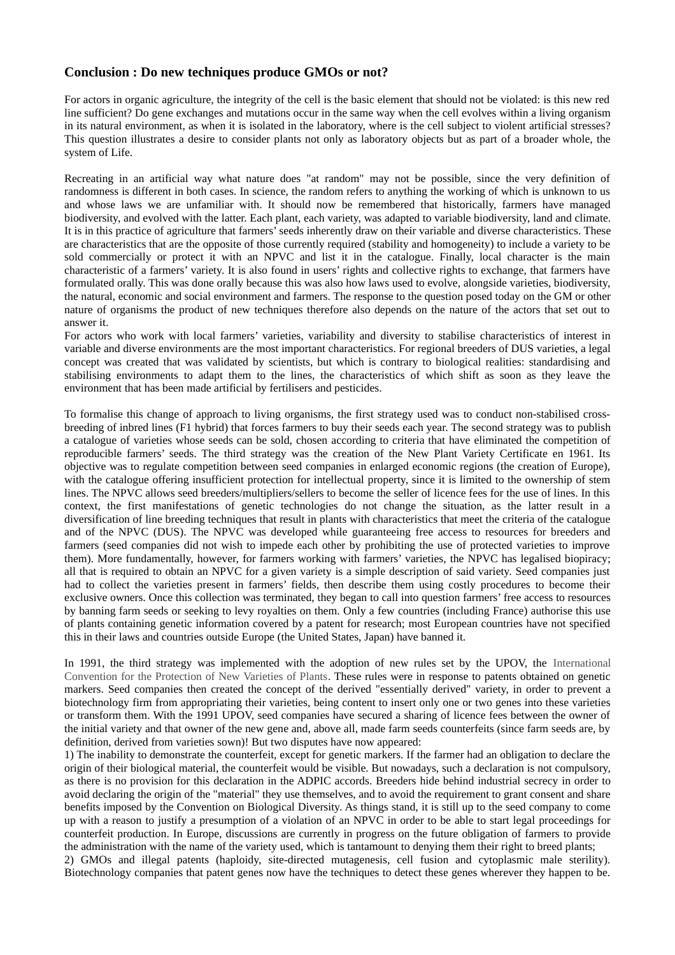## Conclusion : Do new techniques produce GMOs or not?

For actors in organic agriculture, the integrity of the cell is the basic element that should not be violated: is this new red line sufficient? Do gene exchanges and mutations occur in the same way when the cell evolves within a living organism in its natural environment, as when it is isolated in the laboratory, where is the cell subject to violent artificial stresses? This question illustrates a desire to consider plants not only as laboratory objects but as part of a broader whole, the system of Life.

Recreating in an artificial way what nature does "at random" may not be possible, since the very definition of randomness is different in both cases. In science, the random refers to anything the working of which is unknown to us and whose laws we are unfamiliar with. It should now be remembered that historically, farmers have managed biodiversity, and evolved with the latter. Each plant, each variety, was adapted to variable biodiversity, land and climate. It is in this practice of agriculture that farmers' seeds inherently draw on their variable and diverse characteristics. These are characteristics that are the opposite of those currently required (stability and homogeneity) to include a variety to be sold commercially or protect it with an NPVC and list it in the catalogue. Finally, local character is the main characteristic of a farmers' variety. It is also found in users' rights and collective rights to exchange, that farmers have formulated orally. This was done orally because this was also how laws used to evolve, alongside varieties, biodiversity, the natural, economic and social environment and farmers. The response to the question posed today on the GM or other nature of organisms the product of new techniques therefore also depends on the nature of the actors that set out to answer it.

For actors who work with local farmers' varieties, variability and diversity to stabilise characteristics of interest in variable and diverse environments are the most important characteristics. For regional breeders of DUS varieties, a legal concept was created that was validated by scientists, but which is contrary to biological realities: standardising and stabilising environments to adapt them to the lines, the characteristics of which shift as soon as they leave the environment that has been made artificial by fertilisers and pesticides.

To formalise this change of approach to living organisms, the first strategy used was to conduct non-stabilised crossbreeding of inbred lines (F1 hybrid) that forces farmers to buy their seeds each year. The second strategy was to publish a catalogue of varieties whose seeds can be sold, chosen according to criteria that have eliminated the competition of reproducible farmers' seeds. The third strategy was the creation of the New Plant Variety Certificate en 1961. Its objective was to regulate competition between seed companies in enlarged economic regions (the creation of Europe), with the catalogue offering insufficient protection for intellectual property, since it is limited to the ownership of stem lines. The NPVC allows seed breeders/multipliers/sellers to become the seller of licence fees for the use of lines. In this context, the first manifestations of genetic technologies do not change the situation, as the latter result in a diversification of line breeding techniques that result in plants with characteristics that meet the criteria of the catalogue and of the NPVC (DUS). The NPVC was developed while guaranteeing free access to resources for breeders and farmers (seed companies did not wish to impede each other by prohibiting the use of protected varieties to improve them). More fundamentally, however, for farmers working with farmers' varieties, the NPVC has legalised biopiracy; all that is required to obtain an NPVC for a given variety is a simple description of said variety. Seed companies just had to collect the varieties present in farmers' fields, then describe them using costly procedures to become their exclusive owners. Once this collection was terminated, they began to call into question farmers' free access to resources by banning farm seeds or seeking to levy royalties on them. Only a few countries (including France) authorise this use of plants containing genetic information covered by a patent for research; most European countries have not specified this in their laws and countries outside Europe (the United States, Japan) have banned it.

In 1991, the third strategy was implemented with the adoption of new rules set by the UPOV, the International Convention for the Protection of New Varieties of Plants. These rules were in response to patents obtained on genetic markers. Seed companies then created the concept of the derived "essentially derived" variety, in order to prevent a biotechnology firm from appropriating their varieties, being content to insert only one or two genes into these varieties or transform them. With the 1991 UPOV, seed companies have secured a sharing of licence fees between the owner of the initial variety and that owner of the new gene and, above all, made farm seeds counterfeits (since farm seeds are, by definition, derived from varieties sown)! But two disputes have now appeared:

1) The inability to demonstrate the counterfeit, except for genetic markers. If the farmer had an obligation to declare the origin of their biological material, the counterfeit would be visible. But nowadays, such a declaration is not compulsory, as there is no provision for this declaration in the ADPIC accords. Breeders hide behind industrial secrecy in order to avoid declaring the origin of the "material" they use themselves, and to avoid the requirement to grant consent and share benefits imposed by the Convention on Biological Diversity. As things stand, it is still up to the seed company to come up with a reason to justify a presumption of a violation of an NPVC in order to be able to start legal proceedings for counterfeit production. In Europe, discussions are currently in progress on the future obligation of farmers to provide the administration with the name of the variety used, which is tantamount to denying them their right to breed plants;

2) GMOs and illegal patents (haploidy, site-directed mutagenesis, cell fusion and cytoplasmic male sterility). Biotechnology companies that patent genes now have the techniques to detect these genes wherever they happen to be.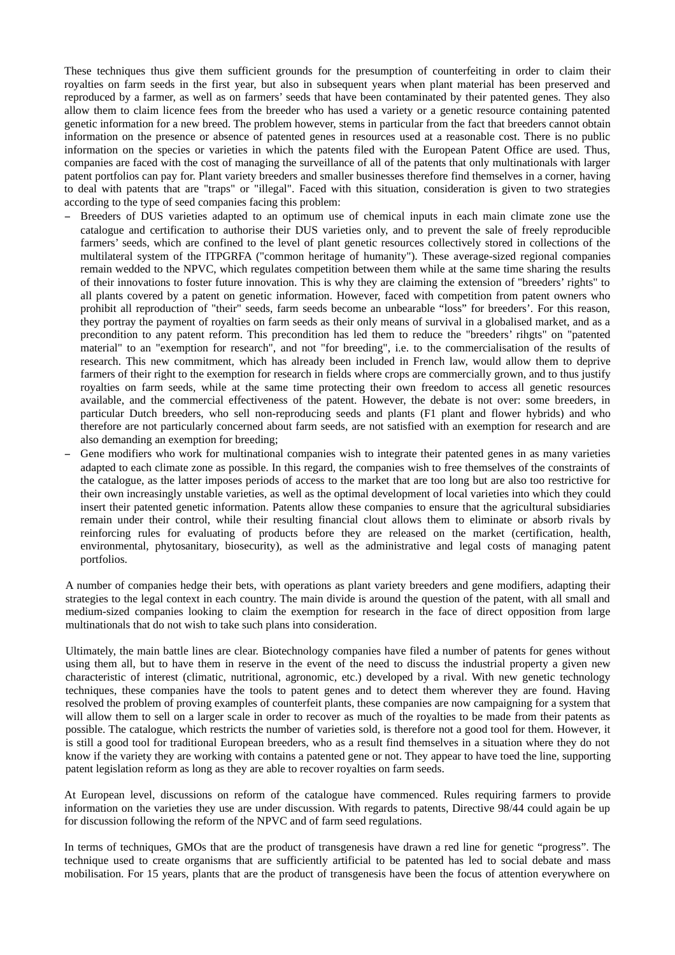These techniques thus give them sufficient grounds for the presumption of counterfeiting in order to claim their royalties on farm seeds in the first year, but also in subsequent years when plant material has been preserved and reproduced by a farmer, as well as on farmers' seeds that have been contaminated by their patented genes. They also allow them to claim licence fees from the breeder who has used a variety or a genetic resource containing patented genetic information for a new breed. The problem however, stems in particular from the fact that breeders cannot obtain information on the presence or absence of patented genes in resources used at a reasonable cost. There is no public information on the species or varieties in which the patents filed with the European Patent Office are used. Thus, companies are faced with the cost of managing the surveillance of all of the patents that only multinationals with larger patent portfolios can pay for. Plant variety breeders and smaller businesses therefore find themselves in a corner, having to deal with patents that are "traps" or "illegal". Faced with this situation, consideration is given to two strategies according to the type of seed companies facing this problem:

- Breeders of DUS varieties adapted to an optimum use of chemical inputs in each main climate zone use the catalogue and certification to authorise their DUS varieties only, and to prevent the sale of freely reproducible farmers' seeds, which are confined to the level of plant genetic resources collectively stored in collections of the multilateral system of the ITPGRFA ("common heritage of humanity"). These average-sized regional companies remain wedded to the NPVC, which regulates competition between them while at the same time sharing the results of their innovations to foster future innovation. This is why they are claiming the extension of "breeders' rights" to all plants covered by a patent on genetic information. However, faced with competition from patent owners who prohibit all reproduction of "their" seeds, farm seeds become an unbearable "loss" for breeders'. For this reason, they portray the payment of royalties on farm seeds as their only means of survival in a globalised market, and as a precondition to any patent reform. This precondition has led them to reduce the "breeders' rihgts" on "patented material" to an "exemption for research", and not "for breeding", i.e. to the commercialisation of the results of research. This new commitment, which has already been included in French law, would allow them to deprive farmers of their right to the exemption for research in fields where crops are commercially grown, and to thus justify royalties on farm seeds, while at the same time protecting their own freedom to access all genetic resources available, and the commercial effectiveness of the patent. However, the debate is not over: some breeders, in particular Dutch breeders, who sell non-reproducing seeds and plants (F1 plant and flower hybrids) and who therefore are not particularly concerned about farm seeds, are not satisfied with an exemption for research and are also demanding an exemption for breeding;
- Gene modifiers who work for multinational companies wish to integrate their patented genes in as many varieties adapted to each climate zone as possible. In this regard, the companies wish to free themselves of the constraints of the catalogue, as the latter imposes periods of access to the market that are too long but are also too restrictive for their own increasingly unstable varieties, as well as the optimal development of local varieties into which they could insert their patented genetic information. Patents allow these companies to ensure that the agricultural subsidiaries remain under their control, while their resulting financial clout allows them to eliminate or absorb rivals by reinforcing rules for evaluating of products before they are released on the market (certification, health, environmental, phytosanitary, biosecurity), as well as the administrative and legal costs of managing patent portfolios.

A number of companies hedge their bets, with operations as plant variety breeders and gene modifiers, adapting their strategies to the legal context in each country. The main divide is around the question of the patent, with all small and medium-sized companies looking to claim the exemption for research in the face of direct opposition from large multinationals that do not wish to take such plans into consideration.

Ultimately, the main battle lines are clear. Biotechnology companies have filed a number of patents for genes without using them all, but to have them in reserve in the event of the need to discuss the industrial property a given new characteristic of interest (climatic, nutritional, agronomic, etc.) developed by a rival. With new genetic technology techniques, these companies have the tools to patent genes and to detect them wherever they are found. Having resolved the problem of proving examples of counterfeit plants, these companies are now campaigning for a system that will allow them to sell on a larger scale in order to recover as much of the royalties to be made from their patents as possible. The catalogue, which restricts the number of varieties sold, is therefore not a good tool for them. However, it is still a good tool for traditional European breeders, who as a result find themselves in a situation where they do not know if the variety they are working with contains a patented gene or not. They appear to have toed the line, supporting patent legislation reform as long as they are able to recover royalties on farm seeds.

At European level, discussions on reform of the catalogue have commenced. Rules requiring farmers to provide information on the varieties they use are under discussion. With regards to patents, Directive 98/44 could again be up for discussion following the reform of the NPVC and of farm seed regulations.

In terms of techniques, GMOs that are the product of transgenesis have drawn a red line for genetic "progress". The technique used to create organisms that are sufficiently artificial to be patented has led to social debate and mass mobilisation. For 15 years, plants that are the product of transgenesis have been the focus of attention everywhere on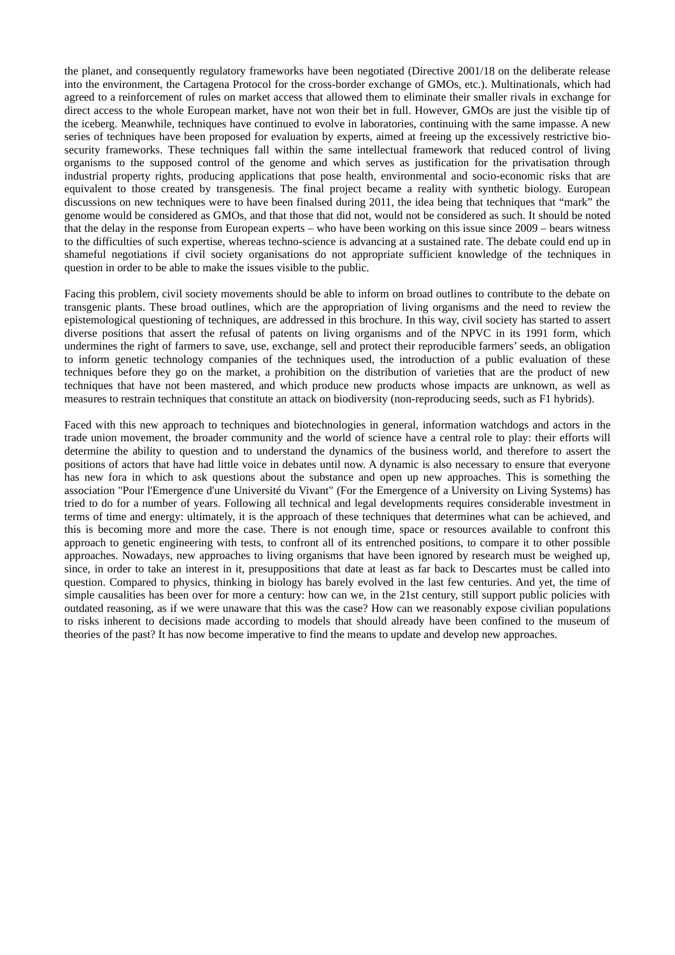the planet, and consequently regulatory frameworks have been negotiated (Directive 2001/18 on the deliberate release into the environment, the Cartagena Protocol for the cross-border exchange of GMOs, etc.). Multinationals, which had agreed to a reinforcement of rules on market access that allowed them to eliminate their smaller rivals in exchange for direct access to the whole European market, have not won their bet in full. However, GMOs are just the visible tip of the iceberg. Meanwhile, techniques have continued to evolve in laboratories, continuing with the same impasse. A new series of techniques have been proposed for evaluation by experts, aimed at freeing up the excessively restrictive biosecurity frameworks. These techniques fall within the same intellectual framework that reduced control of living organisms to the supposed control of the genome and which serves as justification for the privatisation through industrial property rights, producing applications that pose health, environmental and socio-economic risks that are equivalent to those created by transgenesis. The final project became a reality with synthetic biology. European discussions on new techniques were to have been finalsed during 2011, the idea being that techniques that "mark" the genome would be considered as GMOs, and that those that did not, would not be considered as such. It should be noted that the delay in the response from European experts  $-$  who have been working on this issue since  $2009$   $-$  bears witness to the difficulties of such expertise, whereas techno-science is advancing at a sustained rate. The debate could end up in shameful negotiations if civil society organisations do not appropriate sufficient knowledge of the techniques in question in order to be able to make the issues visible to the public.

Facing this problem, civil society movements should be able to inform on broad outlines to contribute to the debate on transgenic plants. These broad outlines, which are the appropriation of living organisms and the need to review the epistemological questioning of techniques, are addressed in this brochure. In this way, civil society has started to assert diverse positions that assert the refusal of patents on living organisms and of the NPVC in its 1991 form, which undermines the right of farmers to save, use, exchange, sell and protect their reproducible farmers' seeds, an obligation to inform genetic technology companies of the techniques used, the introduction of a public evaluation of these techniques before they go on the market, a prohibition on the distribution of varieties that are the product of new techniques that have not been mastered, and which produce new products whose impacts are unknown, as well as measures to restrain techniques that constitute an attack on biodiversity (non-reproducing seeds, such as F1 hybrids).

Faced with this new approach to techniques and biotechnologies in general, information watchdogs and actors in the trade union movement, the broader community and the world of science have a central role to play: their efforts will determine the ability to question and to understand the dynamics of the business world, and therefore to assert the positions of actors that have had little voice in debates until now. A dynamic is also necessary to ensure that everyone has new fora in which to ask questions about the substance and open up new approaches. This is something the association "Pour l'Emergence d'une Université du Vivant" (For the Emergence of a University on Living Systems) has tried to do for a number of years. Following all technical and legal developments requires considerable investment in terms of time and energy; ultimately, it is the approach of these techniques that determines what can be achieved, and this is becoming more and more the case. There is not enough time, space or resources available to confront this approach to genetic engineering with tests, to confront all of its entrenched positions, to compare it to other possible approaches. Nowadays, new approaches to living organisms that have been ignored by research must be weighed up, since, in order to take an interest in it, presuppositions that date at least as far back to Descartes must be called into question. Compared to physics, thinking in biology has barely evolved in the last few centuries. And yet, the time of simple causalities has been over for more a century: how can we, in the 21st century, still support public policies with outdated reasoning, as if we were unaware that this was the case? How can we reasonably expose civilian populations to risks inherent to decisions made according to models that should already have been confined to the museum of theories of the past? It has now become imperative to find the means to update and develop new approaches.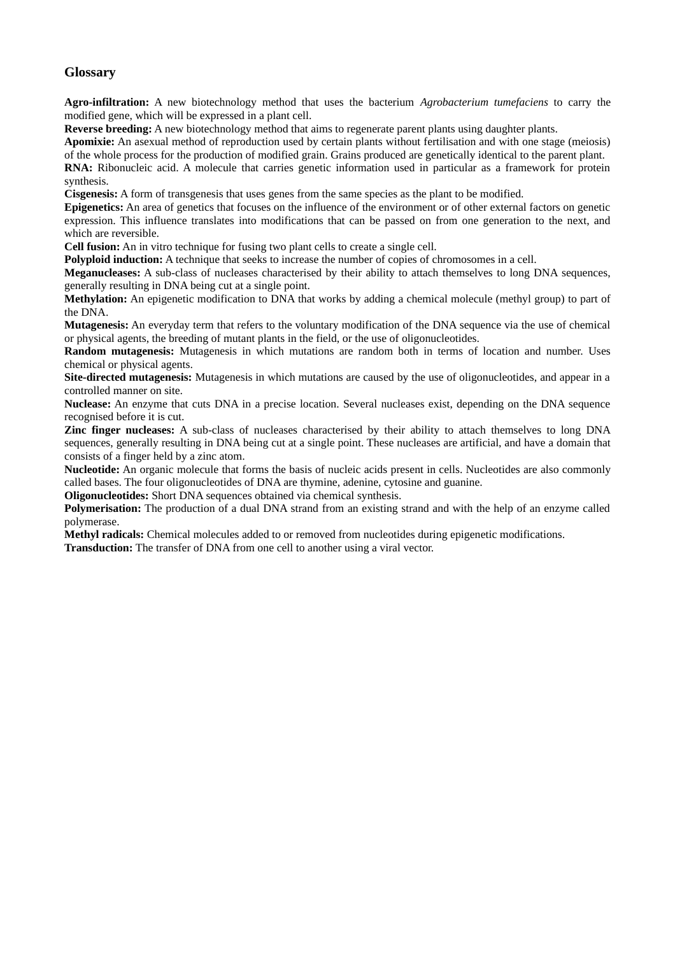## **Glossary**

Agro-infiltration: A new biotechnology method that uses the bacterium Agrobacterium tumefaciens to carry the modified gene, which will be expressed in a plant cell.

Reverse breeding: A new biotechnology method that aims to regenerate parent plants using daughter plants.

Apomixie: An asexual method of reproduction used by certain plants without fertilisation and with one stage (meiosis) of the whole process for the production of modified grain. Grains produced are genetically identical to the parent plant.

RNA: Ribonucleic acid. A molecule that carries genetic information used in particular as a framework for protein synthesis.

Cisgenesis: A form of transgenesis that uses genes from the same species as the plant to be modified.

Epigenetics: An area of genetics that focuses on the influence of the environment or of other external factors on genetic expression. This influence translates into modifications that can be passed on from one generation to the next, and which are reversible.

Cell fusion: An in vitro technique for fusing two plant cells to create a single cell.

Polyploid induction: A technique that seeks to increase the number of copies of chromosomes in a cell.

**Meganucleases:** A sub-class of nucleases characterised by their ability to attach themselves to long DNA sequences, generally resulting in DNA being cut at a single point.

Methylation: An epigenetic modification to DNA that works by adding a chemical molecule (methyl group) to part of the DNA.

Mutagenesis: An everyday term that refers to the voluntary modification of the DNA sequence via the use of chemical or physical agents, the breeding of mutant plants in the field, or the use of oligonucleotides.

Random mutagenesis: Mutagenesis in which mutations are random both in terms of location and number. Uses chemical or physical agents.

Site-directed mutagenesis: Mutagenesis in which mutations are caused by the use of oligonucleotides, and appear in a controlled manner on site.

Nuclease: An enzyme that cuts DNA in a precise location. Several nucleases exist, depending on the DNA sequence recognised before it is cut.

Zinc finger nucleases: A sub-class of nucleases characterised by their ability to attach themselves to long DNA sequences, generally resulting in DNA being cut at a single point. These nucleases are artificial, and have a domain that consists of a finger held by a zinc atom.

Nucleotide: An organic molecule that forms the basis of nucleic acids present in cells. Nucleotides are also commonly called bases. The four oligonucleotides of DNA are thymine, adenine, cytosine and guanine.

**Oligonucleotides:** Short DNA sequences obtained via chemical synthesis.

**Polymerisation:** The production of a dual DNA strand from an existing strand and with the help of an enzyme called polymerase.

Methyl radicals: Chemical molecules added to or removed from nucleotides during epigenetic modifications.

**Transduction:** The transfer of DNA from one cell to another using a viral vector.